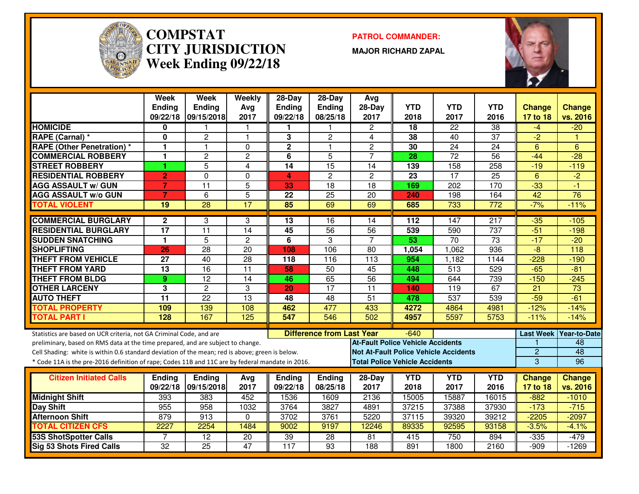

#### **COMPSTAT PATROL COMMANDER: CITY JURISDICTIONWeek Ending 09/22/18**

**MAJOR RICHARD ZAPAL**



|                                                                                                  | <b>Week</b><br><b>Ending</b> | <b>Week</b><br><b>Ending</b> | Weekly<br>Avg   | $28 - Day$<br><b>Ending</b> | $28-Day$<br>Ending               | Avg<br>28-Day                            | <b>YTD</b> | <b>YTD</b>                                   | <b>YTD</b>       | <b>Change</b>   | <b>Change</b>            |
|--------------------------------------------------------------------------------------------------|------------------------------|------------------------------|-----------------|-----------------------------|----------------------------------|------------------------------------------|------------|----------------------------------------------|------------------|-----------------|--------------------------|
|                                                                                                  |                              | 09/22/18 09/15/2018          | 2017            | 09/22/18                    | 08/25/18                         | 2017                                     | 2018       | 2017                                         | 2016             | 17 to 18        | vs. 2016                 |
| <b>HOMICIDE</b>                                                                                  | 0                            |                              |                 |                             |                                  | $\overline{c}$                           | 18         | $\overline{22}$                              | $\overline{38}$  | -4              | $-20$                    |
| RAPE (Carnal) *                                                                                  | 0                            | $\overline{2}$               | 1               | 3                           | $\overline{2}$                   | 4                                        | 38         | 40                                           | $\overline{37}$  | $\overline{2}$  |                          |
| <b>RAPE (Other Penetration) *</b>                                                                | 1                            | $\mathbf{1}$                 | $\Omega$        | $\overline{\mathbf{2}}$     | $\blacktriangleleft$             | $\overline{2}$                           | 30         | $\overline{24}$                              | $\overline{24}$  | 6               | 6                        |
| <b>COMMERCIAL ROBBERY</b>                                                                        | 1                            | $\overline{c}$               | $\overline{c}$  | 6                           | $\overline{5}$                   | $\overline{7}$                           | 28         | $\overline{72}$                              | 56               | $-44$           | $\overline{-28}$         |
| <b>STREET ROBBERY</b>                                                                            | 1                            | 5                            | 4               | 14                          | 15                               | 14                                       | 139        | 158                                          | 258              | $-19$           | $-119$                   |
| <b>RESIDENTIAL ROBBERY</b>                                                                       | $\overline{2}$               | $\Omega$                     | 0               | 4                           | $\mathbf{2}$                     | $\overline{c}$                           | 23         | 17                                           | 25               | 6               | $-2$                     |
| <b>AGG ASSAULT w/ GUN</b>                                                                        | $\overline{7}$               | $\overline{11}$              | 5               | 33                          | 18                               | 18                                       | 169        | 202                                          | 170              | $-33$           | $-1$                     |
| <b>AGG ASSAULT w/o GUN</b>                                                                       | $\overline{7}$               | $6\phantom{1}$               | $\overline{5}$  | 22                          | $\overline{25}$                  | 20                                       | 240        | 198                                          | 164              | 42              | 76                       |
| <b>TOTAL VIOLENT</b>                                                                             | 19                           | $\overline{28}$              | $\overline{17}$ | 85                          | 69                               | 69                                       | 685        | 733                                          | 772              | $-7%$           | $-11%$                   |
| <b>COMMERCIAL BURGLARY</b>                                                                       | $\mathbf{2}$                 | 3                            | 3               | 13                          | $\overline{16}$                  | 14                                       | 112        | 147                                          | $\overline{217}$ | $-35$           | $-105$                   |
| <b>RESIDENTIAL BURGLARY</b>                                                                      | $\overline{17}$              | $\overline{11}$              | $\overline{14}$ | 45                          | 56                               | 56                                       | 539        | 590                                          | $\overline{737}$ | $-51$           | $-198$                   |
| <b>SUDDEN SNATCHING</b>                                                                          | 1                            | 5                            | $\overline{c}$  | 6                           | 3                                | $\overline{7}$                           | 53         | $\overline{70}$                              | $\overline{73}$  | $-17$           | $-20$                    |
| <b>SHOPLIFTING</b>                                                                               | 26                           | 28                           | 20              | 108                         | 106                              | 80                                       | 1,054      | 1,062                                        | 936              | $\overline{-8}$ | 118                      |
| <b>THEFT FROM VEHICLE</b>                                                                        | 27                           | 40                           | $\overline{28}$ | 118                         | 116                              | 113                                      | 954        | 1,182                                        | 1144             | $-228$          | $-190$                   |
| <b>THEFT FROM YARD</b>                                                                           | $\overline{13}$              | $\overline{16}$              | $\overline{11}$ | 58                          | 50                               | 45                                       | 448        | 513                                          | 529              | $-65$           | $-81$                    |
| <b>THEFT FROM BLDG</b>                                                                           | 9                            | $\overline{12}$              | $\overline{14}$ | 46                          | 65                               | 56                                       | 494        | 644                                          | 739              | $-150$          | $-245$                   |
| <b>OTHER LARCENY</b>                                                                             | 3                            | $\overline{2}$               | 3               | 20                          | $\overline{17}$                  | $\overline{11}$                          | 140        | 119                                          | 67               | $\overline{21}$ | 73                       |
| <b>AUTO THEFT</b>                                                                                | $\overline{11}$              | $\overline{22}$              | $\overline{13}$ | 48                          | $\overline{48}$                  | $\overline{51}$                          | 478        | 537                                          | 539              | $-59$           | $-61$                    |
| <b>TOTAL PROPERTY</b>                                                                            | 109                          | 139                          | 108             | 462                         | 477                              | 433                                      | 4272       | 4864                                         | 4981             | $-12%$          | $-14%$                   |
| <b>TOTAL PART I</b>                                                                              | 128                          | 167                          | 125             | 547                         | 546                              | 502                                      | 4957       | 5597                                         | 5753             | $-11%$          | $-14%$                   |
| Statistics are based on UCR criteria, not GA Criminal Code, and are                              |                              |                              |                 |                             | <b>Difference from Last Year</b> |                                          | $-640$     |                                              |                  |                 | Last Week   Year-to-Date |
| preliminary, based on RMS data at the time prepared, and are subject to change.                  |                              |                              |                 |                             |                                  | <b>At-Fault Police Vehicle Accidents</b> |            |                                              |                  |                 | 48                       |
| Cell Shading: white is within 0.6 standard deviation of the mean; red is above; green is below.  |                              |                              |                 |                             |                                  |                                          |            | <b>Not At-Fault Police Vehicle Accidents</b> |                  | $\overline{2}$  | 48                       |
| * Code 11A is the pre-2016 definition of rape; Codes 11B and 11C are by federal mandate in 2016. |                              |                              |                 |                             |                                  | <b>Total Police Vehicle Accidents</b>    |            |                                              |                  | 3               | 96                       |
| <b>Citizen Initiated Calls</b>                                                                   | <b>Endina</b>                | <b>Endina</b>                | Avg             | Ending                      | <b>Ending</b>                    | 28-Day                                   | <b>YTD</b> | <b>YTD</b>                                   | <b>YTD</b>       | <b>Change</b>   | <b>Change</b>            |
|                                                                                                  | 09/22/18                     | 09/15/2018                   | 2017            | 09/22/18                    | 08/25/18                         | 2017                                     | 2018       | 2017                                         | 2016             | 17 to 18        | vs. 2016                 |
| <b>Midnight Shift</b>                                                                            | 393                          | 383                          | 452             | 1536                        | 1609                             | 2136                                     | 15005      | 15887                                        | 16015            | $-882$          | $-1010$                  |
| <b>Day Shift</b>                                                                                 | 955                          | 958                          | 1032            | 3764                        | 3827                             | 4891                                     | 37215      | 37388                                        | 37930            | $-173$          | $-715$                   |
| <b>Afternoon Shift</b>                                                                           | 879                          | 913                          | $\Omega$        | 3702                        | 3761                             | 5220                                     | 37115      | 39320                                        | 39212            | $-2205$         | $-2097$                  |
| <b>TOTAL CITIZEN CFS</b>                                                                         | 2227                         | 2254                         | 1484            | 9002                        | 9197                             | 12246                                    | 89335      | 92595                                        | 93158            | $-3.5%$         | $-4.1%$                  |
| <b>53S ShotSpotter Calls</b>                                                                     | 7                            | $\overline{12}$              | $\overline{20}$ | 39                          | 28                               | 81                                       | 415        | 750                                          | 894              | $-335$          | $-479$                   |
| <b>Sig 53 Shots Fired Calls</b>                                                                  | $\overline{32}$              | $\overline{25}$              | 47              | $\overline{117}$            | $\overline{93}$                  | 188                                      | 891        | 1800                                         | 2160             | $-909$          | $-1269$                  |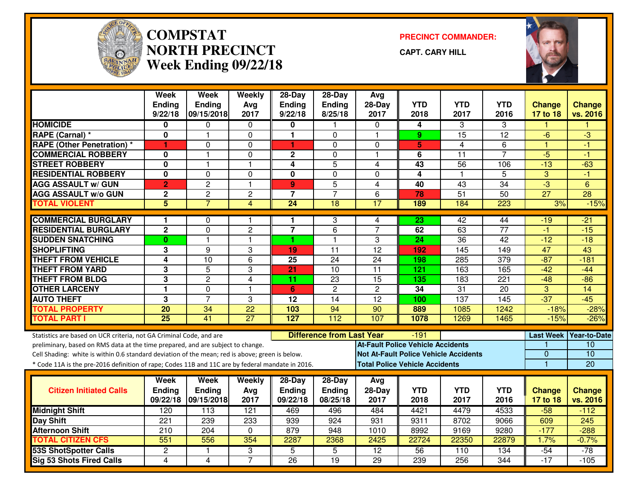

#### **COMPSTAT PRECINCT COMMANDER: NORTH PRECINCTWeek Ending 09/22/18**

**CAPT. CARY HILL**



|                                                                                                  | <b>Week</b><br><b>Ending</b><br>9/22/18 | <b>Week</b><br>Ending<br>09/15/2018 | Weekly<br>Avg<br>2017 | $28-Day$<br><b>Ending</b><br>9/22/18 | $28-Day$<br>Ending<br>8/25/18    | Avg<br>$28-Day$<br>2017                      | <b>YTD</b><br>2018 | <b>YTD</b><br>2017 | <b>YTD</b><br>2016 | <b>Change</b><br>17 to 18 | <b>Change</b><br>vs. 2016 |
|--------------------------------------------------------------------------------------------------|-----------------------------------------|-------------------------------------|-----------------------|--------------------------------------|----------------------------------|----------------------------------------------|--------------------|--------------------|--------------------|---------------------------|---------------------------|
| <b>HOMICIDE</b>                                                                                  | 0                                       | 0                                   | 0                     | 0                                    |                                  | $\Omega$                                     | 4                  | 3                  | 3                  |                           |                           |
| RAPE (Carnal) *                                                                                  | 0                                       | $\mathbf 1$                         | 0                     | 1                                    | 0                                | $\mathbf{1}$                                 | 9                  | $\overline{15}$    | $\overline{12}$    | -6                        | $-3$                      |
| <b>RAPE (Other Penetration) *</b>                                                                | 1                                       | $\Omega$                            | 0                     | $\blacktriangleleft$                 | $\Omega$                         | 0                                            | $5\phantom{.0}$    | 4                  | 6                  | $\overline{1}$            | -1                        |
| <b>COMMERCIAL ROBBERY</b>                                                                        | 0                                       | 1                                   | 0                     | $\mathbf 2$                          | 0                                | $\mathbf{1}$                                 | 6                  | $\overline{11}$    | $\overline{7}$     | $-5$                      | -1                        |
| <b>STREET ROBBERY</b>                                                                            | 0                                       | $\mathbf{1}$                        | 1                     | $\overline{4}$                       | $\overline{5}$                   | 4                                            | 43                 | $\overline{56}$    | 106                | $-13$                     | $-63$                     |
| <b>RESIDENTIAL ROBBERY</b>                                                                       | $\mathbf 0$                             | $\Omega$                            | 0                     | $\mathbf 0$                          | $\mathbf 0$                      | $\Omega$                                     | 4                  | $\mathbf{1}$       | 5                  | 3                         | $-1$                      |
| <b>AGG ASSAULT w/ GUN</b>                                                                        | $\overline{2}$                          | $\overline{2}$                      | $\mathbf{1}$          | 9                                    | $\overline{5}$                   | $\overline{4}$                               | 40                 | 43                 | 34                 | $-3$                      | 6                         |
| <b>AGG ASSAULT w/o GUN</b>                                                                       | $\mathbf 2$                             | $\overline{c}$                      | $\overline{c}$        | $\overline{7}$                       | $\overline{7}$                   | 6                                            | 78                 | $\overline{51}$    | 50                 | $\overline{27}$           | $\overline{28}$           |
| <b>TOTAL VIOLENT</b>                                                                             | 5                                       | $\overline{7}$                      | $\overline{4}$        | $\overline{24}$                      | $\overline{18}$                  | 17                                           | 189                | 184                | $\overline{223}$   | 3%                        | $-15%$                    |
| <b>COMMERCIAL BURGLARY</b>                                                                       | 1                                       | 0                                   | 1                     | 1                                    | 3                                | 4                                            | $\overline{23}$    | 42                 | 44                 | -19                       | $-21$                     |
| <b>RESIDENTIAL BURGLARY</b>                                                                      | $\mathbf 2$                             | 0                                   | $\overline{c}$        | $\overline{7}$                       | 6                                | $\overline{7}$                               | 62                 | 63                 | $\overline{77}$    | -1                        | $-15$                     |
| <b>SUDDEN SNATCHING</b>                                                                          | $\mathbf{0}$                            | 1                                   | 1                     | 1                                    | $\mathbf{1}$                     | 3                                            | 24                 | 36                 | 42                 | $-12$                     | $-18$                     |
| <b>SHOPLIFTING</b>                                                                               | 3                                       | 9                                   | 3                     | 19                                   | $\overline{11}$                  | $\overline{12}$                              | 192                | 145                | 149                | 47                        | 43                        |
| <b>THEFT FROM VEHICLE</b>                                                                        | 4                                       | 10                                  | 6                     | $\overline{25}$                      | 24                               | 24                                           | 198                | 285                | 379                | $-87$                     | $-181$                    |
| <b>THEFT FROM YARD</b>                                                                           | $\overline{3}$                          | $\overline{5}$                      | 3                     | 21                                   | 10                               | $\overline{11}$                              | 121                | 163                | 165                | $-42$                     | $-44$                     |
| <b>THEFT FROM BLDG</b>                                                                           | $\overline{3}$                          | $\overline{2}$                      | 4                     | 11                                   | 23                               | 15                                           | 135                | 183                | $\overline{221}$   | $-48$                     | $-86$                     |
| <b>OTHER LARCENY</b>                                                                             | $\mathbf{1}$                            | 0                                   | $\mathbf{1}$          | 6                                    | $\overline{2}$                   | $\overline{c}$                               | 34                 | 31                 | 20                 | 3                         | 14                        |
| <b>AUTO THEFT</b>                                                                                | $\overline{3}$                          | $\overline{7}$                      | 3                     | $\overline{12}$                      | 14                               | $\overline{12}$                              | 100                | 137                | 145                | $-37$                     | $-45$                     |
| <b>TOTAL PROPERTY</b>                                                                            | 20                                      | 34                                  | $\overline{22}$       | 103                                  | 94                               | 90                                           | 889                | 1085               | 1242               | $-18%$                    | $-28%$                    |
| <b>TOTAL PART I</b>                                                                              | $\overline{25}$                         | 41                                  | $\overline{27}$       | 127                                  | 112                              | 107                                          | 1078               | 1269               | 1465               | $-15%$                    | $-26%$                    |
| Statistics are based on UCR criteria, not GA Criminal Code, and are                              |                                         |                                     |                       |                                      | <b>Difference from Last Year</b> |                                              | $-191$             |                    |                    |                           | Last Week Year-to-Date    |
| preliminary, based on RMS data at the time prepared, and are subject to change.                  |                                         |                                     |                       |                                      |                                  | <b>At-Fault Police Vehicle Accidents</b>     |                    |                    |                    |                           | 10                        |
| Cell Shading: white is within 0.6 standard deviation of the mean; red is above; green is below.  |                                         |                                     |                       |                                      |                                  | <b>Not At-Fault Police Vehicle Accidents</b> |                    |                    |                    | $\overline{0}$            | 10                        |
| * Code 11A is the pre-2016 definition of rape; Codes 11B and 11C are by federal mandate in 2016. |                                         |                                     |                       |                                      |                                  | <b>Total Police Vehicle Accidents</b>        |                    |                    |                    | $\overline{1}$            | 20                        |
|                                                                                                  | Week                                    | <b>Week</b>                         | Weekly                | 28-Day                               | $28-Day$                         | Avg                                          |                    |                    |                    |                           |                           |
| <b>Citizen Initiated Calls</b>                                                                   | <b>Ending</b>                           | Ending                              | Avg                   | <b>Ending</b>                        | Ending                           | $28-Day$                                     | <b>YTD</b>         | <b>YTD</b>         | <b>YTD</b>         | <b>Change</b>             | <b>Change</b>             |
|                                                                                                  | 09/22/18                                | 09/15/2018                          | 2017                  | 09/22/18                             | 08/25/18                         | 2017                                         | 2018               | 2017               | 2016               | 17 to 18                  | vs. 2016                  |
| <b>Midnight Shift</b>                                                                            | 120                                     | 113                                 | $\overline{121}$      | 469                                  | 496                              | 484                                          | 4421               | 4479               | 4533               | $-58$                     | $-112$                    |
| Day Shift                                                                                        | 221                                     | 239                                 | 233                   | 939                                  | 924                              | 931                                          | 9311               | 8702               | 9066               | 609                       | 245                       |
| <b>Afternoon Shift</b>                                                                           | 210                                     | 204                                 | 0                     | 879                                  | 948                              | 1010                                         | 8992               | 9169               | 9280               | $-177$                    | $-288$                    |
| <b>TOTAL CITIZEN CFS</b>                                                                         | 551                                     | 556                                 | 354                   | 2287                                 | 2368                             | 2425                                         | 22724              | 22350              | 22879              | 1.7%                      | $-0.7%$                   |
| <b>53S ShotSpotter Calls</b>                                                                     | $\mathbf{2}$                            | 1                                   | 3                     | 5                                    | $\overline{5}$                   | $\overline{12}$                              | $\overline{56}$    | 110                | 134                | $-54$                     | $-78$                     |
| <b>Sig 53 Shots Fired Calls</b>                                                                  | $\overline{4}$                          | 4                                   | $\overline{7}$        | $\overline{26}$                      | $\overline{19}$                  | $\overline{29}$                              | 239                | 256                | 344                | $-17$                     | $-105$                    |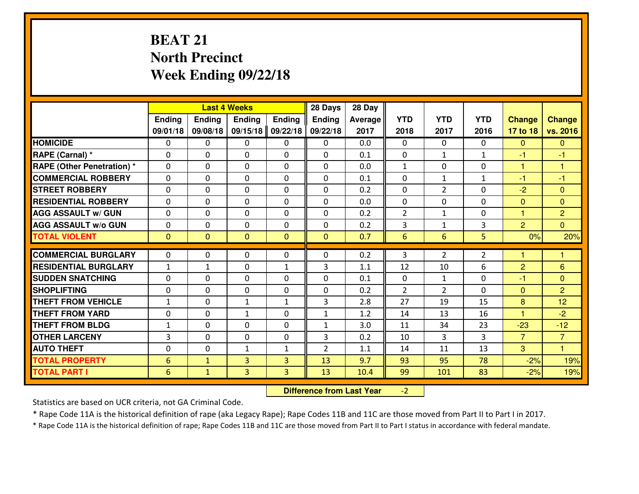# **BEAT 21 North PrecinctWeek Ending 09/22/18**

|                                  |              |                | <b>Last 4 Weeks</b> |               | 28 Days        | 28 Day  |                |                |                |                |                |
|----------------------------------|--------------|----------------|---------------------|---------------|----------------|---------|----------------|----------------|----------------|----------------|----------------|
|                                  | Ending       | <b>Ending</b>  | <b>Ending</b>       | <b>Ending</b> | <b>Ending</b>  | Average | <b>YTD</b>     | <b>YTD</b>     | <b>YTD</b>     | <b>Change</b>  | <b>Change</b>  |
|                                  | 09/01/18     | 09/08/18       | 09/15/18            | 09/22/18      | 09/22/18       | 2017    | 2018           | 2017           | 2016           | 17 to 18       | vs. 2016       |
| <b>HOMICIDE</b>                  | $\Omega$     | 0              | 0                   | 0             | $\Omega$       | 0.0     | 0              | $\Omega$       | 0              | $\Omega$       | $\Omega$       |
| RAPE (Carnal) *                  | $\Omega$     | 0              | $\Omega$            | $\Omega$      | $\Omega$       | 0.1     | $\Omega$       | $\mathbf{1}$   | $\mathbf{1}$   | $-1$           | -1             |
| <b>RAPE (Other Penetration)*</b> | 0            | 0              | $\mathbf 0$         | 0             | 0              | 0.0     | $\mathbf{1}$   | 0              | 0              | $\mathbf{1}$   | $\overline{1}$ |
| <b>COMMERCIAL ROBBERY</b>        | 0            | 0              | $\mathbf 0$         | 0             | 0              | 0.1     | 0              | $\mathbf{1}$   | $\mathbf{1}$   | $-1$           | $-1$           |
| <b>STREET ROBBERY</b>            | 0            | 0              | $\mathbf 0$         | 0             | 0              | 0.2     | 0              | $\overline{2}$ | 0              | $-2$           | $\overline{0}$ |
| <b>RESIDENTIAL ROBBERY</b>       | 0            | 0              | $\mathbf 0$         | $\mathbf{0}$  | 0              | 0.0     | $\mathbf 0$    | 0              | 0              | $\mathbf{0}$   | $\mathbf{0}$   |
| <b>AGG ASSAULT W/ GUN</b>        | 0            | 0              | $\mathbf 0$         | 0             | 0              | 0.2     | $\overline{2}$ | $\mathbf{1}$   | 0              | $\mathbf{1}$   | $\overline{2}$ |
| <b>AGG ASSAULT W/o GUN</b>       | 0            | 0              | 0                   | $\mathbf{0}$  | $\mathbf 0$    | 0.2     | 3              | $\mathbf{1}$   | 3              | $\overline{2}$ | $\overline{0}$ |
| <b>TOTAL VIOLENT</b>             | $\mathbf{0}$ | $\overline{0}$ | $\mathbf{O}$        | $\mathbf{0}$  | $\mathbf{0}$   | 0.7     | $6\phantom{1}$ | 6              | 5              | 0%             | 20%            |
| <b>COMMERCIAL BURGLARY</b>       | $\mathbf{0}$ | 0              | $\mathbf{0}$        | 0             | $\Omega$       | 0.2     | 3              | $\overline{2}$ | $\overline{2}$ | 1              | 1              |
| <b>RESIDENTIAL BURGLARY</b>      | $\mathbf{1}$ | 1              | 0                   | $\mathbf{1}$  | 3              | 1.1     | 12             | 10             | 6              | $\overline{2}$ | 6              |
| <b>SUDDEN SNATCHING</b>          | $\mathbf{0}$ | 0              | $\mathbf 0$         | 0             | 0              | 0.1     | $\mathbf{0}$   | $\mathbf{1}$   | 0              | $-1$           | $\mathbf{0}$   |
| <b>SHOPLIFTING</b>               | 0            | 0              | $\mathbf 0$         | 0             | 0              | 0.2     | $\overline{2}$ | $\overline{2}$ | $\Omega$       | $\mathbf{0}$   | $\overline{2}$ |
| <b>THEFT FROM VEHICLE</b>        | $\mathbf{1}$ | 0              | 1                   | $\mathbf{1}$  | 3              | 2.8     | 27             | 19             | 15             | 8              | 12             |
| <b>THEFT FROM YARD</b>           | 0            | 0              | 1                   | 0             | $\mathbf{1}$   | 1.2     | 14             | 13             | 16             | 1              | $-2$           |
| <b>THEFT FROM BLDG</b>           | $\mathbf{1}$ | 0              | $\mathbf 0$         | $\mathbf{0}$  | $\mathbf{1}$   | 3.0     | 11             | 34             | 23             | $-23$          | $-12$          |
| <b>OTHER LARCENY</b>             | 3            | 0              | $\mathbf 0$         | $\mathbf 0$   | 3              | 0.2     | 10             | 3              | 3              | $\overline{7}$ | $\overline{7}$ |
| <b>AUTO THEFT</b>                | 0            | 0              | $\mathbf{1}$        | $\mathbf{1}$  | $\overline{2}$ | 1.1     | 14             | 11             | 13             | 3              | $\overline{1}$ |
| <b>TOTAL PROPERTY</b>            | 6            | $\mathbf{1}$   | 3                   | 3             | 13             | 9.7     | 93             | 95             | 78             | $-2%$          | 19%            |
| <b>TOTAL PART I</b>              | 6            | $\mathbf{1}$   | 3                   | 3             | 13             | 10.4    | 99             | 101            | 83             | $-2%$          | 19%            |
|                                  |              |                |                     |               |                |         |                |                |                |                |                |

 **Difference from Last Year** $-2$  |

Statistics are based on UCR criteria, not GA Criminal Code.

\* Rape Code 11A is the historical definition of rape (aka Legacy Rape); Rape Codes 11B and 11C are those moved from Part II to Part I in 2017.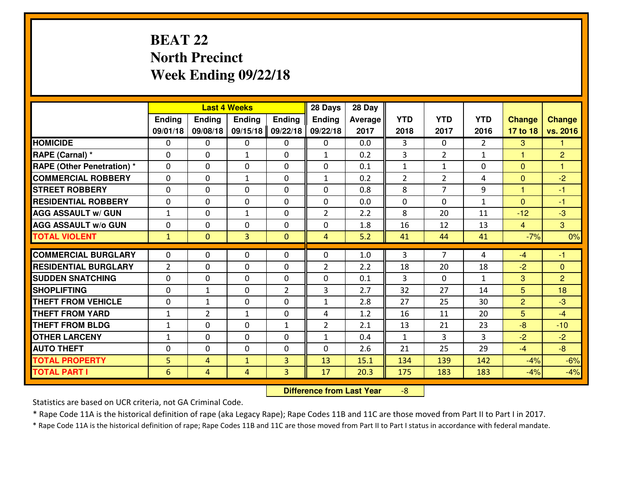# **BEAT 22 North PrecinctWeek Ending 09/22/18**

|                                   |                 |                | <b>Last 4 Weeks</b> |                | 28 Days        | 28 Day  |                |                |                |                |                |
|-----------------------------------|-----------------|----------------|---------------------|----------------|----------------|---------|----------------|----------------|----------------|----------------|----------------|
|                                   | Ending          | <b>Ending</b>  | <b>Ending</b>       | <b>Ending</b>  | Ending         | Average | <b>YTD</b>     | <b>YTD</b>     | <b>YTD</b>     | <b>Change</b>  | <b>Change</b>  |
|                                   | 09/01/18        | 09/08/18       | 09/15/18            | 09/22/18       | 09/22/18       | 2017    | 2018           | 2017           | 2016           | 17 to 18       | vs. 2016       |
| <b>HOMICIDE</b>                   | $\Omega$        | 0              | 0                   | 0              | 0              | 0.0     | 3              | $\Omega$       | $\mathfrak{D}$ | 3              | 1              |
| RAPE (Carnal) *                   | $\mathbf{0}$    | 0              | $\mathbf{1}$        | 0              | $\mathbf{1}$   | 0.2     | 3              | $\overline{2}$ | $\mathbf{1}$   | 1              | $\overline{2}$ |
| <b>RAPE (Other Penetration) *</b> | $\Omega$        | 0              | $\mathbf{0}$        | $\Omega$       | $\Omega$       | 0.1     | $\mathbf{1}$   | $\mathbf{1}$   | 0              | $\Omega$       | 1              |
| <b>COMMERCIAL ROBBERY</b>         | $\mathbf{0}$    | 0              | 1                   | 0              | $\mathbf{1}$   | 0.2     | $\overline{2}$ | $\overline{2}$ | 4              | $\mathbf{0}$   | $-2$           |
| <b>STREET ROBBERY</b>             | 0               | 0              | $\mathbf 0$         | $\Omega$       | 0              | 0.8     | 8              | $\overline{7}$ | 9              | $\mathbf{1}$   | $-1$           |
| <b>RESIDENTIAL ROBBERY</b>        | $\Omega$        | $\Omega$       | $\mathbf 0$         | $\Omega$       | 0              | 0.0     | 0              | $\Omega$       | $\mathbf{1}$   | $\mathbf{0}$   | $-1$           |
| <b>AGG ASSAULT w/ GUN</b>         | $\mathbf{1}$    | 0              | $\mathbf{1}$        | 0              | $\overline{2}$ | 2.2     | 8              | 20             | 11             | $-12$          | $-3$           |
| <b>AGG ASSAULT W/o GUN</b>        | 0               | 0              | $\mathbf 0$         | $\mathbf 0$    | 0              | 1.8     | 16             | 12             | 13             | $\overline{4}$ | $\mathbf{3}$   |
| <b>TOTAL VIOLENT</b>              | $\mathbf{1}$    | $\overline{0}$ | 3                   | $\mathbf{0}$   | $\overline{4}$ | 5.2     | 41             | 44             | 41             | $-7%$          | 0%             |
| <b>COMMERCIAL BURGLARY</b>        | $\Omega$        | 0              | $\mathbf{0}$        | $\Omega$       | $\Omega$       | 1.0     | 3              | $\overline{7}$ | 4              | $-4$           | $-1$           |
| <b>RESIDENTIAL BURGLARY</b>       | $\overline{2}$  | 0              | $\mathbf 0$         | 0              | $\overline{2}$ | 2.2     | 18             | 20             | 18             | $-2$           | $\mathbf{0}$   |
| <b>SUDDEN SNATCHING</b>           | 0               | 0              | $\mathbf 0$         | 0              | 0              | 0.1     | 3              | $\mathbf{0}$   | $\mathbf{1}$   | 3              | $\overline{2}$ |
| <b>SHOPLIFTING</b>                | 0               | 1              | $\mathbf 0$         | $\overline{2}$ | 3              | 2.7     | 32             | 27             | 14             | 5              | 18             |
| <b>THEFT FROM VEHICLE</b>         | 0               | $\mathbf{1}$   | $\mathbf 0$         | 0              | $\mathbf{1}$   | 2.8     | 27             | 25             | 30             | $\overline{2}$ | $-3$           |
| <b>THEFT FROM YARD</b>            | $\mathbf 1$     | $\overline{2}$ | 1                   | 0              | 4              | 1.2     | 16             | 11             | 20             | 5              | $-4$           |
| <b>THEFT FROM BLDG</b>            | $\mathbf{1}$    | 0              | $\mathbf 0$         | $\mathbf{1}$   | $\overline{2}$ | 2.1     | 13             | 21             | 23             | $-8$           | $-10$          |
| <b>OTHER LARCENY</b>              | $\mathbf{1}$    | 0              | $\mathbf 0$         | 0              | $\mathbf{1}$   | 0.4     | $\mathbf{1}$   | 3              | 3              | $-2$           | $-2$           |
| <b>AUTO THEFT</b>                 | $\mathbf{0}$    | 0              | $\mathbf{0}$        | 0              | 0              | 2.6     | 21             | 25             | 29             | $-4$           | $-8$           |
| <b>TOTAL PROPERTY</b>             | 5               | 4              | $\mathbf{1}$        | 3              | 13             | 15.1    | 134            | 139            | 142            | $-4%$          | $-6%$          |
| <b>TOTAL PART I</b>               | $6\phantom{1}6$ | $\overline{4}$ | 4                   | 3              | 17             | 20.3    | 175            | 183            | 183            | $-4%$          | $-4%$          |
|                                   |                 |                |                     |                |                |         |                |                |                |                |                |

 **Difference from Last Year**-8

Statistics are based on UCR criteria, not GA Criminal Code.

\* Rape Code 11A is the historical definition of rape (aka Legacy Rape); Rape Codes 11B and 11C are those moved from Part II to Part I in 2017.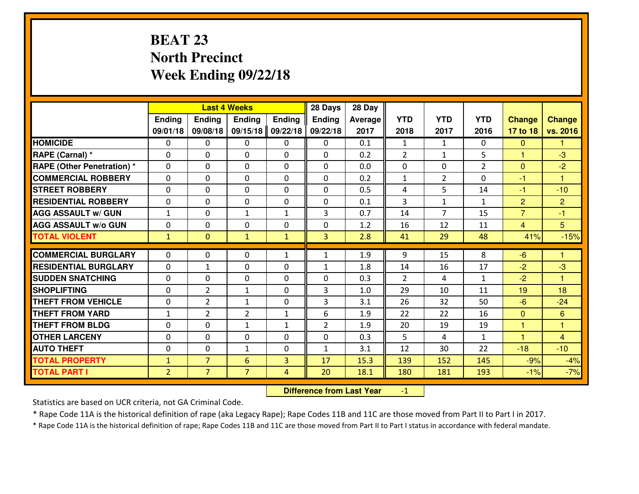# **BEAT 23 North PrecinctWeek Ending 09/22/18**

|                                  |                |                | <b>Last 4 Weeks</b> |               | 28 Days        | 28 Day  |                |                |               |                |                      |
|----------------------------------|----------------|----------------|---------------------|---------------|----------------|---------|----------------|----------------|---------------|----------------|----------------------|
|                                  | Ending         | Ending         | Ending              | <b>Ending</b> | <b>Ending</b>  | Average | <b>YTD</b>     | <b>YTD</b>     | <b>YTD</b>    | <b>Change</b>  | <b>Change</b>        |
|                                  | 09/01/18       | 09/08/18       | 09/15/18            | 09/22/18      | 09/22/18       | 2017    | 2018           | 2017           | 2016          | 17 to 18       | vs. 2016             |
| <b>HOMICIDE</b>                  | 0              | 0              | 0                   | 0             | 0              | 0.1     | 1              | $\mathbf{1}$   | 0             | $\mathbf{0}$   | 1                    |
| RAPE (Carnal) *                  | $\Omega$       | 0              | 0                   | $\Omega$      | 0              | 0.2     | $\overline{2}$ | $\mathbf{1}$   | 5             | $\mathbf{1}$   | $-3$                 |
| <b>RAPE (Other Penetration)*</b> | $\Omega$       | $\Omega$       | $\mathbf 0$         | $\Omega$      | $\Omega$       | 0.0     | $\Omega$       | 0              | $\mathcal{P}$ | $\Omega$       | $-2$                 |
| <b>COMMERCIAL ROBBERY</b>        | $\Omega$       | $\Omega$       | $\mathbf 0$         | $\Omega$      | $\Omega$       | 0.2     | $\mathbf{1}$   | $\overline{2}$ | $\Omega$      | $-1$           | $\blacktriangleleft$ |
| <b>ISTREET ROBBERY</b>           | $\mathbf{0}$   | 0              | $\mathbf{0}$        | 0             | $\Omega$       | 0.5     | 4              | 5              | 14            | $-1$           | $-10$                |
| <b>RESIDENTIAL ROBBERY</b>       | 0              | 0              | $\mathbf 0$         | 0             | 0              | 0.1     | $\overline{3}$ | $\mathbf{1}$   | $\mathbf{1}$  | $\overline{2}$ | $\overline{2}$       |
| <b>AGG ASSAULT W/ GUN</b>        | $\mathbf{1}$   | 0              | $\mathbf{1}$        | $\mathbf{1}$  | 3              | 0.7     | 14             | $\overline{7}$ | 15            | $\overline{7}$ | $-1$                 |
| <b>AGG ASSAULT W/o GUN</b>       | 0              | 0              | $\mathbf 0$         | 0             | 0              | 1.2     | 16             | 12             | 11            | $\overline{4}$ | 5 <sup>5</sup>       |
| <b>TOTAL VIOLENT</b>             | $\mathbf{1}$   | $\overline{0}$ | $\mathbf{1}$        | $\mathbf{1}$  | 3              | 2.8     | 41             | 29             | 48            | 41%            | $-15%$               |
| <b>COMMERCIAL BURGLARY</b>       | $\Omega$       | 0              | $\mathbf{0}$        | $\mathbf{1}$  | 1              | 1.9     | 9              | 15             | 8             | $-6$           | 1                    |
| <b>RESIDENTIAL BURGLARY</b>      | $\Omega$       | $\mathbf{1}$   | $\mathbf 0$         | 0             | $\mathbf{1}$   | 1.8     | 14             | 16             | 17            | $-2$           | $-3$                 |
| <b>SUDDEN SNATCHING</b>          | 0              | 0              | $\mathbf 0$         | $\Omega$      | 0              | 0.3     | $\overline{2}$ | 4              | $\mathbf{1}$  | $-2$           | $\blacktriangleleft$ |
| <b>SHOPLIFTING</b>               | 0              | $\overline{2}$ | $\mathbf{1}$        | 0             | 3              | 1.0     | 29             | 10             | 11            | 19             | 18                   |
| <b>THEFT FROM VEHICLE</b>        | 0              | $\overline{2}$ | $\mathbf{1}$        | 0             | 3              | 3.1     | 26             | 32             | 50            | $-6$           | $-24$                |
| <b>THEFT FROM YARD</b>           | $1\,$          | $\overline{2}$ | $\overline{2}$      | $\mathbf{1}$  | 6              | 1.9     | 22             | 22             | 16            | $\mathbf{0}$   | 6                    |
| <b>THEFT FROM BLDG</b>           | $\mathbf{0}$   | 0              | 1                   | $\mathbf{1}$  | $\overline{2}$ | 1.9     | 20             | 19             | 19            | 1              | 1                    |
| <b>OTHER LARCENY</b>             | 0              | 0              | $\mathbf 0$         | 0             | 0              | 0.3     | 5              | 4              | $\mathbf{1}$  | 1              | $\overline{4}$       |
| <b>AUTO THEFT</b>                | 0              | 0              | 1                   | 0             | 1              | 3.1     | 12             | 30             | 22            | $-18$          | $-10$                |
| <b>TOTAL PROPERTY</b>            | $\mathbf{1}$   | $\overline{7}$ | 6                   | 3             | 17             | 15.3    | 139            | 152            | 145           | $-9%$          | $-4%$                |
| <b>TOTAL PART I</b>              | $\overline{2}$ | $\overline{7}$ | $\overline{7}$      | 4             | 20             | 18.1    | 180            | 181            | 193           | $-1%$          | $-7%$                |

 **Difference from Last Year**-1

Statistics are based on UCR criteria, not GA Criminal Code.

\* Rape Code 11A is the historical definition of rape (aka Legacy Rape); Rape Codes 11B and 11C are those moved from Part II to Part I in 2017.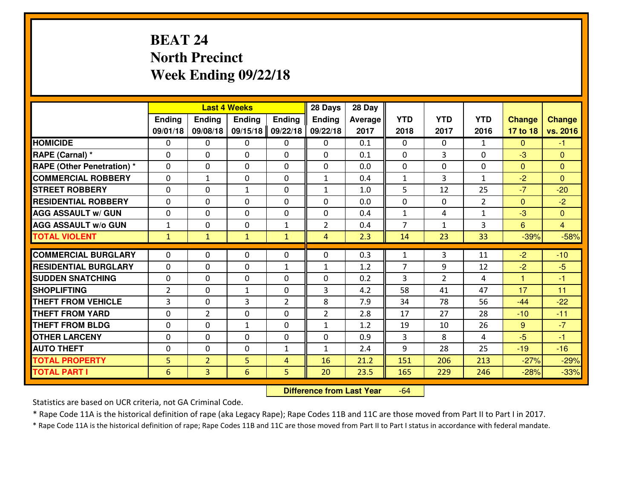# **BEAT 24 North PrecinctWeek Ending 09/22/18**

|                                   |                |                | <b>Last 4 Weeks</b> |                | 28 Days        | 28 Day  |                |                |                |               |                |
|-----------------------------------|----------------|----------------|---------------------|----------------|----------------|---------|----------------|----------------|----------------|---------------|----------------|
|                                   | Ending         | Ending         | <b>Ending</b>       | Ending         | <b>Ending</b>  | Average | <b>YTD</b>     | <b>YTD</b>     | <b>YTD</b>     | <b>Change</b> | <b>Change</b>  |
|                                   | 09/01/18       | 09/08/18       | 09/15/18            | 09/22/18       | 09/22/18       | 2017    | 2018           | 2017           | 2016           | 17 to 18      | vs. 2016       |
| <b>HOMICIDE</b>                   | 0              | $\Omega$       | 0                   | 0              | $\Omega$       | 0.1     | $\Omega$       | $\Omega$       | $\mathbf{1}$   | $\mathbf{0}$  | $-1$           |
| RAPE (Carnal) *                   | $\Omega$       | $\Omega$       | $\Omega$            | 0              | 0              | 0.1     | $\Omega$       | 3              | $\Omega$       | $-3$          | $\Omega$       |
| <b>RAPE (Other Penetration) *</b> | 0              | 0              | $\mathbf 0$         | 0              | 0              | 0.0     | $\mathbf 0$    | 0              | 0              | $\mathbf{0}$  | $\mathbf{0}$   |
| <b>COMMERCIAL ROBBERY</b>         | 0              | $\mathbf{1}$   | 0                   | $\Omega$       | $\mathbf{1}$   | 0.4     | $\mathbf{1}$   | 3              | $\mathbf{1}$   | $-2$          | $\mathbf{0}$   |
| <b>STREET ROBBERY</b>             | 0              | 0              | $\mathbf{1}$        | $\Omega$       | $\mathbf{1}$   | 1.0     | 5              | 12             | 25             | $-7$          | $-20$          |
| <b>RESIDENTIAL ROBBERY</b>        | 0              | 0              | 0                   | $\Omega$       | 0              | 0.0     | $\mathbf 0$    | $\mathbf{0}$   | $\overline{2}$ | $\mathbf{0}$  | $-2$           |
| <b>AGG ASSAULT W/ GUN</b>         | 0              | 0              | $\mathbf 0$         | $\Omega$       | 0              | 0.4     | $\mathbf{1}$   | 4              | $\mathbf{1}$   | $-3$          | $\overline{0}$ |
| <b>AGG ASSAULT W/o GUN</b>        | $\mathbf{1}$   | 0              | $\mathbf 0$         | $\mathbf{1}$   | $\overline{2}$ | 0.4     | $\overline{7}$ | $\mathbf{1}$   | 3              | 6             | $\overline{4}$ |
| <b>TOTAL VIOLENT</b>              | $\mathbf{1}$   | $\mathbf{1}$   | $\mathbf{1}$        | $\mathbf{1}$   | 4              | 2.3     | 14             | 23             | 33             | $-39%$        | $-58%$         |
| <b>COMMERCIAL BURGLARY</b>        | $\Omega$       | 0              | $\mathbf{0}$        | 0              | 0              | 0.3     | $\mathbf{1}$   | 3              | 11             | $-2$          | $-10$          |
| <b>RESIDENTIAL BURGLARY</b>       | $\Omega$       | 0              | 0                   | $\mathbf{1}$   | $\mathbf{1}$   | 1.2     | $\overline{7}$ | 9              | 12             | $-2$          | $-5$           |
| <b>SUDDEN SNATCHING</b>           | 0              | 0              | 0                   | $\Omega$       | 0              | 0.2     | 3              | $\overline{2}$ | 4              | 1.            | $-1$           |
| <b>SHOPLIFTING</b>                | $\overline{2}$ | 0              | $\mathbf{1}$        | 0              | 3              | 4.2     | 58             | 41             | 47             | 17            | 11             |
| <b>THEFT FROM VEHICLE</b>         | 3              | 0              | 3                   | $\overline{2}$ | 8              | 7.9     | 34             | 78             | 56             | $-44$         | $-22$          |
| <b>THEFT FROM YARD</b>            | 0              | $\overline{2}$ | $\mathbf 0$         | 0              | $\overline{2}$ | 2.8     | 17             | 27             | 28             | $-10$         | $-11$          |
| <b>THEFT FROM BLDG</b>            | 0              | 0              | $\mathbf{1}$        | $\Omega$       | $\mathbf{1}$   | 1.2     | 19             | 10             | 26             | 9             | $-7$           |
| <b>OTHER LARCENY</b>              | 0              | 0              | $\mathbf 0$         | 0              | 0              | 0.9     | 3              | 8              | 4              | $-5$          | $-1$           |
| <b>AUTO THEFT</b>                 | 0              | 0              | $\mathbf 0$         | $\mathbf{1}$   | $\mathbf{1}$   | 2.4     | 9              | 28             | 25             | $-19$         | $-16$          |
| <b>TOTAL PROPERTY</b>             | 5              | $\overline{2}$ | 5                   | $\overline{4}$ | 16             | 21.2    | 151            | 206            | 213            | $-27%$        | $-29%$         |
| <b>TOTAL PART I</b>               | 6              | $\overline{3}$ | 6                   | 5              | 20             | 23.5    | 165            | 229            | 246            | $-28%$        | $-33%$         |

 **Difference from Last Year**-64

Statistics are based on UCR criteria, not GA Criminal Code.

\* Rape Code 11A is the historical definition of rape (aka Legacy Rape); Rape Codes 11B and 11C are those moved from Part II to Part I in 2017.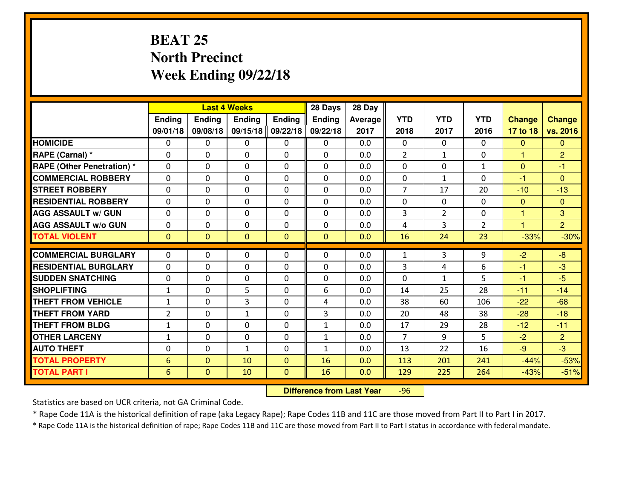# **BEAT 25 North PrecinctWeek Ending 09/22/18**

|                                   |                 |                | <b>Last 4 Weeks</b> |                | 28 Days       | 28 Day  |                |                |                |               |                |
|-----------------------------------|-----------------|----------------|---------------------|----------------|---------------|---------|----------------|----------------|----------------|---------------|----------------|
|                                   | Ending          | <b>Ending</b>  | Ending              | <b>Ending</b>  | <b>Ending</b> | Average | <b>YTD</b>     | <b>YTD</b>     | <b>YTD</b>     | <b>Change</b> | <b>Change</b>  |
|                                   | 09/01/18        | 09/08/18       | 09/15/18            | 09/22/18       | 09/22/18      | 2017    | 2018           | 2017           | 2016           | 17 to 18      | vs. 2016       |
| <b>HOMICIDE</b>                   | $\Omega$        | 0              | 0                   | $\Omega$       | 0             | 0.0     | 0              | $\Omega$       | 0              | $\Omega$      | $\Omega$       |
| RAPE (Carnal) *                   | $\mathbf{0}$    | 0              | $\mathbf{0}$        | 0              | $\Omega$      | 0.0     | $\overline{2}$ | $\mathbf{1}$   | 0              | $\mathbf{1}$  | $\overline{2}$ |
| <b>RAPE (Other Penetration) *</b> | $\mathbf{0}$    | 0              | $\mathbf{0}$        | $\Omega$       | $\Omega$      | 0.0     | $\Omega$       | 0              | $\mathbf{1}$   | $\mathbf{0}$  | $-1$           |
| <b>COMMERCIAL ROBBERY</b>         | $\mathbf{0}$    | 0              | 0                   | $\Omega$       | $\Omega$      | 0.0     | $\Omega$       | $\mathbf{1}$   | 0              | $-1$          | $\mathbf{0}$   |
| <b>ISTREET ROBBERY</b>            | $\mathbf{0}$    | 0              | $\mathbf{0}$        | 0              | $\Omega$      | 0.0     | $\overline{7}$ | 17             | 20             | $-10$         | $-13$          |
| <b>RESIDENTIAL ROBBERY</b>        | $\Omega$        | 0              | $\mathbf 0$         | 0              | 0             | 0.0     | 0              | $\mathbf{0}$   | 0              | $\mathbf{0}$  | $\mathbf{0}$   |
| <b>AGG ASSAULT W/ GUN</b>         | 0               | 0              | $\mathbf 0$         | 0              | 0             | 0.0     | 3              | $\overline{2}$ | 0              | $\mathbf{1}$  | 3              |
| <b>AGG ASSAULT W/o GUN</b>        | 0               | 0              | $\mathbf 0$         | 0              | 0             | 0.0     | 4              | 3              | $\overline{2}$ | $\mathbf{1}$  | $\overline{2}$ |
| <b>TOTAL VIOLENT</b>              | $\mathbf{0}$    | $\overline{0}$ | $\overline{0}$      | $\overline{0}$ | $\mathbf{0}$  | 0.0     | 16             | 24             | 23             | $-33%$        | $-30%$         |
| <b>COMMERCIAL BURGLARY</b>        | $\mathbf{0}$    | 0              | 0                   | 0              | $\Omega$      | 0.0     | 1              | 3              | 9              | $-2$          | $-8$           |
| <b>RESIDENTIAL BURGLARY</b>       | $\Omega$        | 0              | $\mathbf{0}$        | 0              | $\Omega$      | 0.0     | 3              | 4              | 6              | -1            | $-3$           |
| <b>SUDDEN SNATCHING</b>           | $\mathbf{0}$    | 0              | 0                   | $\Omega$       | $\Omega$      | 0.0     | $\Omega$       | $\mathbf{1}$   | 5.             | -1            | $-5$           |
| <b>SHOPLIFTING</b>                | $\mathbf{1}$    | 0              | 5                   | $\Omega$       | 6             | 0.0     | 14             | 25             | 28             | $-11$         | $-14$          |
| <b>THEFT FROM VEHICLE</b>         | $\mathbf{1}$    | 0              | 3                   | $\Omega$       | 4             | 0.0     | 38             | 60             | 106            | $-22$         | $-68$          |
| <b>THEFT FROM YARD</b>            | $\overline{2}$  | 0              | $\mathbf{1}$        | $\Omega$       | 3             | 0.0     | 20             | 48             | 38             | $-28$         | $-18$          |
| <b>THEFT FROM BLDG</b>            | $\mathbf{1}$    | 0              | $\mathbf 0$         | 0              | $\mathbf{1}$  | 0.0     | 17             | 29             | 28             | $-12$         | $-11$          |
| <b>OTHER LARCENY</b>              | $\mathbf{1}$    | 0              | $\mathbf 0$         | 0              | $\mathbf{1}$  | 0.0     | $\overline{7}$ | 9              | 5              | $-2$          | $\overline{2}$ |
| <b>AUTO THEFT</b>                 | $\mathbf{0}$    | 0              | $\mathbf{1}$        | 0              | $\mathbf{1}$  | 0.0     | 13             | 22             | 16             | $-9$          | $-3$           |
| <b>TOTAL PROPERTY</b>             | $6\phantom{1}6$ | $\overline{0}$ | 10                  | $\mathbf{0}$   | 16            | 0.0     | 113            | 201            | 241            | $-44%$        | $-53%$         |
| <b>TOTAL PART I</b>               | $6\phantom{1}6$ | $\overline{0}$ | 10                  | $\mathbf{0}$   | 16            | 0.0     | 129            | 225            | 264            | $-43%$        | $-51%$         |

 **Difference from Last Year**-96

Statistics are based on UCR criteria, not GA Criminal Code.

\* Rape Code 11A is the historical definition of rape (aka Legacy Rape); Rape Codes 11B and 11C are those moved from Part II to Part I in 2017.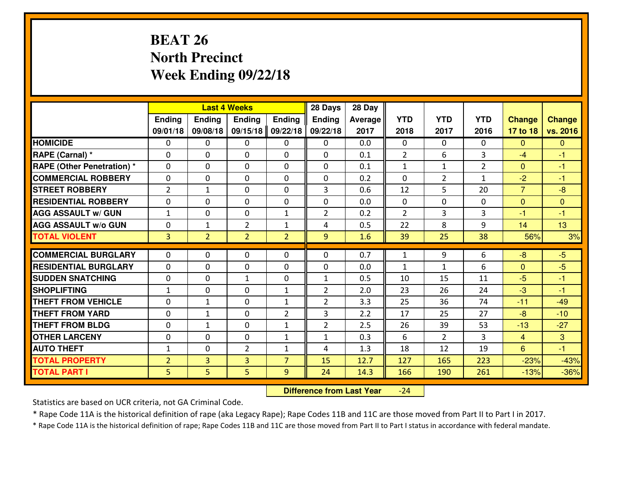# **BEAT 26 North PrecinctWeek Ending 09/22/18**

|                                  |                |                | <b>Last 4 Weeks</b> |                | 28 Days        | 28 Day  |                |                |                |                |               |
|----------------------------------|----------------|----------------|---------------------|----------------|----------------|---------|----------------|----------------|----------------|----------------|---------------|
|                                  | <b>Ending</b>  | <b>Ending</b>  | <b>Endina</b>       | <b>Ending</b>  | <b>Ending</b>  | Average | <b>YTD</b>     | <b>YTD</b>     | <b>YTD</b>     | <b>Change</b>  | <b>Change</b> |
|                                  | 09/01/18       | 09/08/18       | 09/15/18            | 09/22/18       | 09/22/18       | 2017    | 2018           | 2017           | 2016           | 17 to 18       | vs. 2016      |
| <b>HOMICIDE</b>                  | $\Omega$       | 0              | 0                   | 0              | 0              | 0.0     | 0              | $\Omega$       | 0              | $\Omega$       | $\mathbf{0}$  |
| RAPE (Carnal) *                  | $\Omega$       | 0              | $\mathbf{0}$        | 0              | $\Omega$       | 0.1     | 2              | 6              | 3              | $-4$           | -1            |
| <b>RAPE (Other Penetration)*</b> | $\Omega$       | $\Omega$       | $\mathbf 0$         | $\Omega$       | $\Omega$       | 0.1     | $\mathbf{1}$   | $\mathbf{1}$   | $\overline{2}$ | $\Omega$       | $-1$          |
| <b>COMMERCIAL ROBBERY</b>        | $\Omega$       | 0              | $\mathbf 0$         | $\Omega$       | 0              | 0.2     | 0              | $\overline{2}$ | $\mathbf{1}$   | $-2$           | $-1$          |
| <b>STREET ROBBERY</b>            | $\overline{2}$ | $\mathbf{1}$   | $\mathbf 0$         | $\Omega$       | 3              | 0.6     | 12             | 5              | 20             | $\overline{7}$ | $-8$          |
| <b>RESIDENTIAL ROBBERY</b>       | $\Omega$       | $\Omega$       | $\mathbf 0$         | $\Omega$       | 0              | 0.0     | 0              | $\Omega$       | 0              | $\mathbf{0}$   | $\Omega$      |
| <b>AGG ASSAULT w/ GUN</b>        | $1\,$          | 0              | $\mathbf 0$         | $\mathbf{1}$   | $\overline{2}$ | 0.2     | $\overline{2}$ | 3              | 3              | $-1$           | $-1$          |
| <b>AGG ASSAULT w/o GUN</b>       | 0              | $\mathbf{1}$   | $\overline{2}$      | $\mathbf{1}$   | 4              | 0.5     | 22             | 8              | 9              | 14             | 13            |
| <b>TOTAL VIOLENT</b>             | $\overline{3}$ | $\overline{2}$ | $\overline{2}$      | $\overline{2}$ | 9              | 1.6     | 39             | 25             | 38             | 56%            | 3%            |
| <b>COMMERCIAL BURGLARY</b>       | $\Omega$       | 0              | 0                   | $\Omega$       | $\Omega$       | 0.7     | $\mathbf{1}$   | 9              | 6              | $-8$           | $-5$          |
| <b>RESIDENTIAL BURGLARY</b>      | 0              | 0              | $\mathbf 0$         | 0              | 0              | 0.0     | $\mathbf{1}$   | $\mathbf{1}$   | 6              | $\Omega$       | $-5$          |
| <b>SUDDEN SNATCHING</b>          | 0              | 0              | 1                   | 0              | $\mathbf{1}$   | 0.5     | 10             | 15             | 11             | $-5$           | $-1$          |
| <b>SHOPLIFTING</b>               | $\mathbf{1}$   | 0              | $\mathbf 0$         | $\mathbf{1}$   | $\overline{2}$ | 2.0     | 23             | 26             | 24             | $-3$           | $-1$          |
| <b>THEFT FROM VEHICLE</b>        | $\Omega$       | $\mathbf{1}$   | $\mathbf 0$         | $\mathbf{1}$   | $\overline{2}$ | 3.3     | 25             | 36             | 74             | $-11$          | $-49$         |
| <b>THEFT FROM YARD</b>           | $\mathbf 0$    | $\mathbf{1}$   | $\mathbf 0$         | $\overline{2}$ | 3              | 2.2     | 17             | 25             | 27             | $-8$           | $-10$         |
| <b>THEFT FROM BLDG</b>           | 0              | 1              | $\mathbf 0$         | $\mathbf{1}$   | $\overline{2}$ | 2.5     | 26             | 39             | 53             | $-13$          | $-27$         |
| <b>OTHER LARCENY</b>             | 0              | 0              | $\mathbf 0$         | $\mathbf{1}$   | $\mathbf{1}$   | 0.3     | 6              | $\overline{2}$ | 3              | $\overline{4}$ | 3             |
| <b>AUTO THEFT</b>                | $\mathbf{1}$   | 0              | $\overline{2}$      | $\mathbf{1}$   | 4              | 1.3     | 18             | 12             | 19             | 6              | $-1$          |
| <b>TOTAL PROPERTY</b>            | $\overline{2}$ | 3              | 3                   | $\overline{7}$ | 15             | 12.7    | 127            | 165            | 223            | $-23%$         | $-43%$        |
| <b>TOTAL PART I</b>              | 5 <sup>1</sup> | 5              | 5                   | 9              | 24             | 14.3    | 166            | 190            | 261            | $-13%$         |               |
|                                  |                |                |                     |                |                |         |                |                |                |                | $-36%$        |

 **Difference from Last Year**-24

Statistics are based on UCR criteria, not GA Criminal Code.

\* Rape Code 11A is the historical definition of rape (aka Legacy Rape); Rape Codes 11B and 11C are those moved from Part II to Part I in 2017.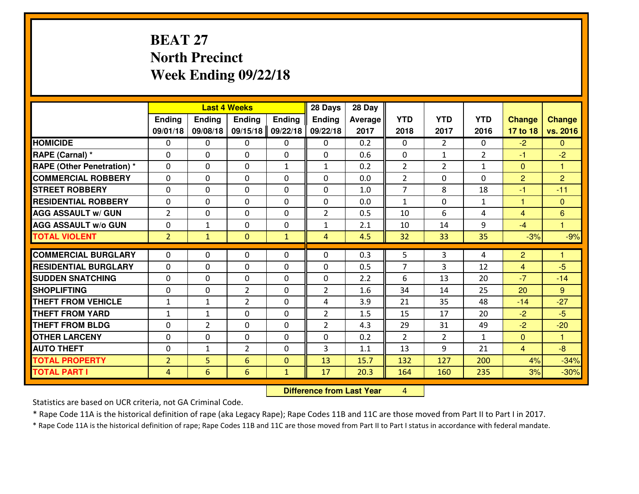# **BEAT 27 North PrecinctWeek Ending 09/22/18**

|                                               |                |                | <b>Last 4 Weeks</b>           |              | 28 Days             | 28 Day     |                |                |                |                |                      |
|-----------------------------------------------|----------------|----------------|-------------------------------|--------------|---------------------|------------|----------------|----------------|----------------|----------------|----------------------|
|                                               | Ending         | <b>Ending</b>  | <b>Ending</b>                 | Ending       | <b>Ending</b>       | Average    | <b>YTD</b>     | <b>YTD</b>     | <b>YTD</b>     | <b>Change</b>  | <b>Change</b>        |
|                                               | 09/01/18       | 09/08/18       | 09/15/18                      | 09/22/18     | 09/22/18            | 2017       | 2018           | 2017           | 2016           | 17 to 18       | vs. 2016             |
| <b>HOMICIDE</b>                               | $\Omega$       | 0              | 0                             | 0            | 0                   | 0.2        | $\Omega$       | $\overline{2}$ | 0              | $-2$           | $\Omega$             |
| RAPE (Carnal) *                               | 0              | 0              | $\mathbf{0}$                  | 0            | $\Omega$            | 0.6        | $\mathbf{0}$   | $\mathbf{1}$   | $\overline{2}$ | $-1$           | $-2$                 |
| <b>RAPE (Other Penetration) *</b>             | $\Omega$       | 0              | $\mathbf{0}$                  | $\mathbf{1}$ | $\mathbf{1}$        | 0.2        | 2              | $\overline{2}$ | $\mathbf{1}$   | $\mathbf{0}$   | 1                    |
| <b>COMMERCIAL ROBBERY</b>                     | 0              | 0              | 0                             | 0            | 0                   | 0.0        | $\overline{2}$ | 0              | $\Omega$       | $\overline{2}$ | $\overline{2}$       |
| <b>STREET ROBBERY</b>                         | $\Omega$       | 0              | $\mathbf 0$                   | 0            | 0                   | 1.0        | $\overline{7}$ | 8              | 18             | $-1$           | $-11$                |
| <b>RESIDENTIAL ROBBERY</b>                    | $\Omega$       | $\Omega$       | $\mathbf 0$                   | $\Omega$     | 0                   | 0.0        | $\mathbf{1}$   | 0              | $\mathbf{1}$   | $\mathbf{1}$   | $\overline{0}$       |
| <b>AGG ASSAULT W/ GUN</b>                     | $\overline{2}$ | 0              | $\mathbf 0$                   | 0            | $\overline{2}$      | 0.5        | 10             | 6              | 4              | $\overline{4}$ | $6\phantom{1}$       |
| <b>AGG ASSAULT W/o GUN</b>                    | 0              | 1              | $\mathbf 0$                   | 0            | $\mathbf{1}$        | 2.1        | 10             | 14             | 9              | $-4$           | $\mathbf{1}$         |
| <b>TOTAL VIOLENT</b>                          | 2 <sup>1</sup> | $\mathbf{1}$   | $\overline{0}$                | $\mathbf{1}$ | $\overline{4}$      | 4.5        | 32             | 33             | 35             | $-3%$          | $-9%$                |
| <b>COMMERCIAL BURGLARY</b>                    | $\Omega$       | 0              | $\mathbf{0}$                  | $\Omega$     | $\Omega$            | 0.3        | 5              | 3              | 4              | $\overline{c}$ | 1                    |
| <b>RESIDENTIAL BURGLARY</b>                   | 0              | 0              | $\mathbf 0$                   | 0            | 0                   | 0.5        | 7              | 3              | 12             | $\overline{4}$ | $-5$                 |
|                                               |                |                |                               |              |                     |            |                |                |                | $-7$           |                      |
| <b>SUDDEN SNATCHING</b><br><b>SHOPLIFTING</b> | 0<br>0         | 0<br>0         | $\mathbf 0$<br>$\overline{2}$ | 0<br>0       | 0<br>$\overline{2}$ | 2.2<br>1.6 | 6<br>34        | 13<br>14       | 20<br>25       | 20             | $-14$<br>$9^{\circ}$ |
| <b>THEFT FROM VEHICLE</b>                     | $\mathbf{1}$   | $\mathbf{1}$   | $\overline{2}$                | 0            | 4                   | 3.9        | 21             | 35             | 48             | $-14$          | $-27$                |
| <b>THEFT FROM YARD</b>                        |                | $\mathbf{1}$   | $\mathbf 0$                   | 0            | $\overline{2}$      | 1.5        | 15             | 17             | 20             | $-2$           | $-5$                 |
| <b>THEFT FROM BLDG</b>                        | $\mathbf 1$    |                |                               |              |                     |            |                |                |                |                |                      |
|                                               | 0              | $\overline{2}$ | $\mathbf 0$                   | 0            | $\overline{2}$      | 4.3        | 29             | 31             | 49             | $-2$           | $-20$                |
| <b>OTHER LARCENY</b>                          | 0              | 0              | $\mathbf 0$                   | 0            | 0                   | 0.2        | 2              | $\overline{2}$ | $\mathbf{1}$   | $\overline{0}$ | $\mathbf{1}$         |
| <b>AUTO THEFT</b>                             | 0              | $\mathbf{1}$   | $\overline{2}$                | 0            | 3                   | 1.1        | 13             | 9              | 21             | $\overline{4}$ | $-8$                 |
| <b>TOTAL PROPERTY</b>                         | $\overline{2}$ | 5              | 6                             | $\mathbf{0}$ | 13                  | 15.7       | 132            | 127            | 200            | 4%             | $-34%$               |
| <b>TOTAL PART I</b>                           | $\overline{4}$ | 6              | 6                             | $\mathbf{1}$ | 17                  | 20.3       | 164            | 160            | 235            | 3%             | $-30%$               |

 **Difference from Last Year**<sup>4</sup>

Statistics are based on UCR criteria, not GA Criminal Code.

\* Rape Code 11A is the historical definition of rape (aka Legacy Rape); Rape Codes 11B and 11C are those moved from Part II to Part I in 2017.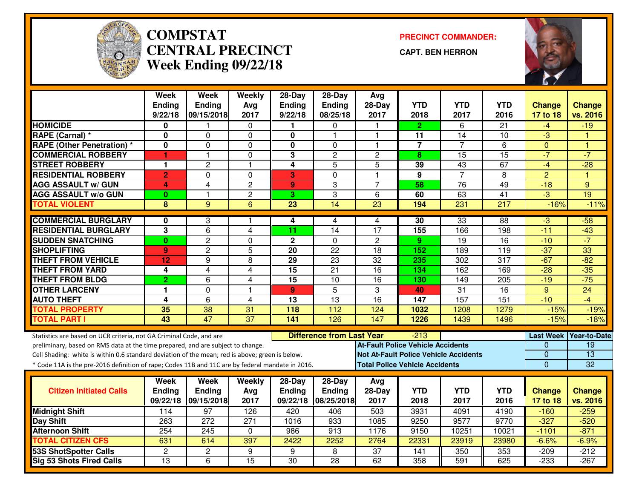

#### **COMPSTAT PRECINCT COMMANDER: CENTRAL PRECINCTWeek Ending 09/22/18**

**CAPT. BEN HERRON**



|                                                                                                  | <b>Week</b>                  | <b>Week</b>         | Weekly                       | $28-Day$                | $28-Day$                         | Avg                                      |                  |                                              |                         |                         |                          |
|--------------------------------------------------------------------------------------------------|------------------------------|---------------------|------------------------------|-------------------------|----------------------------------|------------------------------------------|------------------|----------------------------------------------|-------------------------|-------------------------|--------------------------|
|                                                                                                  | Ending                       | Ending              | Avg                          | <b>Ending</b>           | Ending                           | 28-Day                                   | <b>YTD</b>       | <b>YTD</b>                                   | <b>YTD</b>              | Change                  | <b>Change</b>            |
|                                                                                                  | 9/22/18                      | 09/15/2018          | 2017                         | 9/22/18                 | 08/25/18                         | 2017                                     | 2018             | 2017                                         | 2016                    | 17 to 18                | vs. 2016                 |
| <b>HOMICIDE</b>                                                                                  | 0                            |                     | 0                            | 1                       | 0                                |                                          | $\mathbf{2}$     | 6                                            | $\overline{21}$         | -4                      | $-19$                    |
| RAPE (Carnal) *                                                                                  | $\mathbf 0$                  | 0                   | $\Omega$                     | $\mathbf 0$             |                                  | $\mathbf 1$                              | 11               | 14                                           | 10                      | -3                      |                          |
| <b>RAPE (Other Penetration) *</b>                                                                | 0                            | 0                   | 0                            | $\mathbf 0$             | 0                                | 1                                        | $\overline{7}$   | 7                                            | 6                       | $\mathbf{0}$            | $\overline{1}$           |
| <b>COMMERCIAL ROBBERY</b>                                                                        | 1                            | $\mathbf{1}$        | 0                            | 3                       | $\overline{2}$                   | $\overline{2}$                           | 8                | $\overline{15}$                              | $\overline{15}$         | $-7$                    | $-7$                     |
| <b>STREET ROBBERY</b>                                                                            | 1                            | $\overline{c}$      | $\mathbf{1}$                 | 4                       | 5                                | 5                                        | 39               | 43                                           | 67                      | $-4$                    | $-28$                    |
| <b>RESIDENTIAL ROBBERY</b>                                                                       | $\overline{2}$               | $\overline{0}$      | 0                            | 3                       | $\overline{0}$                   | $\overline{1}$                           | $\overline{9}$   | $\overline{7}$                               | $\overline{8}$          | $\overline{2}$          | $\overline{1}$           |
| <b>AGG ASSAULT w/ GUN</b>                                                                        | 4                            | 4                   | $\overline{c}$               | 9                       | 3                                | $\overline{7}$                           | 58               | $\overline{76}$                              | 49                      | $-18$                   | 9                        |
| <b>AGG ASSAULT w/o GUN</b>                                                                       | $\bf{0}$                     | $\mathbf{1}$        | $\overline{2}$               | $\overline{\mathbf{3}}$ | 3                                | $\overline{6}$                           | 60               | 63                                           | 41                      | $-3$                    | 19                       |
| <b>TOTAL VIOLENT</b>                                                                             | 8                            | $\overline{9}$      | 6                            | $\overline{23}$         | 14                               | 23                                       | 194              | 231                                          | 217                     | $-16%$                  | $-11%$                   |
|                                                                                                  |                              |                     |                              |                         |                                  |                                          |                  | 33                                           | 88                      |                         |                          |
| <b>COMMERCIAL BURGLARY</b><br><b>RESIDENTIAL BURGLARY</b>                                        | 0<br>$\overline{\mathbf{3}}$ | 3<br>$\overline{6}$ |                              | 4<br>11                 | 4<br>$\overline{14}$             | 4<br>17                                  | 30               | 166                                          |                         | $-3$<br>$-11$           | $-58$                    |
|                                                                                                  | $\bf{0}$                     | $\overline{2}$      | 4<br>$\Omega$                |                         | $\mathbf 0$                      | $\overline{2}$                           | 155<br>9         | 19                                           | 198<br>16               | $-10$                   | $-43$<br>$-7$            |
| <b>SUDDEN SNATCHING</b>                                                                          |                              |                     |                              | $\mathbf 2$             | $\overline{22}$                  |                                          |                  |                                              |                         |                         |                          |
| <b>SHOPLIFTING</b>                                                                               | 9                            | $\overline{c}$      | 5                            | 20                      | $\overline{23}$                  | 18<br>$\overline{32}$                    | 152              | 189                                          | 119<br>$\overline{317}$ | $-37$<br>$-67$          | 33<br>$-82$              |
| <b>THEFT FROM VEHICLE</b>                                                                        | 12                           | 9<br>$\overline{4}$ | 8                            | 29                      |                                  |                                          | 235              | 302                                          |                         |                         | $-35$                    |
| <b>THEFT FROM YARD</b>                                                                           | 4                            |                     | 4                            | $\overline{15}$         | $\overline{21}$                  | 16                                       | 134              | 162                                          | 169                     | $-28$                   |                          |
| <b>THEFT FROM BLDG</b><br><b>OTHER LARCENY</b>                                                   | $\overline{2}$<br>1          | 6<br>0              | 4<br>$\overline{\mathbf{1}}$ | 15                      | 10<br>$\overline{5}$             | 16<br>3                                  | 130              | 149<br>$\overline{31}$                       | 205<br>$\overline{16}$  | $-19$<br>$\overline{9}$ | $-75$<br>$\overline{24}$ |
|                                                                                                  |                              |                     |                              | 9                       | $\overline{13}$                  |                                          | 40<br>147        | 157                                          | 151                     | $-10$                   | $-4$                     |
| <b>AUTO THEFT</b>                                                                                | $\overline{\mathbf{4}}$      | 6                   | 4                            | 13                      | 112                              | 16                                       | 1032             |                                              |                         |                         |                          |
| <b>TOTAL PROPERTY</b>                                                                            | 35<br>$\overline{43}$        | 38<br>47            | 31<br>$\overline{37}$        | 118                     | 126                              | 124                                      |                  | 1208                                         | 1279                    | $-15%$                  | $-19%$                   |
| <b>TOTAL PART I</b>                                                                              |                              |                     |                              | 141                     |                                  | 147                                      | 1226             | 1439                                         | 1496                    | $-15%$                  | $-18%$                   |
| Statistics are based on UCR criteria, not GA Criminal Code, and are                              |                              |                     |                              |                         | <b>Difference from Last Year</b> |                                          | $-213$           |                                              |                         | <b>Last Week</b>        | <b>Year-to-Date</b>      |
| preliminary, based on RMS data at the time prepared, and are subject to change.                  |                              |                     |                              |                         |                                  | <b>At-Fault Police Vehicle Accidents</b> |                  |                                              |                         | $\Omega$                | $\overline{19}$          |
| Cell Shading: white is within 0.6 standard deviation of the mean; red is above; green is below.  |                              |                     |                              |                         |                                  |                                          |                  | <b>Not At-Fault Police Vehicle Accidents</b> |                         | 0                       | $\overline{13}$          |
| * Code 11A is the pre-2016 definition of rape; Codes 11B and 11C are by federal mandate in 2016. |                              |                     |                              |                         |                                  | <b>Total Police Vehicle Accidents</b>    |                  |                                              |                         | $\mathbf 0$             | 32                       |
|                                                                                                  |                              |                     |                              |                         |                                  |                                          |                  |                                              |                         |                         |                          |
|                                                                                                  | <b>Week</b>                  | Week                | Weekly                       | $28-Day$                | $28-Day$                         | Avg                                      |                  |                                              |                         |                         |                          |
| <b>Citizen Initiated Calls</b>                                                                   | Ending                       | <b>Ending</b>       | Avg                          | <b>Ending</b>           | <b>Ending</b>                    | 28-Day                                   | <b>YTD</b>       | <b>YTD</b>                                   | <b>YTD</b>              | <b>Change</b>           | <b>Change</b>            |
|                                                                                                  | 09/22/18                     | 09/15/2018          | 2017                         | 09/22/18                | 08/25/2018                       | 2017                                     | 2018             | 2017                                         | 2016                    | 17 to 18                | vs. 2016                 |
| <b>Midnight Shift</b>                                                                            | 114                          | 97                  | 126                          | 420                     | 406                              | 503                                      | 3931             | 4091                                         | 4190                    | $-160$                  | $-259$                   |
| <b>Day Shift</b>                                                                                 | 263                          | 272                 | 271                          | 1016                    | 933                              | 1085                                     | 9250             | 9577                                         | 9770                    | $-327$                  | $-520$                   |
| <b>Afternoon Shift</b>                                                                           | 254                          | 245                 | 0                            | 986                     | 913                              | 1176                                     | 9150             | 10251                                        | 10021                   | $-1101$                 | $-871$                   |
| <b>TOTAL CITIZEN CFS</b>                                                                         | 631                          | 614                 | 397                          | 2422                    | 2252                             | 2764                                     | 22331            | 23919                                        | 23980                   | $-6.6%$                 | $-6.9%$                  |
| <b>53S ShotSpotter Calls</b>                                                                     | $\overline{2}$               | $\overline{2}$      | 9                            | 9                       | 8                                | $\overline{37}$                          | $\overline{141}$ | 350                                          | 353                     | $-209$                  | $-212$                   |
| Sig 53 Shots Fired Calls                                                                         | $\overline{13}$              | 6                   | 15                           | $\overline{30}$         | $\overline{28}$                  | 62                                       | 358              | 591                                          | 625                     | $-233$                  | $-267$                   |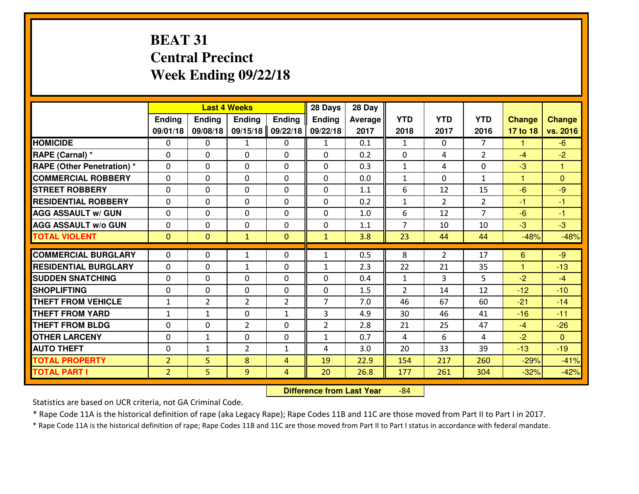# **BEAT 31 Central PrecinctWeek Ending 09/22/18**

|                                  |                |                | <b>Last 4 Weeks</b> |                | 28 Days        | 28 Day  |                |                |                |               |                |
|----------------------------------|----------------|----------------|---------------------|----------------|----------------|---------|----------------|----------------|----------------|---------------|----------------|
|                                  | Ending         | <b>Ending</b>  | <b>Ending</b>       | <b>Ending</b>  | <b>Ending</b>  | Average | <b>YTD</b>     | <b>YTD</b>     | <b>YTD</b>     | <b>Change</b> | <b>Change</b>  |
|                                  | 09/01/18       | 09/08/18       | 09/15/18            | 09/22/18       | 09/22/18       | 2017    | 2018           | 2017           | 2016           | 17 to 18      | vs. 2016       |
| <b>HOMICIDE</b>                  | $\Omega$       | 0              | 1                   | 0              | 1              | 0.1     | 1              | $\Omega$       | $\overline{7}$ | 1             | $-6$           |
| RAPE (Carnal) *                  | $\Omega$       | 0              | $\Omega$            | 0              | $\Omega$       | 0.2     | $\Omega$       | 4              | $\overline{2}$ | $-4$          | $-2$           |
| <b>RAPE (Other Penetration)*</b> | 0              | 0              | $\mathbf 0$         | 0              | 0              | 0.3     | $\mathbf{1}$   | 4              | 0              | $-3$          | 1              |
| <b>COMMERCIAL ROBBERY</b>        | 0              | 0              | $\mathbf 0$         | 0              | 0              | 0.0     | $\mathbf{1}$   | 0              | $\mathbf{1}$   | $\mathbf{1}$  | $\mathbf{0}$   |
| <b>STREET ROBBERY</b>            | $\mathbf{0}$   | 0              | $\mathbf 0$         | 0              | 0              | 1.1     | 6              | 12             | 15             | $-6$          | $-9$           |
| <b>RESIDENTIAL ROBBERY</b>       | 0              | 0              | $\mathbf 0$         | 0              | 0              | 0.2     | $\mathbf{1}$   | $\overline{2}$ | $\overline{2}$ | $-1$          | $-1$           |
| <b>AGG ASSAULT W/ GUN</b>        | 0              | 0              | $\mathbf 0$         | 0              | 0              | 1.0     | 6              | 12             | $\overline{7}$ | $-6$          | $-1$           |
| <b>AGG ASSAULT W/o GUN</b>       | 0              | 0              | 0                   | $\mathbf{0}$   | 0              | 1.1     | $\overline{7}$ | 10             | 10             | $-3$          | $-3$           |
| <b>TOTAL VIOLENT</b>             | $\mathbf{0}$   | $\overline{0}$ | $\mathbf{1}$        | $\mathbf{0}$   | $\mathbf{1}$   | 3.8     | 23             | 44             | 44             | $-48%$        | $-48%$         |
| <b>COMMERCIAL BURGLARY</b>       | $\Omega$       | 0              | $\mathbf{1}$        | 0              | $\mathbf{1}$   | 0.5     | 8              | $\overline{2}$ | 17             | 6             | $-9$           |
| <b>RESIDENTIAL BURGLARY</b>      | $\mathbf{0}$   | 0              | 1                   | 0              | $\mathbf{1}$   | 2.3     | 22             | 21             | 35             | $\mathbf{1}$  | $-13$          |
| <b>SUDDEN SNATCHING</b>          | $\mathbf{0}$   | 0              | $\mathbf 0$         | 0              | 0              | 0.4     | $\mathbf{1}$   | 3              | 5              | $-2$          | $-4$           |
| <b>SHOPLIFTING</b>               | 0              | 0              | $\mathbf 0$         | 0              | 0              | 1.5     | $\overline{2}$ | 14             | 12             | $-12$         | $-10$          |
| <b>THEFT FROM VEHICLE</b>        | $\mathbf{1}$   | $\overline{2}$ | $\overline{2}$      | $\overline{2}$ | $\overline{7}$ | 7.0     | 46             | 67             | 60             | $-21$         | $-14$          |
| <b>THEFT FROM YARD</b>           | $\mathbf{1}$   | 1              | $\mathbf 0$         | $\mathbf{1}$   | 3              | 4.9     | 30             | 46             | 41             | $-16$         | $-11$          |
| <b>THEFT FROM BLDG</b>           | 0              | 0              | $\overline{2}$      | $\mathbf{0}$   | $\overline{2}$ | 2.8     | 21             | 25             | 47             | $-4$          | $-26$          |
| <b>OTHER LARCENY</b>             | 0              | $\mathbf{1}$   | $\mathbf 0$         | $\mathbf 0$    | $\mathbf{1}$   | 0.7     | 4              | 6              | 4              | $-2$          | $\overline{0}$ |
| <b>AUTO THEFT</b>                | 0              | $\mathbf{1}$   | $\overline{2}$      | $\mathbf{1}$   | 4              | 3.0     | 20             | 33             | 39             | $-13$         | $-19$          |
| <b>TOTAL PROPERTY</b>            | $\overline{2}$ | 5              | 8                   | $\overline{4}$ | 19             | 22.9    | 154            | 217            | 260            | $-29%$        | $-41%$         |
| <b>TOTAL PART I</b>              | $\overline{2}$ | 5              | 9                   | 4              | 20             | 26.8    | 177            | 261            | 304            | $-32%$        | $-42%$         |
|                                  |                |                |                     |                |                |         |                |                |                |               |                |

 **Difference from Last Year**-84

Statistics are based on UCR criteria, not GA Criminal Code.

\* Rape Code 11A is the historical definition of rape (aka Legacy Rape); Rape Codes 11B and 11C are those moved from Part II to Part I in 2017.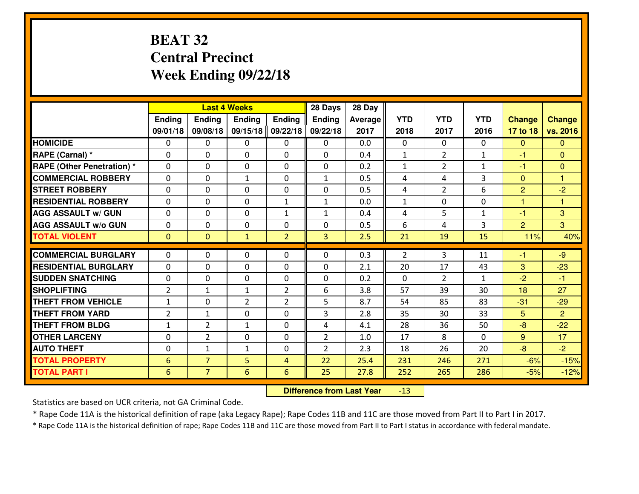# **BEAT 32 Central PrecinctWeek Ending 09/22/18**

|                                   |                | <b>Last 4 Weeks</b> |                |                | 28 Days        | 28 Day  |              |                |              |                |                |
|-----------------------------------|----------------|---------------------|----------------|----------------|----------------|---------|--------------|----------------|--------------|----------------|----------------|
|                                   | Ending         | Ending              | <b>Ending</b>  | <b>Ending</b>  | <b>Ending</b>  | Average | <b>YTD</b>   | <b>YTD</b>     | <b>YTD</b>   | <b>Change</b>  | <b>Change</b>  |
|                                   | 09/01/18       | 09/08/18            | 09/15/18       | 09/22/18       | 09/22/18       | 2017    | 2018         | 2017           | 2016         | 17 to 18       | vs. 2016       |
| <b>HOMICIDE</b>                   | $\Omega$       | 0                   | $\Omega$       | 0              | $\mathbf{0}$   | 0.0     | $\Omega$     | $\Omega$       | $\Omega$     | $\mathbf{0}$   | $\overline{0}$ |
| RAPE (Carnal) *                   | $\mathbf{0}$   | 0                   | $\mathbf{0}$   | $\Omega$       | 0              | 0.4     | 1            | $\overline{2}$ | $\mathbf{1}$ | $-1$           | $\mathbf{0}$   |
| <b>RAPE (Other Penetration) *</b> | $\Omega$       | 0                   | $\mathbf{0}$   | $\Omega$       | 0              | 0.2     | 1            | $\overline{2}$ | $\mathbf{1}$ | -1             | $\mathbf{0}$   |
| <b>COMMERCIAL ROBBERY</b>         | $\mathbf 0$    | 0                   | $\mathbf{1}$   | $\Omega$       | $\mathbf{1}$   | 0.5     | 4            | 4              | 3            | $\mathbf{0}$   | $\mathbf{1}$   |
| <b>STREET ROBBERY</b>             | $\mathbf 0$    | 0                   | $\mathbf 0$    | 0              | 0              | 0.5     | 4            | $\overline{2}$ | 6            | $\overline{2}$ | $-2$           |
| <b>RESIDENTIAL ROBBERY</b>        | $\mathbf 0$    | 0                   | $\mathbf 0$    | $\mathbf{1}$   | $\mathbf{1}$   | 0.0     | $\mathbf{1}$ | 0              | 0            | $\mathbf{1}$   | $\mathbf{1}$   |
| <b>AGG ASSAULT W/ GUN</b>         | $\mathbf 0$    | 0                   | $\mathbf 0$    | $\mathbf{1}$   | $\mathbf{1}$   | 0.4     | 4            | 5              | $\mathbf{1}$ | $-1$           | 3              |
| <b>AGG ASSAULT W/o GUN</b>        | $\mathbf 0$    | 0                   | $\mathbf 0$    | 0              | 0              | 0.5     | 6            | 4              | 3            | $\overline{2}$ | 3              |
| <b>TOTAL VIOLENT</b>              | $\overline{0}$ | $\mathbf{O}$        | $\mathbf{1}$   | $\overline{2}$ | $\overline{3}$ | 2.5     | 21           | 19             | 15           | 11%            | 40%            |
| <b>COMMERCIAL BURGLARY</b>        | $\Omega$       | 0                   | $\mathbf{0}$   | 0              | 0              | 0.3     | 2            | 3              | 11           | $-1$           | $-9$           |
|                                   |                |                     |                |                |                |         |              |                |              |                |                |
| <b>RESIDENTIAL BURGLARY</b>       | $\mathbf 0$    | 0                   | $\mathbf 0$    | 0              | 0              | 2.1     | 20           | 17             | 43           | 3              | $-23$          |
| <b>SUDDEN SNATCHING</b>           | $\mathbf 0$    | 0                   | $\mathbf{0}$   | 0              | 0              | 0.2     | $\mathbf{0}$ | $\overline{2}$ | $\mathbf{1}$ | $-2$           | $-1$           |
| <b>SHOPLIFTING</b>                | $\overline{2}$ | 1                   | $\mathbf{1}$   | $\overline{2}$ | 6              | 3.8     | 57           | 39             | 30           | 18             | 27             |
| <b>THEFT FROM VEHICLE</b>         | $\mathbf{1}$   | $\mathbf{0}$        | $\overline{2}$ | $\overline{2}$ | 5              | 8.7     | 54           | 85             | 83           | $-31$          | $-29$          |
| <b>THEFT FROM YARD</b>            | $\overline{2}$ | 1                   | $\mathbf 0$    | 0              | 3              | 2.8     | 35           | 30             | 33           | 5              | $\overline{2}$ |
| <b>THEFT FROM BLDG</b>            | $\mathbf{1}$   | $\overline{2}$      | $\mathbf{1}$   | 0              | 4              | 4.1     | 28           | 36             | 50           | $-8$           | $-22$          |
| <b>OTHER LARCENY</b>              | $\mathbf 0$    | $\overline{2}$      | $\mathbf 0$    | 0              | $\overline{2}$ | 1.0     | 17           | 8              | 0            | 9              | 17             |
| <b>AUTO THEFT</b>                 | $\mathbf 0$    | $\mathbf{1}$        | $\mathbf{1}$   | 0              | $\overline{2}$ | 2.3     | 18           | 26             | 20           | $-8$           | $-2$           |
| <b>TOTAL PROPERTY</b>             | 6              | $\overline{7}$      | 5              | $\overline{4}$ | 22             | 25.4    | 231          | 246            | 271          | $-6%$          | $-15%$         |
| <b>TOTAL PART I</b>               | 6              | $\overline{7}$      | 6              | 6              | 25             | 27.8    | 252          | 265            | 286          | $-5%$          | $-12%$         |

 **Difference from Last Year**-13

Statistics are based on UCR criteria, not GA Criminal Code.

\* Rape Code 11A is the historical definition of rape (aka Legacy Rape); Rape Codes 11B and 11C are those moved from Part II to Part I in 2017.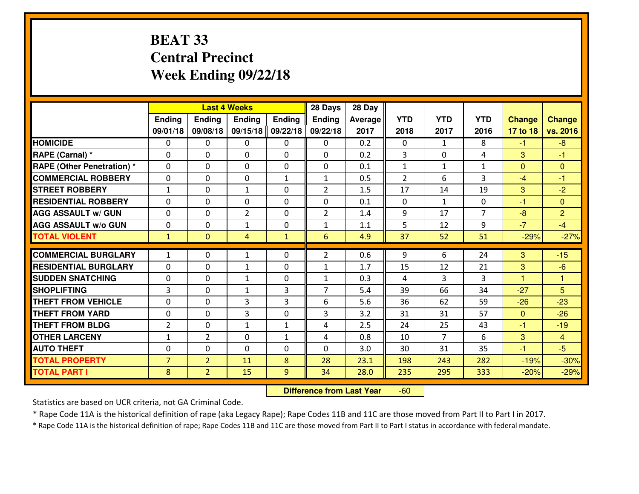# **BEAT 33 Central PrecinctWeek Ending 09/22/18**

|                                   |                |                | <b>Last 4 Weeks</b> |               | 28 Days        | 28 Day  |              |                |                |               |                |
|-----------------------------------|----------------|----------------|---------------------|---------------|----------------|---------|--------------|----------------|----------------|---------------|----------------|
|                                   | Ending         | Ending         | <b>Ending</b>       | <b>Ending</b> | <b>Ending</b>  | Average | <b>YTD</b>   | <b>YTD</b>     | <b>YTD</b>     | <b>Change</b> | <b>Change</b>  |
|                                   | 09/01/18       | 09/08/18       | 09/15/18            | 09/22/18      | 09/22/18       | 2017    | 2018         | 2017           | 2016           | 17 to 18      | vs. 2016       |
| <b>HOMICIDE</b>                   | $\Omega$       | 0              | $\Omega$            | 0             | $\mathbf{0}$   | 0.2     | $\mathbf{0}$ | $\mathbf{1}$   | 8              | $-1$          | $-8$           |
| RAPE (Carnal) *                   | $\mathbf{0}$   | 0              | $\mathbf{0}$        | $\Omega$      | 0              | 0.2     | 3            | $\Omega$       | 4              | 3             | $-1$           |
| <b>RAPE (Other Penetration) *</b> | $\Omega$       | 0              | $\Omega$            | $\Omega$      | 0              | 0.1     | 1            | $\mathbf{1}$   | $\mathbf{1}$   | $\mathbf{0}$  | $\Omega$       |
| <b>COMMERCIAL ROBBERY</b>         | $\mathbf 0$    | 0              | $\mathbf{0}$        | $\mathbf{1}$  | $\mathbf{1}$   | 0.5     | 2            | 6              | 3              | $-4$          | $-1$           |
| <b>STREET ROBBERY</b>             | $\mathbf{1}$   | 0              | $\mathbf{1}$        | 0             | $\overline{2}$ | 1.5     | 17           | 14             | 19             | 3             | $-2$           |
| <b>RESIDENTIAL ROBBERY</b>        | $\mathbf 0$    | 0              | $\mathbf 0$         | 0             | 0              | 0.1     | $\mathbf{0}$ | $\mathbf{1}$   | 0              | $-1$          | $\mathbf{0}$   |
| <b>AGG ASSAULT W/ GUN</b>         | $\mathbf 0$    | 0              | $\overline{2}$      | 0             | $\overline{2}$ | 1.4     | 9            | 17             | $\overline{7}$ | $-8$          | $\overline{2}$ |
| <b>AGG ASSAULT W/o GUN</b>        | $\mathbf 0$    | 0              | $\mathbf{1}$        | 0             | $\mathbf{1}$   | 1.1     | 5            | 12             | 9              | $-7$          | $-4$           |
| <b>TOTAL VIOLENT</b>              | $\mathbf{1}$   | $\mathbf{O}$   | 4                   | $\mathbf{1}$  | 6              | 4.9     | 37           | 52             | 51             | $-29%$        | $-27%$         |
| <b>COMMERCIAL BURGLARY</b>        | $\mathbf{1}$   |                |                     | 0             | $\overline{2}$ | 0.6     | 9            | 6              | 24             | 3             | $-15$          |
|                                   |                | 0              | $\mathbf{1}$        |               |                |         |              |                |                |               |                |
| <b>RESIDENTIAL BURGLARY</b>       | $\mathbf 0$    | 0              | $\mathbf{1}$        | $\mathbf 0$   | $\mathbf{1}$   | 1.7     | 15           | 12             | 21             | 3             | $-6$           |
| <b>SUDDEN SNATCHING</b>           | $\mathbf 0$    | 0              | 1                   | 0             | $\mathbf{1}$   | 0.3     | 4            | 3              | 3              | 1.            | $\mathbf{1}$   |
| <b>SHOPLIFTING</b>                | 3              | 0              | $\mathbf{1}$        | 3             | $\overline{7}$ | 5.4     | 39           | 66             | 34             | $-27$         | 5              |
| <b>THEFT FROM VEHICLE</b>         | $\mathbf 0$    | $\mathbf{0}$   | 3                   | 3             | 6              | 5.6     | 36           | 62             | 59             | $-26$         | $-23$          |
| <b>THEFT FROM YARD</b>            | $\mathbf 0$    | 0              | 3                   | 0             | 3              | 3.2     | 31           | 31             | 57             | $\mathbf{0}$  | $-26$          |
| <b>THEFT FROM BLDG</b>            | $\overline{2}$ | 0              | $\mathbf{1}$        | $\mathbf{1}$  | 4              | 2.5     | 24           | 25             | 43             | $-1$          | $-19$          |
| <b>OTHER LARCENY</b>              | $\mathbf 1$    | $\overline{2}$ | $\mathbf 0$         | $\mathbf{1}$  | 4              | 0.8     | 10           | $\overline{7}$ | 6              | 3             | $\overline{4}$ |
| <b>AUTO THEFT</b>                 | $\mathbf 0$    | 0              | $\mathbf 0$         | 0             | 0              | 3.0     | 30           | 31             | 35             | $-1$          | $-5$           |
| <b>TOTAL PROPERTY</b>             | $\overline{7}$ | $\overline{2}$ | 11                  | 8             | 28             | 23.1    | 198          | 243            | 282            | $-19%$        | $-30%$         |
| <b>TOTAL PART I</b>               | 8              | $\overline{2}$ | 15                  | 9             | 34             | 28.0    | 235          | 295            | 333            | $-20%$        | $-29%$         |

 **Difference from Last Year**-60

Statistics are based on UCR criteria, not GA Criminal Code.

\* Rape Code 11A is the historical definition of rape (aka Legacy Rape); Rape Codes 11B and 11C are those moved from Part II to Part I in 2017.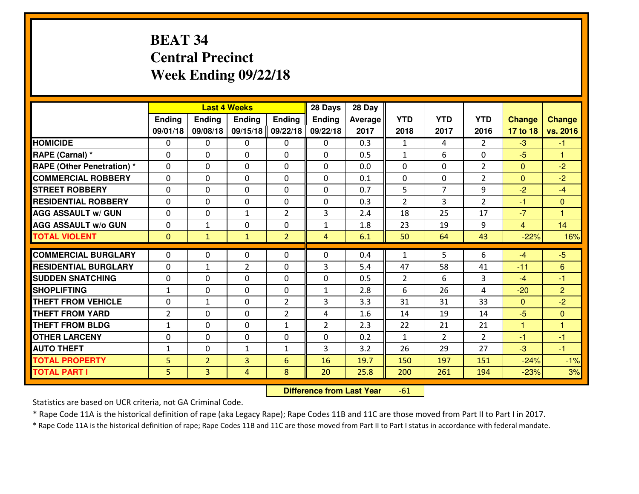# **BEAT 34 Central PrecinctWeek Ending 09/22/18**

|                                  |                |                | <b>Last 4 Weeks</b> |                | 28 Days        | 28 Day  |                |                |                |               |                      |
|----------------------------------|----------------|----------------|---------------------|----------------|----------------|---------|----------------|----------------|----------------|---------------|----------------------|
|                                  | Ending         | <b>Ending</b>  | <b>Ending</b>       | <b>Ending</b>  | <b>Ending</b>  | Average | <b>YTD</b>     | <b>YTD</b>     | <b>YTD</b>     | <b>Change</b> | <b>Change</b>        |
|                                  | 09/01/18       | 09/08/18       | 09/15/18            | 09/22/18       | 09/22/18       | 2017    | 2018           | 2017           | 2016           | 17 to 18      | vs. 2016             |
| <b>HOMICIDE</b>                  | $\Omega$       | 0              | 0                   | 0              | 0              | 0.3     | 1              | 4              | $\mathfrak{D}$ | $-3$          | $-1$                 |
| RAPE (Carnal) *                  | $\Omega$       | 0              | $\Omega$            | $\Omega$       | $\Omega$       | 0.5     | $\mathbf{1}$   | 6              | 0              | $-5$          | $\blacktriangleleft$ |
| <b>RAPE (Other Penetration)*</b> | 0              | 0              | $\mathbf 0$         | 0              | 0              | 0.0     | 0              | 0              | $\overline{2}$ | $\Omega$      | $-2$                 |
| <b>COMMERCIAL ROBBERY</b>        | 0              | 0              | $\mathbf 0$         | 0              | 0              | 0.1     | 0              | 0              | $\overline{2}$ | $\mathbf{0}$  | $-2$                 |
| <b>STREET ROBBERY</b>            | 0              | 0              | $\mathbf 0$         | 0              | 0              | 0.7     | 5              | $\overline{7}$ | 9              | $-2$          | $-4$                 |
| <b>RESIDENTIAL ROBBERY</b>       | 0              | 0              | $\mathbf 0$         | 0              | 0              | 0.3     | $\overline{2}$ | 3              | $\overline{2}$ | $-1$          | $\overline{0}$       |
| <b>AGG ASSAULT W/ GUN</b>        | 0              | 0              | 1                   | $\overline{2}$ | 3              | 2.4     | 18             | 25             | 17             | $-7$          | 1                    |
| <b>AGG ASSAULT W/o GUN</b>       | 0              | $\mathbf{1}$   | 0                   | 0              | $\mathbf{1}$   | 1.8     | 23             | 19             | 9              | 4             | 14                   |
| <b>TOTAL VIOLENT</b>             | $\mathbf{0}$   | $\mathbf{1}$   | $\mathbf{1}$        | $\overline{2}$ | $\overline{4}$ | 6.1     | 50             | 64             | 43             | $-22%$        | 16%                  |
| <b>COMMERCIAL BURGLARY</b>       | $\Omega$       | 0              | $\mathbf{0}$        | 0              | $\Omega$       | 0.4     | $\mathbf{1}$   | 5.             | 6              | $-4$          | $-5$                 |
| <b>RESIDENTIAL BURGLARY</b>      | $\mathbf{0}$   | 1              | $\overline{2}$      | 0              | 3              | 5.4     | 47             | 58             | 41             | $-11$         | $6\phantom{1}$       |
| <b>SUDDEN SNATCHING</b>          | $\mathbf{0}$   | 0              | $\mathbf 0$         | 0              | 0              | 0.5     | $\overline{2}$ | 6              | 3              | $-4$          | $-1$                 |
| <b>SHOPLIFTING</b>               | $\mathbf{1}$   | 0              | $\mathbf 0$         | 0              | $\mathbf{1}$   | 2.8     | 6              | 26             | 4              | $-20$         | $\overline{2}$       |
| <b>THEFT FROM VEHICLE</b>        | 0              | 1              | $\mathbf 0$         | $\overline{2}$ | 3              | 3.3     | 31             | 31             | 33             | $\Omega$      | $-2$                 |
| <b>THEFT FROM YARD</b>           | $\overline{2}$ | 0              | $\mathbf 0$         | $\overline{2}$ | 4              | 1.6     | 14             | 19             | 14             | $-5$          | $\overline{0}$       |
| <b>THEFT FROM BLDG</b>           | $\mathbf{1}$   | 0              | $\mathbf 0$         | $\mathbf{1}$   | $\overline{2}$ | 2.3     | 22             | 21             | 21             | $\mathbf{1}$  | $\overline{1}$       |
| <b>OTHER LARCENY</b>             | 0              | 0              | $\mathbf 0$         | 0              | 0              | 0.2     | $\mathbf{1}$   | $\overline{2}$ | $\overline{2}$ | $-1$          | $-1$                 |
| <b>AUTO THEFT</b>                | $\mathbf{1}$   | 0              | $\mathbf{1}$        | $\mathbf{1}$   | 3              | 3.2     | 26             | 29             | 27             | -3            | $-1$                 |
| <b>TOTAL PROPERTY</b>            | 5              | $\overline{2}$ | $\overline{3}$      | 6              | 16             | 19.7    | 150            | 197            | 151            | $-24%$        | $-1%$                |
| <b>TOTAL PART I</b>              | 5              | $\overline{3}$ | 4                   | 8              | 20             | 25.8    | 200            | 261            | 194            | $-23%$        | 3%                   |
|                                  |                |                |                     |                |                |         |                |                |                |               |                      |

 **Difference from Last Year**-61

Statistics are based on UCR criteria, not GA Criminal Code.

\* Rape Code 11A is the historical definition of rape (aka Legacy Rape); Rape Codes 11B and 11C are those moved from Part II to Part I in 2017.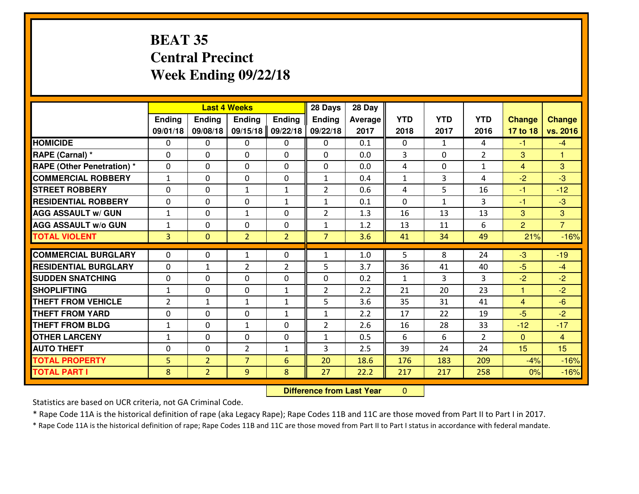# **BEAT 35 Central PrecinctWeek Ending 09/22/18**

|                                   |                |                | <b>Last 4 Weeks</b> |                | 28 Days        | 28 Day  |              |              |                |                |                |
|-----------------------------------|----------------|----------------|---------------------|----------------|----------------|---------|--------------|--------------|----------------|----------------|----------------|
|                                   | Ending         | <b>Ending</b>  | <b>Ending</b>       | <b>Ending</b>  | Ending         | Average | <b>YTD</b>   | <b>YTD</b>   | <b>YTD</b>     | <b>Change</b>  | <b>Change</b>  |
|                                   | 09/01/18       | 09/08/18       | 09/15/18            | 09/22/18       | 09/22/18       | 2017    | 2018         | 2017         | 2016           | 17 to 18       | vs. 2016       |
| <b>HOMICIDE</b>                   | $\Omega$       | 0              | $\Omega$            | 0              | 0              | 0.1     | $\Omega$     | $\mathbf{1}$ | 4              | $-1$           | $-4$           |
| RAPE (Carnal) *                   | $\Omega$       | 0              | $\mathbf{0}$        | $\Omega$       | 0              | 0.0     | 3            | $\Omega$     | $\overline{2}$ | 3              | $\mathbf{1}$   |
| <b>RAPE (Other Penetration) *</b> | $\Omega$       | 0              | $\mathbf 0$         | $\Omega$       | 0              | 0.0     | 4            | $\Omega$     | $\mathbf{1}$   | $\overline{4}$ | 3              |
| <b>COMMERCIAL ROBBERY</b>         | $\mathbf{1}$   | 0              | $\mathbf 0$         | 0              | $\mathbf{1}$   | 0.4     | $\mathbf{1}$ | 3            | 4              | $-2$           | $-3$           |
| <b>ISTREET ROBBERY</b>            | $\mathbf{0}$   | 0              | $\mathbf{1}$        | $\mathbf{1}$   | $\overline{2}$ | 0.6     | 4            | 5            | 16             | -1             | $-12$          |
| <b>RESIDENTIAL ROBBERY</b>        | 0              | 0              | $\mathbf 0$         | $\mathbf{1}$   | $\mathbf{1}$   | 0.1     | $\mathbf 0$  | $\mathbf{1}$ | 3              | $-1$           | $-3$           |
| <b>AGG ASSAULT W/ GUN</b>         | $\mathbf{1}$   | 0              | $\mathbf{1}$        | 0              | $\overline{2}$ | 1.3     | 16           | 13           | 13             | 3              | 3              |
| <b>AGG ASSAULT W/o GUN</b>        | $\mathbf{1}$   | 0              | $\mathbf 0$         | 0              | $\mathbf{1}$   | 1.2     | 13           | 11           | 6              | $\overline{2}$ | $\overline{7}$ |
| <b>TOTAL VIOLENT</b>              | $\overline{3}$ | $\overline{0}$ | $\overline{2}$      | $\overline{2}$ | $\overline{7}$ | 3.6     | 41           | 34           | 49             | 21%            | $-16%$         |
| <b>COMMERCIAL BURGLARY</b>        | $\mathbf{0}$   | 0              | $\mathbf{1}$        | $\mathbf{0}$   | 1              | 1.0     | 5            | 8            | 24             | $-3$           | $-19$          |
| <b>RESIDENTIAL BURGLARY</b>       | $\Omega$       | $\mathbf{1}$   | $\overline{2}$      | 2              | 5              | 3.7     | 36           | 41           | 40             | $-5$           | $-4$           |
| <b>SUDDEN SNATCHING</b>           | $\mathbf{0}$   | 0              | $\mathbf{0}$        | 0              | 0              | 0.2     | $\mathbf{1}$ | 3            | 3              | $-2$           | $-2$           |
| <b>SHOPLIFTING</b>                | $\mathbf{1}$   | 0              | $\mathbf 0$         | $\mathbf{1}$   | $\overline{2}$ | 2.2     | 21           | 20           | 23             | $\mathbf{1}$   | $-2$           |
| <b>THEFT FROM VEHICLE</b>         | $\overline{2}$ | 1              | $\mathbf{1}$        | $\mathbf{1}$   | 5              | 3.6     | 35           | 31           | 41             | $\overline{4}$ | $-6$           |
| <b>THEFT FROM YARD</b>            | 0              | 0              | 0                   | $\mathbf{1}$   | $\mathbf{1}$   | 2.2     | 17           | 22           | 19             | $-5$           | $-2$           |
| <b>THEFT FROM BLDG</b>            | $\mathbf{1}$   | 0              | $\mathbf{1}$        | 0              | $\overline{2}$ | 2.6     | 16           | 28           | 33             | $-12$          | $-17$          |
| <b>OTHER LARCENY</b>              | $1\,$          | 0              | 0                   | 0              | $\mathbf{1}$   | 0.5     | 6            | 6            | $\overline{2}$ | $\mathbf{0}$   | $\overline{4}$ |
| <b>AUTO THEFT</b>                 | 0              | 0              | $\overline{2}$      | $\mathbf{1}$   | 3              | 2.5     | 39           | 24           | 24             | 15             | 15             |
| <b>TOTAL PROPERTY</b>             | 5              | $\overline{2}$ | $\overline{7}$      | $6\phantom{1}$ | 20             | 18.6    | 176          | 183          | 209            | $-4%$          | $-16%$         |
| <b>TOTAL PART I</b>               | 8              | $\overline{2}$ | 9                   | 8              | 27             | 22.2    | 217          | 217          | 258            | 0%             | $-16%$         |
|                                   |                |                |                     |                |                |         |              |              |                |                |                |

 **Difference from Last Year** $\overline{0}$ 

Statistics are based on UCR criteria, not GA Criminal Code.

\* Rape Code 11A is the historical definition of rape (aka Legacy Rape); Rape Codes 11B and 11C are those moved from Part II to Part I in 2017.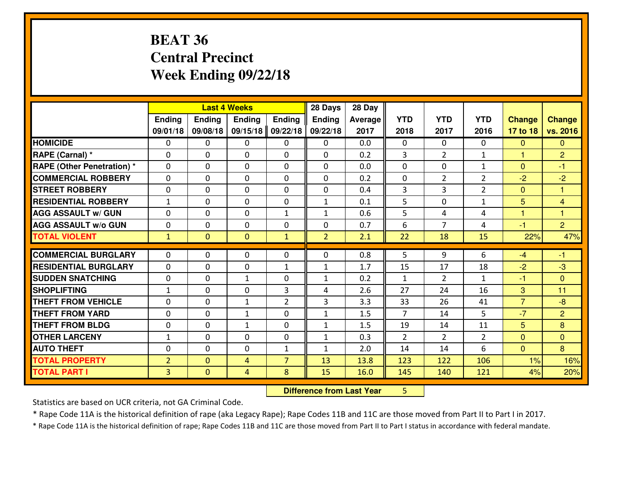# **BEAT 36 Central PrecinctWeek Ending 09/22/18**

|                             |                |                | <b>Last 4 Weeks</b> |                | 28 Days        | 28 Day         |                |                |                |                |                |
|-----------------------------|----------------|----------------|---------------------|----------------|----------------|----------------|----------------|----------------|----------------|----------------|----------------|
|                             | Ending         | <b>Ending</b>  | <b>Ending</b>       | <b>Ending</b>  | <b>Ending</b>  | <b>Average</b> | <b>YTD</b>     | <b>YTD</b>     | <b>YTD</b>     | <b>Change</b>  | <b>Change</b>  |
|                             | 09/01/18       | 09/08/18       | 09/15/18            | 09/22/18       | 09/22/18       | 2017           | 2018           | 2017           | 2016           | 17 to 18       | vs. 2016       |
| <b>HOMICIDE</b>             | $\Omega$       | 0              | $\Omega$            | $\Omega$       | 0              | 0.0            | $\Omega$       | $\Omega$       | $\Omega$       | $\mathbf{0}$   | $\Omega$       |
| RAPE (Carnal) *             | $\mathbf{0}$   | 0              | $\mathbf{0}$        | 0              | $\Omega$       | 0.2            | 3              | $\overline{2}$ | $\mathbf{1}$   | $\mathbf{1}$   | $\overline{2}$ |
| RAPE (Other Penetration) *  | $\Omega$       | 0              | $\mathbf{0}$        | $\Omega$       | $\Omega$       | 0.0            | $\Omega$       | $\Omega$       | $\mathbf{1}$   | $\Omega$       | $-1$           |
| <b>COMMERCIAL ROBBERY</b>   | $\mathbf{0}$   | 0              | 0                   | 0              | 0              | 0.2            | $\mathbf{0}$   | $\overline{2}$ | $\overline{2}$ | $-2$           | $-2$           |
| <b>STREET ROBBERY</b>       | 0              | 0              | $\mathbf 0$         | 0              | 0              | 0.4            | 3              | 3              | $\overline{2}$ | $\mathbf{0}$   | $\mathbf{1}$   |
| <b>RESIDENTIAL ROBBERY</b>  | $\mathbf{1}$   | $\Omega$       | $\mathbf 0$         | 0              | $\mathbf{1}$   | 0.1            | 5              | $\Omega$       | $\mathbf{1}$   | 5              | $\overline{4}$ |
| <b>AGG ASSAULT w/ GUN</b>   | $\Omega$       | $\Omega$       | $\mathbf 0$         | $\mathbf{1}$   | $\mathbf{1}$   | 0.6            | 5              | 4              | 4              | $\mathbf{1}$   | $\mathbf{1}$   |
| <b>AGG ASSAULT W/o GUN</b>  | 0              | 0              | 0                   | 0              | 0              | 0.7            | 6              | $\overline{7}$ | 4              | $-1$           | $\overline{2}$ |
| <b>TOTAL VIOLENT</b>        | $\mathbf{1}$   | $\mathbf{0}$   | $\mathbf{0}$        | $\mathbf{1}$   | $\overline{2}$ | 2.1            | 22             | 18             | 15             | 22%            | 47%            |
| <b>COMMERCIAL BURGLARY</b>  | $\Omega$       | 0              | $\mathbf{0}$        | 0              | $\Omega$       | 0.8            | 5              | 9              | 6              | $-4$           | $-1$           |
| <b>RESIDENTIAL BURGLARY</b> | 0              | 0              | $\mathbf 0$         | $\mathbf{1}$   | $\mathbf{1}$   | 1.7            | 15             | 17             | 18             | $-2$           | $-3$           |
| <b>SUDDEN SNATCHING</b>     | 0              | 0              | $\mathbf{1}$        | 0              | $\mathbf{1}$   | 0.2            | 1              | $\overline{2}$ | $\mathbf{1}$   | $-1$           | $\overline{0}$ |
| <b>SHOPLIFTING</b>          | $\mathbf{1}$   | 0              | $\mathbf 0$         | 3              | 4              | 2.6            | 27             | 24             | 16             | 3              | 11             |
| <b>THEFT FROM VEHICLE</b>   | $\Omega$       | $\Omega$       | $\mathbf{1}$        | $\overline{2}$ | 3              | 3.3            | 33             | 26             | 41             | $\overline{7}$ | $-8$           |
| <b>THEFT FROM YARD</b>      | 0              | 0              | $\mathbf{1}$        | 0              | $\mathbf{1}$   | 1.5            | $\overline{7}$ | 14             | 5              | $-7$           | $\overline{2}$ |
| <b>THEFT FROM BLDG</b>      | 0              | 0              | $\mathbf{1}$        | 0              | $\mathbf{1}$   | 1.5            | 19             | 14             | 11             | 5              | 8              |
| <b>OTHER LARCENY</b>        | $1\,$          | 0              | 0                   | 0              | $\mathbf{1}$   | 0.3            | $\overline{2}$ | $\overline{2}$ | $\overline{2}$ | $\mathbf{0}$   | $\overline{0}$ |
| <b>AUTO THEFT</b>           | $\mathbf{0}$   | 0              | $\mathbf{0}$        | $\mathbf{1}$   | $\mathbf{1}$   | 2.0            | 14             | 14             | 6              | $\mathbf{0}$   | 8              |
| <b>TOTAL PROPERTY</b>       | $\overline{2}$ | $\overline{0}$ | 4                   | $\overline{7}$ | 13             | 13.8           | 123            | 122            | 106            | 1%             | 16%            |
| <b>TOTAL PART I</b>         | $\overline{3}$ | $\overline{0}$ | 4                   | 8              | 15             | 16.0           | 145            | 140            | 121            | 4%             | 20%            |
|                             |                |                |                     |                |                |                |                |                |                |                |                |

 **Difference from Last Year**<sup>5</sup>

Statistics are based on UCR criteria, not GA Criminal Code.

\* Rape Code 11A is the historical definition of rape (aka Legacy Rape); Rape Codes 11B and 11C are those moved from Part II to Part I in 2017.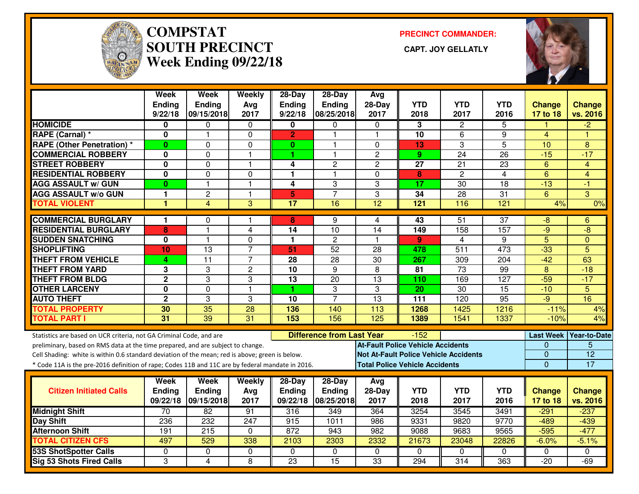

#### **COMPSTAT PRECINCT COMMANDER: SOUTH PRECINCT CAPT. JOY GELLATLYWeek Ending 09/22/18**



|                                                                                                  | <b>Week</b><br><b>Ending</b> | <b>Week</b><br><b>Ending</b> | Weekly           | 28-Day<br>Ending | 28-Day<br><b>Ending</b>          | Avg<br>$28-Day$ | <b>YTD</b>                               | <b>YTD</b>                                   | <b>YTD</b>       |                           |                           |
|--------------------------------------------------------------------------------------------------|------------------------------|------------------------------|------------------|------------------|----------------------------------|-----------------|------------------------------------------|----------------------------------------------|------------------|---------------------------|---------------------------|
|                                                                                                  | 9/22/18                      | 09/15/2018                   | Avg<br>2017      | 9/22/18          | 08/25/2018                       | 2017            | 2018                                     | 2017                                         | 2016             | <b>Change</b><br>17 to 18 | <b>Change</b><br>vs. 2016 |
| <b>HOMICIDE</b>                                                                                  | 0                            | 0                            | 0                | 0                | 0                                | $\mathbf 0$     | 3                                        | $\overline{2}$                               | 5                |                           | $-2$                      |
| RAPE (Carnal) *                                                                                  | 0                            | $\overline{\phantom{a}}$     | $\mathbf 0$      | $\overline{2}$   | $\blacktriangleleft$             | $\overline{1}$  | 10                                       | 6                                            | 9                | $\overline{4}$            | ٢                         |
| <b>RAPE (Other Penetration)*</b>                                                                 | $\bf{0}$                     | 0                            | 0                | $\mathbf{0}$     | 1                                | $\Omega$        | 13                                       | 3                                            | $\overline{5}$   | 10                        | 8                         |
| <b>COMMERCIAL ROBBERY</b>                                                                        | 0                            | 0                            | $\mathbf{1}$     | 1                | 1                                | $\overline{c}$  | 9                                        | 24                                           | 26               | $-15$                     | $-17$                     |
| <b>STREET ROBBERY</b>                                                                            | 0                            | 0                            | $\mathbf{1}$     | 4                | $\overline{c}$                   | $\overline{2}$  | 27                                       | 21                                           | 23               | 6                         | 4                         |
| <b>RESIDENTIAL ROBBERY</b>                                                                       | 0                            | 0                            | $\Omega$         | 1                | 1                                | $\Omega$        | 8                                        | $\overline{2}$                               | 4                | $6\phantom{1}$            | 4                         |
| <b>AGG ASSAULT w/ GUN</b>                                                                        | $\bf{0}$                     | 1                            | $\overline{1}$   | 4                | 3                                | 3               | 17                                       | 30                                           | 18               | $-13$                     | -1                        |
| <b>AGG ASSAULT w/o GUN</b>                                                                       | 1                            | 2                            | $\mathbf{1}$     | 5                | $\overline{7}$                   | 3               | 34                                       | $\overline{28}$                              | 31               | 6                         | 3                         |
| <b>TOTAL VIOLENT</b>                                                                             | $\mathbf{1}$                 | 4                            | 3                | $\overline{17}$  | 16                               | $\overline{12}$ | 121                                      | 116                                          | $\overline{121}$ | 4%                        | 0%                        |
| <b>COMMERCIAL BURGLARY</b>                                                                       | 1                            | 0                            |                  | 8                | 9                                | 4               | 43                                       | 51                                           | $\overline{37}$  | -8                        | 6                         |
| <b>RESIDENTIAL BURGLARY</b>                                                                      | 8                            | $\overline{\phantom{a}}$     | $\overline{4}$   | 14               | 10                               | 14              | 149                                      | 158                                          | 157              | $-9$                      | $-8$                      |
| <b>SUDDEN SNATCHING</b>                                                                          | 0                            |                              | $\mathbf 0$      | 1                | $\overline{c}$                   | $\overline{1}$  | 9                                        | 4                                            | 9                | $\overline{5}$            | $\Omega$                  |
| <b>SHOPLIFTING</b>                                                                               | 10                           | 13                           | $\overline{7}$   | 51               | $\overline{52}$                  | 28              | 478                                      | 511                                          | 473              | $-33$                     | 5                         |
| <b>THEFT FROM VEHICLE</b>                                                                        | 4                            | $\overline{11}$              | $\overline{7}$   | 28               | $\overline{28}$                  | $\overline{30}$ | 267                                      | 309                                          | 204              | $-42$                     | 63                        |
| <b>THEFT FROM YARD</b>                                                                           | 3                            | 3                            | $\overline{2}$   | 10               | $\overline{9}$                   | $\overline{8}$  | 81                                       | 73                                           | 99               | $\overline{8}$            | $-18$                     |
| <b>THEFT FROM BLDG</b>                                                                           | $\overline{2}$               | 3                            | $\boldsymbol{3}$ | 13               | 20                               | 13              | 110                                      | 169                                          | 127              | $-59$                     | $-17$                     |
| <b>OTHER LARCENY</b>                                                                             | $\mathbf{0}$                 | $\Omega$                     | $\mathbf{1}$     | 1                | 3                                | 3               | $\overline{20}$                          | $\overline{30}$                              | $\overline{15}$  | $-10$                     | $\overline{5}$            |
| <b>AUTO THEFT</b>                                                                                | $\mathbf{2}$                 | 3                            | 3                | $\overline{10}$  | $\overline{7}$                   | $\overline{13}$ | $\overline{111}$                         | 120                                          | 95               | $-9$                      | 16                        |
| <b>TOTAL PROPERTY</b>                                                                            | 30                           | 35                           | 28               | 136              | 140                              | 113             | 1268                                     | 1425                                         | 1216             | $-11%$                    | 4%                        |
| <b>TOTAL PART I</b>                                                                              | 31                           | 39                           | $\overline{31}$  | $\overline{153}$ | 156                              | 125             | 1389                                     | 1541                                         | 1337             | $-10%$                    | 4%                        |
| Statistics are based on UCR criteria, not GA Criminal Code, and are                              |                              |                              |                  |                  | <b>Difference from Last Year</b> |                 | $-152$                                   |                                              |                  | <b>Last Week</b>          | Year-to-Date              |
| preliminary, based on RMS data at the time prepared, and are subject to change.                  |                              |                              |                  |                  |                                  |                 | <b>At-Fault Police Vehicle Accidents</b> |                                              |                  | 0                         | 5                         |
| Cell Shading: white is within 0.6 standard deviation of the mean; red is above; green is below.  |                              |                              |                  |                  |                                  |                 |                                          | <b>Not At-Fault Police Vehicle Accidents</b> |                  | $\overline{0}$            | $\overline{12}$           |
| * Code 11A is the pre-2016 definition of rape; Codes 11B and 11C are by federal mandate in 2016. |                              |                              |                  |                  |                                  |                 | <b>Total Police Vehicle Accidents</b>    |                                              |                  | $\Omega$                  | 17                        |
|                                                                                                  | Week                         | Week                         | Weekly           | $28$ -Day        | $28-Day$                         | Avg             |                                          |                                              |                  |                           |                           |
| <b>Citizen Initiated Calls</b>                                                                   | <b>Ending</b>                | <b>Ending</b>                | Avg              | <b>Ending</b>    | Ending                           | $28-Day$        | <b>YTD</b>                               | <b>YTD</b>                                   | <b>YTD</b>       | <b>Change</b>             | <b>Change</b>             |
|                                                                                                  | 09/22/18                     | 09/15/2018                   | 2017             | 09/22/18         | 08/25/2018                       | 2017            | 2018                                     | 2017                                         | 2016             | 17 to 18                  | vs. 2016                  |
| <b>Midnight Shift</b>                                                                            | 70                           | 82                           | 91               | 316              | 349                              | 364             | 3254                                     | 3545                                         | 3491             | $-291$                    | $-237$                    |
| <b>Day Shift</b>                                                                                 | 236                          | 232                          | 247              | 915              | 1011                             | 986             | 9331                                     | 9820                                         | 9770             | $-489$                    | $-439$                    |
| <b>Afternoon Shift</b>                                                                           | 191                          | 215                          | $\mathbf 0$      | 872              | 943                              | 982             | 9088                                     | 9683                                         | 9565             | $-595$                    | $-477$                    |
| <b>TOTAL CITIZEN CFS</b>                                                                         | 497                          | 529                          | 338              | 2103             | 2303                             | 2332            | 21673                                    | 23048                                        | 22826            | $-6.0%$                   | $-5.1%$                   |
| <b>53S ShotSpotter Calls</b>                                                                     | $\Omega$                     | 0                            | $\mathbf 0$      | $\Omega$         | $\mathbf{0}$                     | $\Omega$        | $\Omega$                                 | $\Omega$                                     | $\Omega$         | $\Omega$                  | 0                         |
| <b>Sig 53 Shots Fired Calls</b>                                                                  | 3                            | 4                            | 8                | $\overline{23}$  | $\overline{15}$                  | $\overline{33}$ | 294                                      | 314                                          | 363              | $-20$                     | $-69$                     |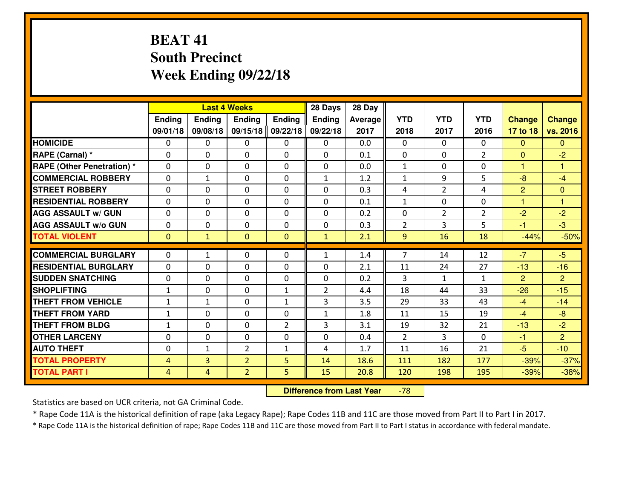# **BEAT 41 South PrecinctWeek Ending 09/22/18**

|                                   |                |                | <b>Last 4 Weeks</b> |                | 28 Days        | 28 Day  |                |                |                |                |                |
|-----------------------------------|----------------|----------------|---------------------|----------------|----------------|---------|----------------|----------------|----------------|----------------|----------------|
|                                   | Ending         | <b>Ending</b>  | Ending              | <b>Ending</b>  | <b>Ending</b>  | Average | <b>YTD</b>     | <b>YTD</b>     | <b>YTD</b>     | <b>Change</b>  | <b>Change</b>  |
|                                   | 09/01/18       | 09/08/18       | 09/15/18            | 09/22/18       | 09/22/18       | 2017    | 2018           | 2017           | 2016           | 17 to 18       | vs. 2016       |
| <b>HOMICIDE</b>                   | $\Omega$       | 0              | 0                   | $\Omega$       | 0              | 0.0     | 0              | $\Omega$       | $\Omega$       | $\Omega$       | $\Omega$       |
| RAPE (Carnal) *                   | $\mathbf{0}$   | 0              | $\mathbf{0}$        | 0              | $\Omega$       | 0.1     | $\mathbf{0}$   | $\mathbf{0}$   | $\overline{2}$ | $\Omega$       | $-2$           |
| <b>RAPE (Other Penetration) *</b> | $\mathbf{0}$   | 0              | $\mathbf{0}$        | $\Omega$       | $\Omega$       | 0.0     | $\mathbf{1}$   | 0              | 0              | $\mathbf{1}$   | 1              |
| <b>COMMERCIAL ROBBERY</b>         | $\mathbf{0}$   | 1              | 0                   | $\Omega$       | 1              | 1.2     | 1              | 9              | 5              | -8             | $-4$           |
| <b>STREET ROBBERY</b>             | $\mathbf{0}$   | 0              | $\mathbf{0}$        | 0              | $\Omega$       | 0.3     | 4              | $\overline{2}$ | 4              | $\overline{2}$ | $\mathbf{0}$   |
| <b>RESIDENTIAL ROBBERY</b>        | $\Omega$       | 0              | $\mathbf 0$         | 0              | 0              | 0.1     | $\mathbf 1$    | 0              | 0              | $\overline{1}$ | 1              |
| <b>AGG ASSAULT W/ GUN</b>         | 0              | 0              | $\mathbf 0$         | 0              | 0              | 0.2     | 0              | $\overline{2}$ | $\overline{2}$ | $-2$           | $-2$           |
| <b>AGG ASSAULT W/o GUN</b>        | 0              | 0              | $\mathbf 0$         | 0              | 0              | 0.3     | $\overline{2}$ | $\overline{3}$ | 5              | $-1$           | $-3$           |
| <b>TOTAL VIOLENT</b>              | $\mathbf{0}$   | $\mathbf{1}$   | $\overline{0}$      | $\overline{0}$ | $\mathbf{1}$   | 2.1     | 9              | 16             | 18             | $-44%$         | $-50%$         |
| <b>COMMERCIAL BURGLARY</b>        | $\mathbf{0}$   | $\mathbf{1}$   | 0                   | 0              | 1              | 1.4     | $\overline{7}$ | 14             | 12             | $-7$           | $-5$           |
| <b>RESIDENTIAL BURGLARY</b>       | $\Omega$       | 0              | $\mathbf{0}$        | $\Omega$       | $\Omega$       | 2.1     | 11             | 24             | 27             | $-13$          | $-16$          |
| <b>SUDDEN SNATCHING</b>           | $\mathbf{0}$   | 0              | 0                   | 0              | $\Omega$       | 0.2     | 3              | $\mathbf{1}$   | $\mathbf{1}$   | 2              | $\overline{2}$ |
| <b>SHOPLIFTING</b>                | $\mathbf{1}$   | 0              | $\mathbf 0$         | $\mathbf{1}$   | $\overline{2}$ | 4.4     | 18             | 44             | 33             | $-26$          | $-15$          |
| <b>THEFT FROM VEHICLE</b>         | $\mathbf{1}$   | $\mathbf{1}$   | $\mathbf 0$         | $\mathbf{1}$   | 3              | 3.5     | 29             | 33             | 43             | $-4$           | $-14$          |
| <b>THEFT FROM YARD</b>            | $1\,$          | 0              | $\mathbf 0$         | 0              | $\mathbf{1}$   | 1.8     | 11             | 15             | 19             | $-4$           | $-8$           |
| <b>THEFT FROM BLDG</b>            | $\mathbf{1}$   | 0              | $\mathbf 0$         | $\overline{2}$ | 3              | 3.1     | 19             | 32             | 21             | $-13$          | $-2$           |
| <b>OTHER LARCENY</b>              | 0              | 0              | $\mathbf 0$         | 0              | 0              | 0.4     | $\overline{2}$ | 3              | $\Omega$       | $-1$           | $\overline{2}$ |
| <b>AUTO THEFT</b>                 | 0              | $\mathbf{1}$   | $\overline{2}$      | $\mathbf{1}$   | 4              | 1.7     | 11             | 16             | 21             | $-5$           | $-10$          |
| <b>TOTAL PROPERTY</b>             | 4              | $\overline{3}$ | $\overline{2}$      | 5              | 14             | 18.6    | 111            | 182            | 177            | $-39%$         | $-37%$         |
| <b>TOTAL PART I</b>               | $\overline{4}$ | $\overline{4}$ | $\overline{2}$      | 5              | 15             | 20.8    | 120            | 198            | 195            | $-39%$         | $-38%$         |
|                                   |                |                |                     |                |                |         |                |                |                |                |                |

 **Difference from Last Year**-78

Statistics are based on UCR criteria, not GA Criminal Code.

\* Rape Code 11A is the historical definition of rape (aka Legacy Rape); Rape Codes 11B and 11C are those moved from Part II to Part I in 2017.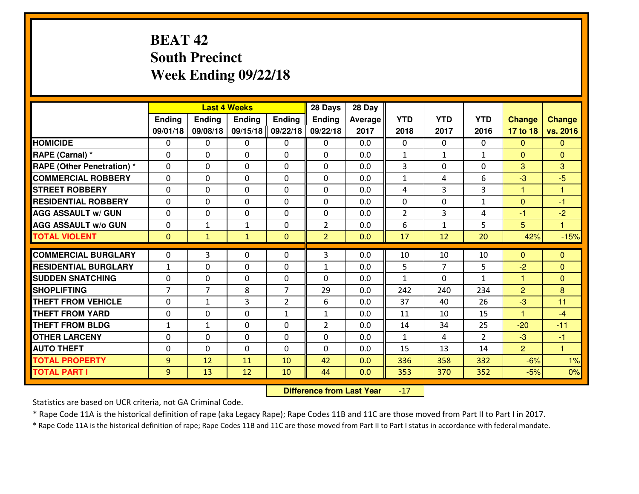# **BEAT 42 South PrecinctWeek Ending 09/22/18**

|                                              |                |                | <b>Last 4 Weeks</b> |                | 28 Days        | 28 Day     |                |                |                |                      |                      |
|----------------------------------------------|----------------|----------------|---------------------|----------------|----------------|------------|----------------|----------------|----------------|----------------------|----------------------|
|                                              | Ending         | Ending         | <b>Ending</b>       | <b>Ending</b>  | <b>Ending</b>  | Average    | <b>YTD</b>     | <b>YTD</b>     | <b>YTD</b>     | <b>Change</b>        | <b>Change</b>        |
|                                              | 09/01/18       | 09/08/18       | 09/15/18            | 09/22/18       | 09/22/18       | 2017       | 2018           | 2017           | 2016           | 17 to 18             | vs. 2016             |
| <b>HOMICIDE</b>                              | $\mathbf{0}$   | 0              | $\mathbf{0}$        | 0              | 0              | 0.0        | $\mathbf{0}$   | $\Omega$       | 0              | $\Omega$             | $\Omega$             |
| RAPE (Carnal) *                              | 0              | 0              | $\mathbf{0}$        | 0              | $\Omega$       | 0.0        | 1              | $\mathbf{1}$   | $\mathbf{1}$   | $\Omega$             | $\mathbf{0}$         |
| <b>RAPE (Other Penetration)*</b>             | $\Omega$       | 0              | $\mathbf{0}$        | $\Omega$       | $\Omega$       | 0.0        | 3              | 0              | 0              | 3                    | 3                    |
| <b>COMMERCIAL ROBBERY</b>                    | $\Omega$       | 0              | $\mathbf 0$         | $\Omega$       | 0              | 0.0        | $\mathbf{1}$   | 4              | 6              | -3                   | $-5$                 |
| <b>ISTREET ROBBERY</b>                       | 0              | 0              | $\mathbf 0$         | 0              | 0              | 0.0        | 4              | 3              | 3              | 1                    | 1                    |
| <b>RESIDENTIAL ROBBERY</b>                   | $\mathbf{0}$   | 0              | $\mathbf 0$         | 0              | 0              | 0.0        | $\mathbf{0}$   | $\mathbf{0}$   | $\mathbf{1}$   | $\mathbf{0}$         | $-1$                 |
| <b>AGG ASSAULT W/ GUN</b>                    | 0              | 0              | $\mathbf 0$         | 0              | 0              | 0.0        | $\overline{2}$ | $\overline{3}$ | 4              | $-1$                 | $-2$                 |
| <b>AGG ASSAULT W/o GUN</b>                   | 0              | $\mathbf{1}$   | 1                   | 0              | $\overline{2}$ | 0.0        | 6              | $\mathbf{1}$   | 5              | 5                    | $\mathbf{1}$         |
| <b>TOTAL VIOLENT</b>                         | $\mathbf{0}$   | $\mathbf{1}$   | $\mathbf{1}$        | $\overline{0}$ | $\overline{2}$ | 0.0        | 17             | 12             | 20             | 42%                  | $-15%$               |
| <b>COMMERCIAL BURGLARY</b>                   | $\mathbf{0}$   | 3              | $\mathbf{0}$        | 0              | 3              | 0.0        | 10             | 10             | 10             | $\Omega$             | $\mathbf{0}$         |
| <b>RESIDENTIAL BURGLARY</b>                  | $\mathbf{1}$   | 0              | $\mathbf{0}$        | 0              | 1              | 0.0        | 5              | 7              | 5              | $-2$                 | $\mathbf{0}$         |
| <b>SUDDEN SNATCHING</b>                      | $\Omega$       |                |                     |                |                |            |                |                |                |                      |                      |
|                                              |                |                |                     |                |                |            |                |                |                |                      |                      |
|                                              |                | 0              | $\mathbf 0$         | $\Omega$       | $\Omega$       | 0.0        | $\mathbf{1}$   | $\Omega$       | $\mathbf{1}$   | $\mathbf{1}$         | $\Omega$             |
| <b>SHOPLIFTING</b>                           | $\overline{7}$ | $\overline{7}$ | 8                   | 7              | 29             | 0.0        | 242            | 240            | 234            | $\overline{2}$       | 8                    |
| <b>THEFT FROM VEHICLE</b>                    | $\mathbf{0}$   | 1              | 3                   | $\overline{2}$ | 6              | 0.0        | 37             | 40             | 26             | $-3$                 | 11                   |
| <b>THEFT FROM YARD</b>                       | 0              | 0              | $\mathbf 0$         | $\mathbf{1}$   | $\mathbf{1}$   | 0.0        | 11             | 10             | 15             | $\blacktriangleleft$ | $-4$                 |
| <b>THEFT FROM BLDG</b>                       | $\mathbf{1}$   | $\mathbf{1}$   | $\mathbf 0$         | 0              | $\overline{2}$ | 0.0        | 14             | 34             | 25             | $-20$                | $-11$                |
| <b>OTHER LARCENY</b>                         | 0              | 0              | $\mathbf 0$         | 0              | 0              | 0.0        | $\mathbf{1}$   | 4              | $\overline{2}$ | $-3$                 | $-1$                 |
| <b>AUTO THEFT</b>                            | $\mathbf{0}$   | 0              | $\mathbf{0}$        | $\Omega$       | 0              | 0.0        | 15             | 13             | 14             | $\overline{2}$       | $\blacktriangleleft$ |
| <b>TOTAL PROPERTY</b><br><b>TOTAL PART I</b> | 9<br>9         | 12<br>13       | 11<br>12            | 10<br>10       | 42<br>44       | 0.0<br>0.0 | 336<br>353     | 358<br>370     | 332<br>352     | $-6%$<br>$-5%$       | 1%<br>0%             |

 **Difference from Last Year**-17

Statistics are based on UCR criteria, not GA Criminal Code.

\* Rape Code 11A is the historical definition of rape (aka Legacy Rape); Rape Codes 11B and 11C are those moved from Part II to Part I in 2017.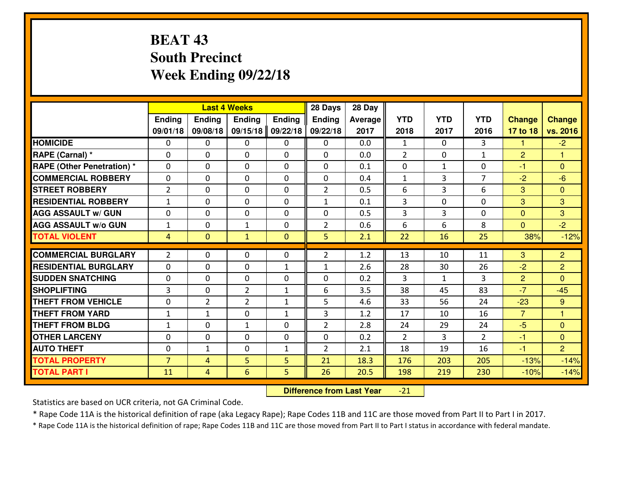# **BEAT 43 South PrecinctWeek Ending 09/22/18**

|                                  |                |                | <b>Last 4 Weeks</b> |               | 28 Days        | 28 Day  |                |                |                |                |                         |
|----------------------------------|----------------|----------------|---------------------|---------------|----------------|---------|----------------|----------------|----------------|----------------|-------------------------|
|                                  | Ending         | <b>Ending</b>  | <b>Ending</b>       | <b>Ending</b> | <b>Ending</b>  | Average | <b>YTD</b>     | <b>YTD</b>     | <b>YTD</b>     | <b>Change</b>  | <b>Change</b>           |
|                                  | 09/01/18       | 09/08/18       | 09/15/18            | 09/22/18      | 09/22/18       | 2017    | 2018           | 2017           | 2016           | 17 to 18       | vs. 2016                |
| <b>HOMICIDE</b>                  | $\Omega$       | 0              | 0                   | 0             | $\Omega$       | 0.0     | 1              | $\Omega$       | 3              | 1              | $-2$                    |
| RAPE (Carnal) *                  | $\Omega$       | 0              | $\Omega$            | $\Omega$      | $\Omega$       | 0.0     | $\overline{2}$ | $\Omega$       | $\mathbf{1}$   | $\overline{2}$ | 1                       |
| <b>RAPE (Other Penetration)*</b> | 0              | 0              | $\mathbf 0$         | 0             | 0              | 0.1     | 0              | $\mathbf{1}$   | 0              | $-1$           | $\overline{0}$          |
| <b>COMMERCIAL ROBBERY</b>        | 0              | 0              | $\mathbf 0$         | 0             | 0              | 0.4     | $\mathbf{1}$   | 3              | $\overline{7}$ | $-2$           | $-6$                    |
| <b>STREET ROBBERY</b>            | $\overline{2}$ | 0              | $\mathbf 0$         | 0             | $\overline{2}$ | 0.5     | 6              | 3              | 6              | 3              | $\mathbf{0}$            |
| <b>RESIDENTIAL ROBBERY</b>       | $\mathbf{1}$   | 0              | $\mathbf 0$         | 0             | $\mathbf{1}$   | 0.1     | 3              | 0              | 0              | 3              | 3                       |
| <b>AGG ASSAULT W/ GUN</b>        | 0              | 0              | $\mathbf 0$         | 0             | 0              | 0.5     | 3              | $\overline{3}$ | 0              | $\mathbf{0}$   | 3                       |
| <b>AGG ASSAULT W/o GUN</b>       | $\mathbf{1}$   | 0              | 1                   | $\mathbf{0}$  | $\overline{2}$ | 0.6     | 6              | 6              | 8              | $\mathbf{0}$   | $-2$                    |
| <b>TOTAL VIOLENT</b>             | 4              | $\overline{0}$ | $\mathbf{1}$        | $\mathbf{0}$  | 5              | 2.1     | 22             | 16             | 25             | 38%            | $-12%$                  |
|                                  |                |                |                     |               |                |         |                |                |                |                |                         |
| <b>COMMERCIAL BURGLARY</b>       | $\overline{2}$ | 0              | $\mathbf{0}$        | 0             | $\overline{2}$ | 1.2     | 13             | 10             | 11             | 3              | $\overline{2}$          |
| <b>RESIDENTIAL BURGLARY</b>      | 0              | 0              | 0                   | $\mathbf{1}$  | $\mathbf{1}$   | 2.6     | 28             | 30             | 26             | $-2$           | $\overline{2}$          |
| <b>SUDDEN SNATCHING</b>          | $\mathbf{0}$   | 0              | $\mathbf 0$         | 0             | 0              | 0.2     | 3              | $\mathbf{1}$   | 3              | $\overline{2}$ | $\Omega$                |
| <b>SHOPLIFTING</b>               | $\overline{3}$ | 0              | $\overline{2}$      | $\mathbf{1}$  | 6              | 3.5     | 38             | 45             | 83             | $-7$           | $-45$                   |
| <b>THEFT FROM VEHICLE</b>        | 0              | $\overline{2}$ | $\overline{2}$      | $\mathbf{1}$  | 5              | 4.6     | 33             | 56             | 24             | $-23$          | 9                       |
| <b>THEFT FROM YARD</b>           | $\mathbf{1}$   | 1              | $\mathbf 0$         | $\mathbf{1}$  | 3              | 1.2     | 17             | 10             | 16             | $\overline{7}$ | $\overline{\mathbf{1}}$ |
| <b>THEFT FROM BLDG</b>           | $\mathbf{1}$   | 0              | $\mathbf{1}$        | $\mathbf{0}$  | $\overline{2}$ | 2.8     | 24             | 29             | 24             | $-5$           | $\overline{0}$          |
| <b>OTHER LARCENY</b>             | 0              | 0              | $\mathbf 0$         | $\mathbf 0$   | 0              | 0.2     | $\overline{2}$ | 3              | $\overline{2}$ | $-1$           | $\overline{0}$          |
| <b>AUTO THEFT</b>                | 0              | $\mathbf{1}$   | $\mathbf 0$         | $\mathbf{1}$  | $\overline{2}$ | 2.1     | 18             | 19             | 16             | $-1$           | $\overline{2}$          |
| <b>TOTAL PROPERTY</b>            | $\overline{7}$ | 4              | 5                   | 5             | 21             | 18.3    | 176            | 203            | 205            | $-13%$         | $-14%$                  |
| <b>TOTAL PART I</b>              | 11             | 4              | $6\overline{6}$     | 5             | 26             | 20.5    | 198            | 219            | 230            | $-10%$         | $-14%$                  |

 **Difference from Last Year** $-21$ 

Statistics are based on UCR criteria, not GA Criminal Code.

\* Rape Code 11A is the historical definition of rape (aka Legacy Rape); Rape Codes 11B and 11C are those moved from Part II to Part I in 2017.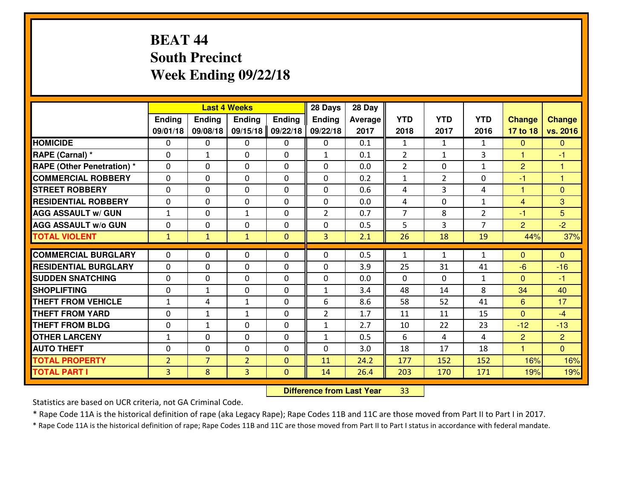# **BEAT 44 South PrecinctWeek Ending 09/22/18**

|                                              |                     |                     | <b>Last 4 Weeks</b> |                          | 28 Days        | 28 Day       |                |               |                |                      |                 |
|----------------------------------------------|---------------------|---------------------|---------------------|--------------------------|----------------|--------------|----------------|---------------|----------------|----------------------|-----------------|
|                                              | Ending              | Ending              | <b>Ending</b>       | <b>Ending</b>            | <b>Ending</b>  | Average      | <b>YTD</b>     | <b>YTD</b>    | <b>YTD</b>     | <b>Change</b>        | <b>Change</b>   |
|                                              | 09/01/18            | 09/08/18            | 09/15/18            | 09/22/18                 | 09/22/18       | 2017         | 2018           | 2017          | 2016           | 17 to 18             | vs. 2016        |
| <b>HOMICIDE</b>                              | $\mathbf{0}$        | 0                   | $\mathbf{0}$        | 0                        | 0              | 0.1          | 1              | $\mathbf{1}$  | $\mathbf{1}$   | $\Omega$             | $\Omega$        |
| RAPE (Carnal) *                              | 0                   | $\mathbf{1}$        | $\mathbf{0}$        | 0                        | $\mathbf{1}$   | 0.1          | $\overline{2}$ | $\mathbf{1}$  | 3              | 1                    | -1              |
| <b>RAPE (Other Penetration)*</b>             | $\Omega$            | 0                   | $\mathbf{0}$        | $\Omega$                 | $\Omega$       | 0.0          | $\overline{2}$ | 0             | $\mathbf{1}$   | $\overline{2}$       | 1               |
| <b>COMMERCIAL ROBBERY</b>                    | $\Omega$            | 0                   | $\mathbf 0$         | $\Omega$                 | 0              | 0.2          | $\mathbf{1}$   | $\mathcal{L}$ | 0              | $-1$                 | $\overline{1}$  |
| <b>ISTREET ROBBERY</b>                       | 0                   | 0                   | $\mathbf 0$         | 0                        | 0              | 0.6          | 4              | 3             | 4              | $\mathbf{1}$         | $\overline{0}$  |
| <b>RESIDENTIAL ROBBERY</b>                   | 0                   | 0                   | $\mathbf 0$         | 0                        | 0              | 0.0          | 4              | $\mathbf{0}$  | $\mathbf{1}$   | $\overline{4}$       | 3               |
| <b>AGG ASSAULT W/ GUN</b>                    | $\mathbf{1}$        | 0                   | 1                   | 0                        | $\overline{2}$ | 0.7          | $\overline{7}$ | 8             | $\overline{2}$ | $-1$                 | $5\overline{)}$ |
| <b>AGG ASSAULT W/o GUN</b>                   | 0                   | 0                   | $\mathbf 0$         | 0                        | 0              | 0.5          | 5              | 3             | $\overline{7}$ | $\overline{2}$       | $-2$            |
| <b>TOTAL VIOLENT</b>                         | $\mathbf{1}$        | $\mathbf{1}$        | $\mathbf{1}$        | $\overline{0}$           | 3              | 2.1          | 26             | 18            | 19             | 44%                  | 37%             |
| <b>COMMERCIAL BURGLARY</b>                   | $\Omega$            | 0                   | $\mathbf{0}$        | 0                        | $\Omega$       | 0.5          | 1              | $\mathbf{1}$  | $\mathbf{1}$   | $\Omega$             | $\mathbf{0}$    |
| <b>RESIDENTIAL BURGLARY</b>                  | $\Omega$            | 0                   | $\mathbf{0}$        | 0                        | $\Omega$       | 3.9          | 25             | 31            | 41             | $-6$                 | $-16$           |
| <b>SUDDEN SNATCHING</b>                      | $\Omega$            | 0                   | $\mathbf 0$         | $\Omega$                 | $\Omega$       | 0.0          | $\Omega$       | 0             | $\mathbf{1}$   | $\Omega$             | $-1$            |
| <b>SHOPLIFTING</b>                           | $\mathbf{0}$        | $\mathbf{1}$        | $\mathbf{0}$        | $\Omega$                 | $\mathbf{1}$   | 3.4          | 48             | 14            | 8              | 34                   | 40              |
|                                              |                     |                     |                     |                          |                |              |                |               |                |                      |                 |
|                                              |                     |                     |                     |                          |                |              |                |               |                |                      |                 |
| <b>THEFT FROM VEHICLE</b>                    | 1                   | 4                   | 1                   | 0                        | 6              | 8.6          | 58             | 52            | 41             | 6                    | 17              |
| <b>THEFT FROM YARD</b>                       | 0                   | $\mathbf{1}$        | 1                   | 0                        | $\overline{2}$ | 1.7          | 11             | 11            | 15             | $\overline{0}$       | $-4$            |
| <b>THEFT FROM BLDG</b>                       | 0                   | $\mathbf{1}$        | $\mathbf 0$         | 0                        | $\mathbf{1}$   | 2.7          | 10             | 22            | 23             | $-12$                | $-13$           |
| <b>OTHER LARCENY</b>                         | $\mathbf{1}$        | 0                   | $\mathbf 0$         | 0                        | $\mathbf{1}$   | 0.5          | 6              | 4             | 4              | 2                    | $\overline{2}$  |
| <b>AUTO THEFT</b>                            | $\mathbf{0}$        | 0                   | 0                   | 0                        | 0              | 3.0          | 18             | 17            | 18             | $\blacktriangleleft$ | $\overline{0}$  |
| <b>TOTAL PROPERTY</b><br><b>TOTAL PART I</b> | $\overline{2}$<br>3 | $\overline{7}$<br>8 | $\overline{2}$<br>3 | $\Omega$<br>$\mathbf{0}$ | 11<br>14       | 24.2<br>26.4 | 177<br>203     | 152<br>170    | 152<br>171     | 16%<br>19%           | 16%<br>19%      |

 **Difference from Last Year**<sup>33</sup>

Statistics are based on UCR criteria, not GA Criminal Code.

\* Rape Code 11A is the historical definition of rape (aka Legacy Rape); Rape Codes 11B and 11C are those moved from Part II to Part I in 2017.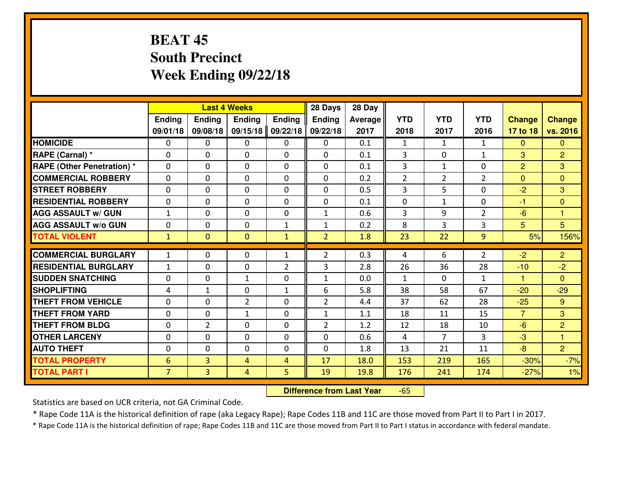# **BEAT 45 South PrecinctWeek Ending 09/22/18**

|                                  |                 |                | <b>Last 4 Weeks</b> |                | 28 Days        | 28 Day  |                |                |                |                |                 |
|----------------------------------|-----------------|----------------|---------------------|----------------|----------------|---------|----------------|----------------|----------------|----------------|-----------------|
|                                  | Ending          | Ending         | Ending              | <b>Ending</b>  | <b>Ending</b>  | Average | <b>YTD</b>     | <b>YTD</b>     | <b>YTD</b>     | <b>Change</b>  | <b>Change</b>   |
|                                  | 09/01/18        | 09/08/18       | 09/15/18            | 09/22/18       | 09/22/18       | 2017    | 2018           | 2017           | 2016           | 17 to 18       | vs. 2016        |
| <b>HOMICIDE</b>                  | 0               | 0              | 0                   | 0              | 0              | 0.1     | 1              | $\mathbf{1}$   | $\mathbf{1}$   | $\Omega$       | $\mathbf{0}$    |
| RAPE (Carnal) *                  | $\Omega$        | 0              | 0                   | $\Omega$       | 0              | 0.1     | 3              | $\mathbf{0}$   | $\mathbf{1}$   | 3              | $\overline{2}$  |
| <b>RAPE (Other Penetration)*</b> | $\Omega$        | $\Omega$       | $\mathbf 0$         | $\Omega$       | $\Omega$       | 0.1     | 3              | $\mathbf{1}$   | $\Omega$       | $\overline{2}$ | 3               |
| <b>COMMERCIAL ROBBERY</b>        | $\Omega$        | $\Omega$       | $\mathbf 0$         | $\Omega$       | $\Omega$       | 0.2     | $\overline{2}$ | $\overline{2}$ | $\overline{2}$ | $\Omega$       | $\Omega$        |
| <b>ISTREET ROBBERY</b>           | $\mathbf{0}$    | 0              | $\mathbf{0}$        | 0              | $\Omega$       | 0.5     | 3              | 5              | 0              | $-2$           | 3               |
| <b>RESIDENTIAL ROBBERY</b>       | 0               | 0              | $\mathbf 0$         | 0              | 0              | 0.1     | 0              | $\mathbf{1}$   | 0              | $-1$           | $\mathbf{0}$    |
| <b>AGG ASSAULT W/ GUN</b>        | $\mathbf{1}$    | 0              | $\mathbf 0$         | 0              | $\mathbf{1}$   | 0.6     | $\overline{3}$ | 9              | $\overline{2}$ | $-6$           | $\mathbf{1}$    |
| <b>AGG ASSAULT W/o GUN</b>       | 0               | 0              | $\mathbf 0$         | $\mathbf{1}$   | $\mathbf{1}$   | 0.2     | 8              | 3              | 3              | 5 <sup>5</sup> | $5\overline{)}$ |
| <b>TOTAL VIOLENT</b>             | $\mathbf{1}$    | $\overline{0}$ | $\overline{0}$      | $\mathbf{1}$   | $\overline{2}$ | 1.8     | 23             | 22             | 9              | 5%             | 156%            |
| <b>COMMERCIAL BURGLARY</b>       | $\mathbf{1}$    | 0              | $\mathbf{0}$        | $\mathbf{1}$   | $\overline{2}$ | 0.3     | 4              | 6              | $\overline{2}$ | $-2$           | $\overline{2}$  |
| <b>RESIDENTIAL BURGLARY</b>      | $\mathbf{1}$    | 0              | $\mathbf 0$         | $\overline{2}$ | 3              | 2.8     | 26             | 36             | 28             | $-10$          | $-2$            |
| <b>SUDDEN SNATCHING</b>          | 0               | 0              | 1                   | 0              | $\mathbf{1}$   | 0.0     | $\mathbf{1}$   | $\Omega$       | $\mathbf{1}$   | $\mathbf{1}$   | $\Omega$        |
| <b>SHOPLIFTING</b>               | 4               | $\mathbf{1}$   | $\mathbf 0$         | $\mathbf{1}$   | 6              | 5.8     | 38             | 58             | 67             | $-20$          | $-29$           |
| <b>THEFT FROM VEHICLE</b>        | 0               | 0              | $\overline{2}$      | 0              | $\overline{2}$ | 4.4     | 37             | 62             | 28             | $-25$          | $9^{\circ}$     |
| <b>THEFT FROM YARD</b>           | 0               | 0              | $\mathbf{1}$        | 0              | $\mathbf{1}$   | 1.1     | 18             | 11             | 15             | $\overline{7}$ | 3               |
| <b>THEFT FROM BLDG</b>           | $\mathbf{0}$    | $\overline{2}$ | 0                   | 0              | $\overline{2}$ | 1.2     | 12             | 18             | 10             | $-6$           | 2               |
| <b>OTHER LARCENY</b>             | 0               | 0              | $\mathbf 0$         | 0              | 0              | 0.6     | 4              | $\overline{7}$ | 3              | $-3$           | $\mathbf{1}$    |
| <b>AUTO THEFT</b>                | 0               | 0              | 0                   | 0              | $\mathbf 0$    | 1.8     | 13             | 21             | 11             | $-8$           | $\overline{2}$  |
| <b>TOTAL PROPERTY</b>            | $6\phantom{1}6$ | $\overline{3}$ | 4                   | $\overline{4}$ | 17             | 18.0    | 153            | 219            | 165            | $-30%$         | $-7%$           |
| <b>TOTAL PART I</b>              | $\overline{7}$  | $\overline{3}$ | 4                   | 5              | 19             | 19.8    | 176            | 241            | 174            | $-27%$         | 1%              |

 **Difference from Last Year**-65

Statistics are based on UCR criteria, not GA Criminal Code.

\* Rape Code 11A is the historical definition of rape (aka Legacy Rape); Rape Codes 11B and 11C are those moved from Part II to Part I in 2017.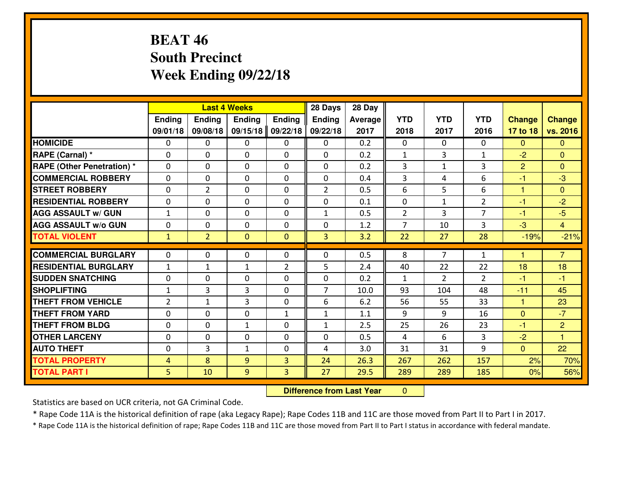# **BEAT 46 South PrecinctWeek Ending 09/22/18**

|                                              |                     |                | <b>Last 4 Weeks</b> |                | 28 Days        | 28 Day       |                |                |                |                |                |
|----------------------------------------------|---------------------|----------------|---------------------|----------------|----------------|--------------|----------------|----------------|----------------|----------------|----------------|
|                                              | Ending              | Ending         | <b>Ending</b>       | <b>Ending</b>  | <b>Ending</b>  | Average      | <b>YTD</b>     | <b>YTD</b>     | <b>YTD</b>     | <b>Change</b>  | <b>Change</b>  |
|                                              | 09/01/18            | 09/08/18       | 09/15/18            | 09/22/18       | 09/22/18       | 2017         | 2018           | 2017           | 2016           | 17 to 18       | vs. 2016       |
| <b>HOMICIDE</b>                              | $\mathbf{0}$        | 0              | $\mathbf{0}$        | 0              | 0              | 0.2          | $\mathbf{0}$   | $\Omega$       | 0              | $\Omega$       | $\Omega$       |
| RAPE (Carnal) *                              | 0                   | 0              | $\mathbf{0}$        | 0              | $\Omega$       | 0.2          | 1              | 3              | $\mathbf{1}$   | $-2$           | $\mathbf{0}$   |
| <b>RAPE (Other Penetration)*</b>             | $\Omega$            | 0              | $\mathbf{0}$        | $\Omega$       | $\Omega$       | 0.2          | 3              | $\mathbf{1}$   | 3              | $\overline{2}$ | $\Omega$       |
| <b>COMMERCIAL ROBBERY</b>                    | $\Omega$            | $\Omega$       | $\mathbf 0$         | $\Omega$       | 0              | 0.4          | 3              | 4              | 6              | $-1$           | $-3$           |
| <b>ISTREET ROBBERY</b>                       | 0                   | $\overline{2}$ | $\mathbf 0$         | 0              | $\overline{2}$ | 0.5          | 6              | 5              | 6              | $\mathbf{1}$   | $\overline{0}$ |
| <b>RESIDENTIAL ROBBERY</b>                   | 0                   | 0              | $\mathbf 0$         | 0              | 0              | 0.1          | 0              | $\mathbf{1}$   | $\overline{2}$ | $-1$           | $-2$           |
| <b>AGG ASSAULT W/ GUN</b>                    | $\mathbf{1}$        | 0              | $\mathbf 0$         | 0              | $\mathbf{1}$   | 0.5          | $\overline{2}$ | 3              | $\overline{7}$ | $-1$           | $-5$           |
| <b>AGG ASSAULT W/o GUN</b>                   | 0                   | 0              | $\mathbf 0$         | 0              | $\mathbf 0$    | 1.2          | $\overline{7}$ | 10             | $\overline{3}$ | $-3$           | $\overline{4}$ |
| <b>TOTAL VIOLENT</b>                         | $\mathbf{1}$        | $\overline{2}$ | $\mathbf{0}$        | $\mathbf{0}$   | 3              | 3.2          | 22             | 27             | 28             | $-19%$         | $-21%$         |
| <b>COMMERCIAL BURGLARY</b>                   | $\Omega$            | 0              | $\mathbf{0}$        | 0              | $\Omega$       | 0.5          | 8              | $\overline{7}$ | $\mathbf{1}$   | н              | $\overline{7}$ |
| <b>RESIDENTIAL BURGLARY</b>                  | $\mathbf{1}$        | 1              | 1                   | $\overline{2}$ | 5              | 2.4          | 40             | 22             | 22             | 18             | 18             |
| <b>SUDDEN SNATCHING</b>                      | $\Omega$            | 0              | $\mathbf 0$         | $\Omega$       | $\Omega$       | 0.2          | $\mathbf{1}$   | $\mathcal{L}$  | $\overline{2}$ | -1             | $-1$           |
| <b>SHOPLIFTING</b>                           | $\mathbf{1}$        | 3              | 3                   | $\Omega$       | $\overline{7}$ |              |                |                |                |                | 45             |
|                                              |                     |                |                     |                |                |              |                |                |                |                |                |
|                                              |                     |                |                     |                |                | 10.0         | 93             | 104            | 48             | $-11$          |                |
| <b>THEFT FROM VEHICLE</b>                    | $\overline{2}$      | $\mathbf{1}$   | 3                   | 0              | 6              | 6.2          | 56             | 55             | 33             | $\mathbf{1}$   | 23             |
| <b>THEFT FROM YARD</b>                       | 0                   | 0              | $\mathbf 0$         | $\mathbf{1}$   | $\mathbf{1}$   | 1.1          | 9              | 9              | 16             | $\mathbf{0}$   | $-7$           |
| <b>THEFT FROM BLDG</b>                       | 0                   | 0              | 1                   | 0              | $\mathbf{1}$   | 2.5          | 25             | 26             | 23             | $-1$           | $\overline{2}$ |
| <b>OTHER LARCENY</b>                         | 0                   | 0              | $\mathbf 0$         | 0              | 0              | 0.5          | 4              | 6              | 3              | $-2$           | $\overline{1}$ |
| <b>AUTO THEFT</b>                            | $\mathbf{0}$        | 3              | 1                   | 0              | 4              | 3.0          | 31             | 31             | 9              | $\mathbf{0}$   | 22             |
| <b>TOTAL PROPERTY</b><br><b>TOTAL PART I</b> | 4<br>5 <sub>1</sub> | 8<br>10        | 9<br>9              | 3<br>3         | 24<br>27       | 26.3<br>29.5 | 267<br>289     | 262<br>289     | 157<br>185     | 2%<br>0%       | 70%<br>56%     |

 **Difference from Last Year** $\mathbf{0}$ 

Statistics are based on UCR criteria, not GA Criminal Code.

\* Rape Code 11A is the historical definition of rape (aka Legacy Rape); Rape Codes 11B and 11C are those moved from Part II to Part I in 2017.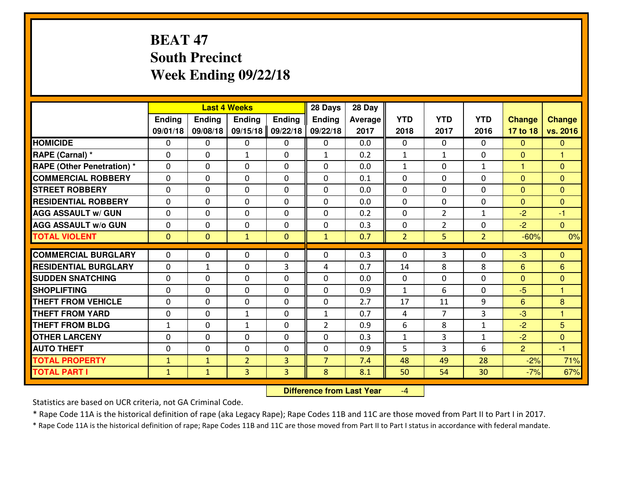# **BEAT 47 South PrecinctWeek Ending 09/22/18**

|                                                     |                          |                | <b>Last 4 Weeks</b>         |               | 28 Days        | 28 Day     |                    |                |                |                |                                |
|-----------------------------------------------------|--------------------------|----------------|-----------------------------|---------------|----------------|------------|--------------------|----------------|----------------|----------------|--------------------------------|
|                                                     | Ending                   | Ending         | <b>Ending</b>               | <b>Ending</b> | <b>Ending</b>  | Average    | <b>YTD</b>         | <b>YTD</b>     | <b>YTD</b>     | <b>Change</b>  | <b>Change</b>                  |
|                                                     | 09/01/18                 | 09/08/18       | 09/15/18                    | 09/22/18      | 09/22/18       | 2017       | 2018               | 2017           | 2016           | 17 to 18       | vs. 2016                       |
| <b>HOMICIDE</b>                                     | $\mathbf{0}$             | 0              | 0                           | 0             | 0              | 0.0        | $\mathbf{0}$       | $\Omega$       | $\Omega$       | $\Omega$       | $\mathbf{0}$                   |
| RAPE (Carnal) *                                     | $\Omega$                 | 0              | 1                           | 0             | $\mathbf{1}$   | 0.2        | 1                  | $\mathbf{1}$   | 0              | $\Omega$       | 1                              |
| <b>RAPE (Other Penetration)*</b>                    | $\Omega$                 | $\Omega$       | $\Omega$                    | $\Omega$      | $\Omega$       | 0.0        | $\mathbf{1}$       | 0              | $\mathbf{1}$   | $\mathbf{1}$   | $\Omega$                       |
| <b>COMMERCIAL ROBBERY</b>                           | 0                        | 0              | $\mathbf 0$                 | 0             | 0              | 0.1        | 0                  | $\mathbf{0}$   | 0              | $\mathbf{0}$   | $\overline{0}$                 |
| <b>ISTREET ROBBERY</b>                              | $\mathbf{0}$             | 0              | $\mathbf{0}$                | $\Omega$      | $\Omega$       | 0.0        | $\Omega$           | 0              | 0              | $\Omega$       | $\mathbf{0}$                   |
| <b>RESIDENTIAL ROBBERY</b>                          | $\Omega$                 | $\Omega$       | $\mathbf 0$                 | $\Omega$      | 0              | 0.0        | $\Omega$           | $\Omega$       | 0              | $\overline{0}$ | $\Omega$                       |
| <b>AGG ASSAULT W/ GUN</b>                           | $\Omega$                 | $\Omega$       | $\mathbf 0$                 | $\Omega$      | $\Omega$       | 0.2        | 0                  | $\overline{2}$ | $\mathbf{1}$   | $-2$           | $-1$                           |
| <b>AGG ASSAULT W/o GUN</b>                          | 0                        | 0              | $\mathbf 0$                 | 0             | 0              | 0.3        | 0                  | $\overline{2}$ | 0              | $-2$           | $\overline{0}$                 |
| <b>TOTAL VIOLENT</b>                                | $\mathbf{0}$             | $\overline{0}$ | $\mathbf{1}$                | $\mathbf{0}$  | $\mathbf{1}$   | 0.7        | $\overline{2}$     | 5              | $\overline{2}$ | $-60%$         | 0%                             |
|                                                     |                          |                |                             |               |                |            |                    |                |                |                |                                |
|                                                     |                          |                |                             |               |                |            |                    |                |                |                |                                |
| <b>COMMERCIAL BURGLARY</b>                          | $\mathbf{0}$             | 0              | 0                           | 0             | $\Omega$       | 0.3        | $\Omega$           | 3              | 0              | -3             | $\mathbf{0}$                   |
| <b>RESIDENTIAL BURGLARY</b>                         | $\mathbf{0}$             | $\mathbf{1}$   | $\mathbf{0}$                | 3             | 4              | 0.7        | 14                 | 8              | 8              | 6              | 6                              |
| <b>SUDDEN SNATCHING</b>                             | $\Omega$                 | 0              | $\mathbf{0}$                | $\Omega$      | $\Omega$       | 0.0        | $\Omega$           | 0              | 0              | $\Omega$       | $\mathbf{0}$<br>$\overline{1}$ |
| <b>SHOPLIFTING</b>                                  | $\mathbf{0}$<br>$\Omega$ | 0<br>0         | $\mathbf 0$<br>$\mathbf{0}$ | 0<br>$\Omega$ | 0<br>$\Omega$  | 0.9        | $\mathbf{1}$<br>17 | 6<br>11        | 0              | $-5$<br>6      | 8                              |
| <b>THEFT FROM VEHICLE</b><br><b>THEFT FROM YARD</b> | 0                        | 0              | $\mathbf{1}$                | 0             | $\mathbf{1}$   | 2.7<br>0.7 | 4                  | $\overline{7}$ | 9<br>3         | -3             | 1                              |
| <b>THEFT FROM BLDG</b>                              | $\mathbf{1}$             | 0              | $\mathbf{1}$                | 0             | $\overline{2}$ | 0.9        | 6                  | 8              | $\mathbf{1}$   | $-2$           | $5\overline{)}$                |
| <b>OTHER LARCENY</b>                                | 0                        | 0              | $\mathbf 0$                 | 0             | 0              | 0.3        | $\mathbf{1}$       | 3              | $\mathbf{1}$   | $-2$           | $\overline{0}$                 |
| <b>AUTO THEFT</b>                                   | $\mathbf{0}$             | 0              | $\mathbf 0$                 | 0             | 0              | 0.9        | 5                  | 3              | 6              | $\overline{2}$ | $-1$                           |
| <b>TOTAL PROPERTY</b>                               | $\mathbf{1}$             | $\mathbf{1}$   | $\overline{2}$              | 3             | $\overline{7}$ | 7.4        | 48                 | 49             | 28             | $-2%$          | 71%                            |
| <b>TOTAL PART I</b>                                 | $\mathbf{1}$             | $\mathbf{1}$   | 3                           | 3             | 8              | 8.1        | 50                 | 54             | 30             | $-7%$          | 67%                            |

 **Difference from Last Year**-4

Statistics are based on UCR criteria, not GA Criminal Code.

\* Rape Code 11A is the historical definition of rape (aka Legacy Rape); Rape Codes 11B and 11C are those moved from Part II to Part I in 2017.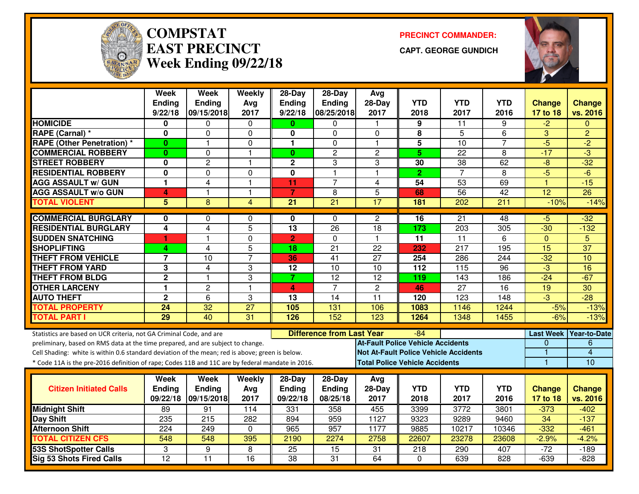

#### **COMPSTATEAST PRECINCTWeek Ending 09/22/18**

**PRECINCT COMMANDER:**

**CAPT. GEORGE GUNDICH**



|                                                                                                  | <b>Week</b>             | <b>Week</b>                 | Weekly          | $28-Day$                                | $28-Day$             | Avg                                          |                                       |                    |                    |                           |                           |
|--------------------------------------------------------------------------------------------------|-------------------------|-----------------------------|-----------------|-----------------------------------------|----------------------|----------------------------------------------|---------------------------------------|--------------------|--------------------|---------------------------|---------------------------|
|                                                                                                  | Ending<br>9/22/18       | <b>Ending</b><br>09/15/2018 | Avg<br>2017     | <b>Ending</b><br>9/22/18                | Ending<br>08/25/2018 | 28-Day<br>2017                               | <b>YTD</b><br>2018                    | <b>YTD</b><br>2017 | <b>YTD</b><br>2016 | <b>Change</b><br>17 to 18 | <b>Change</b><br>vs. 2016 |
| <b>HOMICIDE</b>                                                                                  | 0                       | 0                           | $\mathbf 0$     | 0                                       | 0                    | $\mathbf{1}$                                 | 9                                     | 11                 | 9                  | $-2$                      | $\mathbf{0}$              |
| RAPE (Carnal) *                                                                                  | 0                       | 0                           | 0               | 0                                       | $\Omega$             | $\Omega$                                     | 8                                     | 5                  | 6                  | 3                         | $\overline{2}$            |
| <b>RAPE (Other Penetration) *</b>                                                                | $\bf{0}$                | 1                           | 0               | 1                                       | 0                    | $\mathbf 1$                                  | 5                                     | $\overline{10}$    | 7                  | $-5$                      | $\overline{2}$            |
| <b>COMMERCIAL ROBBERY</b>                                                                        | $\bf{0}$                | 0                           | $\overline{1}$  | $\bf{0}$                                | $\overline{2}$       | $\overline{c}$                               | 5 <sup>5</sup>                        | 22                 | 8                  | $-17$                     | $\overline{3}$            |
| <b>STREET ROBBERY</b>                                                                            | 0                       | $\overline{c}$              | $\mathbf{1}$    | $\mathbf 2$                             | 3                    | 3                                            | 30                                    | 38                 | 62                 | $-8$                      | $-\overline{32}$          |
| <b>RESIDENTIAL ROBBERY</b>                                                                       | $\overline{\mathbf{0}}$ | $\overline{0}$              | $\mathbf 0$     | $\overline{\mathbf{0}}$                 | $\mathbf{1}$         | $\overline{1}$                               | $\overline{2}$                        | $\overline{7}$     | 8                  | $-5$                      | $-6$                      |
| <b>AGG ASSAULT w/ GUN</b>                                                                        | 1                       | 4                           | $\mathbf{1}$    | 11                                      | $\overline{7}$       | $\overline{4}$                               | 54                                    | 53                 | 69                 | $\mathbf{1}$              | $-15$                     |
| <b>AGG ASSAULT w/o GUN</b>                                                                       | 4                       | $\blacksquare$              | $\overline{1}$  | $\overline{7}$                          | 8                    | 5                                            | 68                                    | 56                 | $\overline{42}$    | $\overline{12}$           | $\overline{26}$           |
| <b>TOTAL VIOLENT</b>                                                                             | $\overline{5}$          | 8                           | 4               | $\overline{21}$                         | $\overline{21}$      | $\overline{17}$                              | 181                                   | $\overline{202}$   | 211                | $-10%$                    | $-14%$                    |
| <b>COMMERCIAL BURGLARY</b>                                                                       | 0                       | 0                           | $\Omega$        | 0                                       | $\Omega$             | $\overline{c}$                               | $\overline{16}$                       | $\overline{21}$    | 48                 | $-5$                      | $-32$                     |
| <b>RESIDENTIAL BURGLARY</b>                                                                      | 4                       | 4                           | 5               | $\overline{13}$                         | 26                   | $\overline{18}$                              | 173                                   | $\overline{203}$   | 305                | $-30$                     | $-132$                    |
| <b>SUDDEN SNATCHING</b>                                                                          | 1                       | 1                           | $\mathbf 0$     | $\overline{2}$                          | $\mathbf 0$          | $\overline{1}$                               | $\overline{11}$                       | $\overline{11}$    | 6                  | $\mathbf{0}$              | 5                         |
| <b>SHOPLIFTING</b>                                                                               | 4                       | $\overline{4}$              | 5               | 18                                      | 21                   | 22                                           | 232                                   | 217                | 195                | 15                        | 37                        |
| <b>THEFT FROM VEHICLE</b>                                                                        | $\overline{\mathbf{7}}$ | $\overline{10}$             | $\overline{7}$  | 36                                      | $\overline{41}$      | $\overline{27}$                              | 254                                   | 286                | 244                | $-32$                     | 10                        |
| <b>THEFT FROM YARD</b>                                                                           | 3                       | $\overline{4}$              | 3               | $\overline{12}$                         | $\overline{10}$      | 10                                           | $\overline{112}$                      | 115                | $\overline{96}$    | $-3$                      | 16                        |
| <b>THEFT FROM BLDG</b>                                                                           | $\overline{2}$          | $\mathbf{1}$                | 3               | $\overline{7}$                          | $\overline{12}$      | $\overline{12}$                              | 119                                   | 143                | 186                | $-24$                     | $-67$                     |
| <b>OTHER LARCENY</b>                                                                             | 1                       | $\overline{c}$              | $\mathbf{1}$    | 4                                       | $\overline{7}$       | $\mathbf{2}$                                 | 46                                    | $\overline{27}$    | $\overline{16}$    | $\overline{19}$           | $\overline{30}$           |
| <b>AUTO THEFT</b>                                                                                | $\overline{2}$          | 6                           | 3               | 13                                      | 14                   | 11                                           | 120                                   | 123                | 148                | $\overline{3}$            | $-28$                     |
| <b>TOTAL PROPERTY</b>                                                                            | 24                      | 32                          | $\overline{27}$ | 105                                     | 131                  | 106                                          | 1083                                  | 1146               | 1244               | $-5%$                     | $-13%$                    |
| <b>TOTAL PART I</b>                                                                              | 29                      | 40                          | 31              | 126                                     | 152                  | 123                                          | 1264                                  | 1348               | 1455               | $-6%$                     | $-13%$                    |
| Statistics are based on UCR criteria, not GA Criminal Code, and are                              |                         |                             |                 | <b>Difference from Last Year</b><br>-84 |                      |                                              |                                       |                    |                    |                           | Last Week Year-to-Date    |
| preliminary, based on RMS data at the time prepared, and are subject to change.                  |                         |                             |                 |                                         |                      | <b>At-Fault Police Vehicle Accidents</b>     |                                       |                    |                    | 0                         | 6                         |
| Cell Shading: white is within 0.6 standard deviation of the mean; red is above; green is below.  |                         |                             |                 |                                         |                      | <b>Not At-Fault Police Vehicle Accidents</b> |                                       |                    |                    | 1                         | $\overline{4}$            |
| * Code 11A is the pre-2016 definition of rape; Codes 11B and 11C are by federal mandate in 2016. |                         |                             |                 |                                         |                      |                                              | <b>Total Police Vehicle Accidents</b> |                    |                    | $\mathbf{1}$              | $\overline{10}$           |
|                                                                                                  | Week                    | <b>Week</b>                 | Weekly          | $28-Day$                                | $28-Day$             | Avg                                          |                                       |                    |                    |                           |                           |
| <b>Citizen Initiated Calls</b>                                                                   | <b>Ending</b>           | Ending                      | Avg             | <b>Ending</b>                           | <b>Ending</b>        | $28-Day$                                     | <b>YTD</b>                            | <b>YTD</b>         | <b>YTD</b>         | <b>Change</b>             | <b>Change</b>             |
|                                                                                                  | 09/22/18                | 09/15/2018                  | 2017            | 09/22/18                                | 08/25/18             | 2017                                         | 2018                                  | 2017               | 2016               | 17 to 18                  | vs. 2016                  |
| <b>Midnight Shift</b>                                                                            | 89                      | 91                          | 114             | 331                                     | 358                  | 455                                          | 3399                                  | 3772               | 3801               | $-373$                    | $-402$                    |
| Day Shift                                                                                        | 235                     | $\overline{215}$            | 282             | 894                                     | 959                  | 1127                                         | 9323                                  | 9289               | 9460               | $\overline{34}$           | $-137$                    |
| <b>Afternoon Shift</b>                                                                           | 224                     | 249                         | 0               | 965                                     | 957                  | 1177                                         | 9885                                  | 10217              | 10346              | $-332$                    | $-461$                    |
| <b>TOTAL CITIZEN CFS</b>                                                                         | 548                     | 548                         | 395             | 2190                                    | 2274                 | 2758                                         | 22607                                 | 23278              | 23608              | $-2.9%$                   | $-4.2%$                   |
| <b>53S ShotSpotter Calls</b>                                                                     | 3                       | 9                           | 8               | 25                                      | $\overline{15}$      | 31                                           | $\overline{218}$                      | 290                | 407                | $-72$                     | $-189$                    |
| <b>Sig 53 Shots Fired Calls</b>                                                                  | $\overline{12}$         | $\overline{11}$             | $\overline{16}$ | $\overline{38}$                         | $\overline{31}$      | 64                                           | $\Omega$                              | 639                | 828                | $-639$                    | $-828$                    |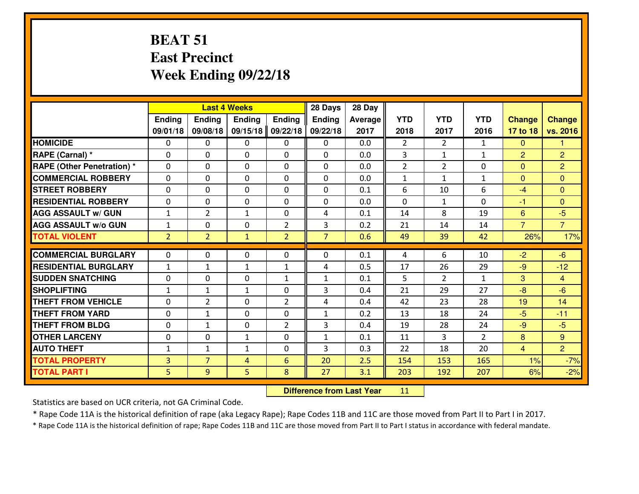## **BEAT 51 East PrecinctWeek Ending 09/22/18**

|                                  | <b>Last 4 Weeks</b> |                |               |                | 28 Days        | 28 Day         |                |                |                |                |                |
|----------------------------------|---------------------|----------------|---------------|----------------|----------------|----------------|----------------|----------------|----------------|----------------|----------------|
|                                  | Ending              | <b>Ending</b>  | <b>Ending</b> | <b>Ending</b>  | <b>Ending</b>  | <b>Average</b> | <b>YTD</b>     | <b>YTD</b>     | <b>YTD</b>     | <b>Change</b>  | <b>Change</b>  |
|                                  | 09/01/18            | 09/08/18       | 09/15/18      | 09/22/18       | 09/22/18       | 2017           | 2018           | 2017           | 2016           | 17 to 18       | vs. 2016       |
| <b>HOMICIDE</b>                  | $\Omega$            | 0              | 0             | 0              | $\Omega$       | 0.0            | $\overline{2}$ | $\overline{2}$ | $\mathbf{1}$   | $\Omega$       | 1              |
| RAPE (Carnal) *                  | $\Omega$            | 0              | $\Omega$      | $\Omega$       | $\Omega$       | 0.0            | 3              | $\mathbf{1}$   | $\mathbf{1}$   | $\overline{2}$ | $\overline{2}$ |
| <b>RAPE (Other Penetration)*</b> | 0                   | 0              | $\mathbf 0$   | 0              | 0              | 0.0            | $\overline{2}$ | $\overline{2}$ | 0              | $\Omega$       | $\overline{2}$ |
| <b>COMMERCIAL ROBBERY</b>        | 0                   | 0              | $\mathbf 0$   | 0              | 0              | 0.0            | $\mathbf{1}$   | $\mathbf{1}$   | $\mathbf{1}$   | $\mathbf{0}$   | $\mathbf{0}$   |
| <b>STREET ROBBERY</b>            | $\mathbf{0}$        | 0              | $\mathbf 0$   | 0              | 0              | 0.1            | 6              | 10             | 6              | $-4$           | $\mathbf{0}$   |
| <b>RESIDENTIAL ROBBERY</b>       | 0                   | 0              | $\mathbf 0$   | $\mathbf{0}$   | 0              | 0.0            | 0              | $\mathbf{1}$   | 0              | $-1$           | $\mathbf{0}$   |
| <b>AGG ASSAULT W/ GUN</b>        | $1\,$               | $\overline{2}$ | 1             | 0              | 4              | 0.1            | 14             | 8              | 19             | $6\phantom{1}$ | $-5$           |
| <b>AGG ASSAULT W/o GUN</b>       | $\mathbf{1}$        | 0              | 0             | 2              | 3              | 0.2            | 21             | 14             | 14             | $\overline{7}$ | $\overline{7}$ |
| <b>TOTAL VIOLENT</b>             | $\overline{2}$      | $\overline{2}$ | $\mathbf{1}$  | $\overline{2}$ | $\overline{7}$ | 0.6            | 49             | 39             | 42             | 26%            | 17%            |
| <b>COMMERCIAL BURGLARY</b>       | $\mathbf{0}$        | 0              | $\mathbf{0}$  | 0              | $\Omega$       | 0.1            | 4              | 6              | 10             | $-2$           | $-6$           |
| <b>RESIDENTIAL BURGLARY</b>      | $\mathbf{1}$        | 1              | 1             | $\mathbf{1}$   | 4              | 0.5            | 17             | 26             | 29             | $-9$           | $-12$          |
| <b>SUDDEN SNATCHING</b>          | $\mathbf{0}$        | 0              | $\mathbf 0$   | $\mathbf{1}$   | $\mathbf{1}$   | 0.1            | 5              | $\overline{2}$ | $\mathbf{1}$   | 3              | $\overline{4}$ |
| <b>SHOPLIFTING</b>               | $\mathbf{1}$        | $\mathbf{1}$   | 1             | 0              | 3              | 0.4            | 21             | 29             | 27             | $-8$           | $-6$           |
| <b>THEFT FROM VEHICLE</b>        | 0                   | $\overline{2}$ | $\mathbf 0$   | $\overline{2}$ | 4              | 0.4            | 42             | 23             | 28             | 19             | 14             |
| <b>THEFT FROM YARD</b>           | 0                   | $\mathbf{1}$   | $\mathbf 0$   | 0              | $\mathbf{1}$   | 0.2            | 13             | 18             | 24             | $-5$           | $-11$          |
| <b>THEFT FROM BLDG</b>           | 0                   | $\mathbf{1}$   | $\mathbf 0$   | $\overline{2}$ | 3              | 0.4            | 19             | 28             | 24             | $-9$           | $-5$           |
| <b>OTHER LARCENY</b>             | 0                   | 0              | $\mathbf{1}$  | 0              | $\mathbf{1}$   | 0.1            | 11             | 3              | $\overline{2}$ | 8              | 9              |
| <b>AUTO THEFT</b>                | $\mathbf{1}$        | $\mathbf{1}$   | $\mathbf{1}$  | 0              | 3              | 0.3            | 22             | 18             | 20             | $\overline{4}$ | $\overline{2}$ |
| <b>TOTAL PROPERTY</b>            | $\overline{3}$      | $\overline{7}$ | 4             | 6              | 20             | 2.5            | 154            | 153            | 165            | 1%             | $-7%$          |
| <b>TOTAL PART I</b>              | 5                   | 9              | 5             | 8              | 27             | 3.1            | 203            | 192            | 207            | 6%             | $-2%$          |

 **Difference from Last Year**<sup>11</sup>

Statistics are based on UCR criteria, not GA Criminal Code.

\* Rape Code 11A is the historical definition of rape (aka Legacy Rape); Rape Codes 11B and 11C are those moved from Part II to Part I in 2017.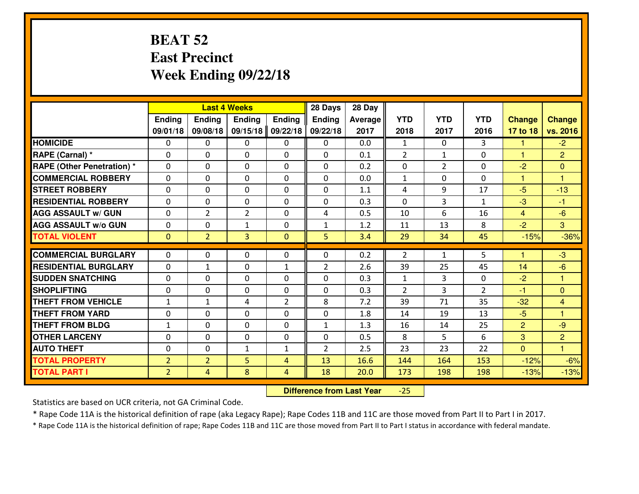# **BEAT 52 East PrecinctWeek Ending 09/22/18**

|                                  | <b>Last 4 Weeks</b> |                |                |                | 28 Days        | 28 Day  |                |                |                |                      |                      |
|----------------------------------|---------------------|----------------|----------------|----------------|----------------|---------|----------------|----------------|----------------|----------------------|----------------------|
|                                  | Ending              | <b>Ending</b>  | <b>Ending</b>  | <b>Ending</b>  | <b>Ending</b>  | Average | <b>YTD</b>     | <b>YTD</b>     | <b>YTD</b>     | <b>Change</b>        | <b>Change</b>        |
|                                  | 09/01/18            | 09/08/18       | 09/15/18       | 09/22/18       | 09/22/18       | 2017    | 2018           | 2017           | 2016           | 17 to 18             | vs. 2016             |
| <b>HOMICIDE</b>                  | $\Omega$            | 0              | 0              | 0              | 0              | 0.0     | 1              | $\Omega$       | 3              | -1                   | $-2$                 |
| RAPE (Carnal) *                  | $\Omega$            | 0              | $\Omega$       | $\Omega$       | $\Omega$       | 0.1     | 2              | $\mathbf{1}$   | 0              | $\mathbf{1}$         | $\overline{2}$       |
| <b>RAPE (Other Penetration)*</b> | 0                   | 0              | $\mathbf 0$    | 0              | 0              | 0.2     | 0              | $\overline{2}$ | 0              | $-2$                 | $\mathbf{0}$         |
| <b>COMMERCIAL ROBBERY</b>        | 0                   | 0              | $\mathbf 0$    | 0              | 0              | 0.0     | $\mathbf{1}$   | 0              | 0              | $\mathbf{1}$         | $\blacktriangleleft$ |
| <b>STREET ROBBERY</b>            | 0                   | 0              | $\mathbf 0$    | 0              | 0              | 1.1     | 4              | 9              | 17             | $-5$                 | $-13$                |
| <b>RESIDENTIAL ROBBERY</b>       | 0                   | 0              | $\mathbf 0$    | $\mathbf{0}$   | 0              | 0.3     | $\mathbf 0$    | 3              | $\mathbf{1}$   | $-3$                 | $-1$                 |
| <b>AGG ASSAULT W/ GUN</b>        | 0                   | $\overline{2}$ | $\overline{2}$ | 0              | 4              | 0.5     | 10             | 6              | 16             | $\overline{4}$       | $-6$                 |
| <b>AGG ASSAULT W/o GUN</b>       | 0                   | 0              | 1              | $\mathbf{0}$   | $\mathbf{1}$   | 1.2     | 11             | 13             | 8              | $-2$                 | 3                    |
| <b>TOTAL VIOLENT</b>             | $\mathbf{0}$        | $\overline{2}$ | 3              | $\mathbf{0}$   | 5              | 3.4     | 29             | 34             | 45             | $-15%$               | $-36%$               |
| <b>COMMERCIAL BURGLARY</b>       | $\Omega$            | 0              | $\mathbf{0}$   | 0              | $\Omega$       | 0.2     | 2              | $\mathbf{1}$   | 5              | $\blacktriangleleft$ | $-3$                 |
| <b>RESIDENTIAL BURGLARY</b>      | $\mathbf{0}$        | 1              | 0              | $\mathbf{1}$   | $\overline{2}$ | 2.6     | 39             | 25             | 45             | 14                   | $-6$                 |
| <b>SUDDEN SNATCHING</b>          | $\mathbf{0}$        | 0              | $\mathbf 0$    | 0              | 0              | 0.3     | $\mathbf{1}$   | 3              | 0              | $-2$                 | $\blacksquare$       |
| <b>SHOPLIFTING</b>               | 0                   | 0              | $\mathbf 0$    | 0              | 0              | 0.3     | $\overline{2}$ | 3              | $\overline{2}$ | $-1$                 | $\overline{0}$       |
| <b>THEFT FROM VEHICLE</b>        | $\mathbf{1}$        | 1              | 4              | $\overline{2}$ | 8              | 7.2     | 39             | 71             | 35             | $-32$                | 4                    |
| <b>THEFT FROM YARD</b>           | 0                   | 0              | $\mathbf 0$    | 0              | 0              | 1.8     | 14             | 19             | 13             | $-5$                 | $\overline{1}$       |
| <b>THEFT FROM BLDG</b>           | $\mathbf{1}$        | 0              | $\mathbf 0$    | $\mathbf{0}$   | $\mathbf{1}$   | 1.3     | 16             | 14             | 25             | 2                    | $-9$                 |
| <b>OTHER LARCENY</b>             | 0                   | 0              | $\mathbf 0$    | $\mathbf 0$    | 0              | 0.5     | 8              | 5              | 6              | 3                    | $\overline{2}$       |
| <b>AUTO THEFT</b>                | 0                   | 0              | 1              | $\mathbf{1}$   | $\overline{2}$ | 2.5     | 23             | 23             | 22             | $\overline{0}$       | $\overline{1}$       |
| <b>TOTAL PROPERTY</b>            | $\overline{2}$      | $\overline{2}$ | 5              | $\overline{4}$ | 13             | 16.6    | 144            | 164            | 153            | $-12%$               | $-6%$                |
| <b>TOTAL PART I</b>              | $\overline{2}$      | $\overline{4}$ | 8              | 4              | 18             | 20.0    | 173            | 198            | 198            | $-13%$               | $-13%$               |

 **Difference from Last Year** $-25$ 

Statistics are based on UCR criteria, not GA Criminal Code.

\* Rape Code 11A is the historical definition of rape (aka Legacy Rape); Rape Codes 11B and 11C are those moved from Part II to Part I in 2017.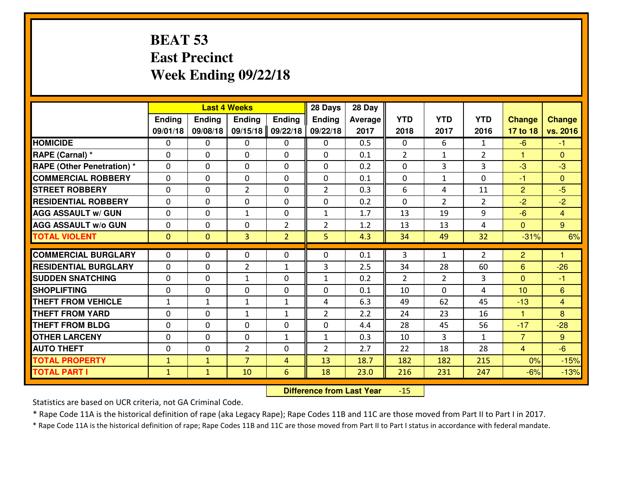# **BEAT 53 East PrecinctWeek Ending 09/22/18**

|                                   | <b>Last 4 Weeks</b> |                |                |                | 28 Days        | 28 Day  |                |                |                |                      |                |
|-----------------------------------|---------------------|----------------|----------------|----------------|----------------|---------|----------------|----------------|----------------|----------------------|----------------|
|                                   | Ending              | Ending         | <b>Ending</b>  | <b>Ending</b>  | <b>Ending</b>  | Average | <b>YTD</b>     | <b>YTD</b>     | <b>YTD</b>     | <b>Change</b>        | <b>Change</b>  |
|                                   | 09/01/18            | 09/08/18       | 09/15/18       | 09/22/18       | 09/22/18       | 2017    | 2018           | 2017           | 2016           | 17 to 18             | vs. 2016       |
| <b>HOMICIDE</b>                   | $\Omega$            | 0              | $\Omega$       | 0              | $\Omega$       | 0.5     | $\Omega$       | 6              | $\mathbf{1}$   | $-6$                 | $-1$           |
| RAPE (Carnal) *                   | $\Omega$            | 0              | $\Omega$       | $\Omega$       | 0              | 0.1     | $\mathcal{L}$  | $\mathbf{1}$   | $\overline{2}$ | $\blacktriangleleft$ | $\Omega$       |
| <b>RAPE (Other Penetration) *</b> | $\mathbf 0$         | 0              | $\mathbf 0$    | 0              | 0              | 0.2     | 0              | 3              | 3              | $-3$                 | $-3$           |
| <b>COMMERCIAL ROBBERY</b>         | $\mathbf 0$         | 0              | $\mathbf 0$    | 0              | 0              | 0.1     | $\mathbf 0$    | $\mathbf{1}$   | 0              | $-1$                 | $\overline{0}$ |
| <b>STREET ROBBERY</b>             | $\mathbf 0$         | 0              | $\overline{2}$ | 0              | $\overline{2}$ | 0.3     | 6              | 4              | 11             | $\overline{2}$       | $-5$           |
| <b>RESIDENTIAL ROBBERY</b>        | $\mathbf 0$         | 0              | $\mathbf 0$    | 0              | 0              | 0.2     | $\mathbf 0$    | $\overline{2}$ | $\overline{2}$ | $-2$                 | $-2$           |
| <b>AGG ASSAULT W/ GUN</b>         | $\mathbf 0$         | 0              | $\mathbf{1}$   | 0              | $\mathbf{1}$   | 1.7     | 13             | 19             | 9              | $-6$                 | $\overline{4}$ |
| <b>AGG ASSAULT W/o GUN</b>        | $\mathbf 0$         | 0              | 0              | $\overline{2}$ | $\overline{2}$ | 1.2     | 13             | 13             | 4              | $\mathbf{0}$         | 9 <sup>°</sup> |
| <b>TOTAL VIOLENT</b>              | $\overline{0}$      | $\overline{0}$ | 3              | $\overline{2}$ | 5              | 4.3     | 34             | 49             | 32             | $-31%$               | 6%             |
|                                   |                     |                |                |                |                |         |                |                |                |                      | 1              |
| <b>COMMERCIAL BURGLARY</b>        | $\Omega$            | 0              | $\mathbf{0}$   | $\Omega$       | 0              | 0.1     | 3              | $\mathbf{1}$   | $\overline{2}$ | 2                    |                |
| <b>RESIDENTIAL BURGLARY</b>       | $\mathbf{0}$        | 0              | $\overline{2}$ | $\mathbf{1}$   | 3              | 2.5     | 34             | 28             | 60             | 6                    | $-26$          |
| <b>SUDDEN SNATCHING</b>           | $\mathbf 0$         | 0              | $\mathbf{1}$   | 0              | $\mathbf{1}$   | 0.2     | $\overline{2}$ | $\overline{2}$ | 3              | $\mathbf{0}$         | $-1$           |
| <b>SHOPLIFTING</b>                | $\mathbf 0$         | 0              | $\mathbf 0$    | 0              | 0              | 0.1     | 10             | $\Omega$       | 4              | 10                   | 6              |
| <b>THEFT FROM VEHICLE</b>         | $\mathbf{1}$        | $\mathbf{1}$   | $\mathbf{1}$   | $\mathbf{1}$   | 4              | 6.3     | 49             | 62             | 45             | $-13$                | $\overline{4}$ |
| <b>THEFT FROM YARD</b>            | $\mathbf 0$         | 0              | $\mathbf{1}$   | $\mathbf{1}$   | $\overline{2}$ | 2.2     | 24             | 23             | 16             | $\mathbf{1}$         | 8              |
| <b>THEFT FROM BLDG</b>            | $\mathbf 0$         | 0              | $\mathbf 0$    | 0              | 0              | 4.4     | 28             | 45             | 56             | $-17$                | $-28$          |
| <b>OTHER LARCENY</b>              | $\mathbf 0$         | 0              | $\mathbf 0$    | $\mathbf{1}$   | $\mathbf{1}$   | 0.3     | 10             | 3              | $\mathbf{1}$   | $\overline{7}$       | 9 <sup>°</sup> |
| <b>AUTO THEFT</b>                 | 0                   | 0              | $\overline{2}$ | 0              | $\overline{2}$ | 2.7     | 22             | 18             | 28             | $\overline{4}$       | $-6$           |
| <b>TOTAL PROPERTY</b>             | $\mathbf{1}$        | $\mathbf{1}$   | $\overline{7}$ | $\overline{4}$ | 13             | 18.7    | 182            | 182            | 215            | 0%                   | $-15%$         |
| <b>TOTAL PART I</b>               | $\mathbf{1}$        | $\mathbf{1}$   | 10             | 6              | 18             | 23.0    | 216            | 231            | 247            | $-6%$                | $-13%$         |

 **Difference from Last Year**-15

Statistics are based on UCR criteria, not GA Criminal Code.

\* Rape Code 11A is the historical definition of rape (aka Legacy Rape); Rape Codes 11B and 11C are those moved from Part II to Part I in 2017.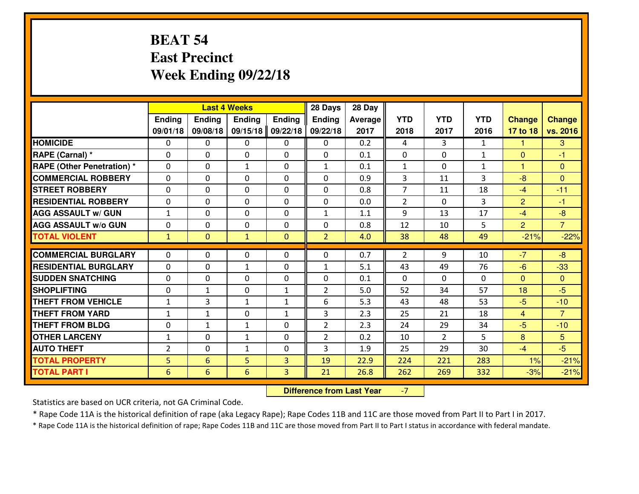# **BEAT 54 East PrecinctWeek Ending 09/22/18**

|                                   | <b>Last 4 Weeks</b> |                |               |                | 28 Days        | 28 Day  |                |                |              |                |                |
|-----------------------------------|---------------------|----------------|---------------|----------------|----------------|---------|----------------|----------------|--------------|----------------|----------------|
|                                   | Ending              | <b>Ending</b>  | <b>Ending</b> | Ending         | <b>Ending</b>  | Average | <b>YTD</b>     | <b>YTD</b>     | <b>YTD</b>   | <b>Change</b>  | <b>Change</b>  |
|                                   | 09/01/18            | 09/08/18       | 09/15/18      | 09/22/18       | 09/22/18       | 2017    | 2018           | 2017           | 2016         | 17 to 18       | vs. 2016       |
| <b>HOMICIDE</b>                   | $\Omega$            | 0              | 0             | $\Omega$       | 0              | 0.2     | 4              | 3              | $\mathbf{1}$ | 1              | 3              |
| RAPE (Carnal) *                   | $\Omega$            | 0              | $\mathbf{0}$  | $\Omega$       | $\Omega$       | 0.1     | $\Omega$       | $\Omega$       | $\mathbf{1}$ | $\mathbf{0}$   | $-1$           |
| <b>RAPE (Other Penetration) *</b> | 0                   | 0              | $\mathbf{1}$  | 0              | $\mathbf{1}$   | 0.1     | $\mathbf{1}$   | $\Omega$       | $\mathbf{1}$ | 1              | $\mathbf{0}$   |
| <b>COMMERCIAL ROBBERY</b>         | 0                   | 0              | 0             | 0              | 0              | 0.9     | 3              | 11             | 3            | $-8$           | $\overline{0}$ |
| <b>STREET ROBBERY</b>             | 0                   | 0              | 0             | 0              | 0              | 0.8     | $\overline{7}$ | 11             | 18           | $-4$           | $-11$          |
| <b>RESIDENTIAL ROBBERY</b>        | 0                   | 0              | $\mathbf{0}$  | 0              | 0              | 0.0     | $\overline{2}$ | $\Omega$       | 3            | $\overline{2}$ | $-1$           |
| <b>AGG ASSAULT W/ GUN</b>         | $\mathbf{1}$        | 0              | 0             | 0              | $\mathbf{1}$   | 1.1     | 9              | 13             | 17           | $-4$           | $-8$           |
| <b>AGG ASSAULT W/o GUN</b>        | 0                   | 0              | 0             | 0              | 0              | 0.8     | 12             | 10             | 5            | $\overline{2}$ | $\overline{7}$ |
| <b>TOTAL VIOLENT</b>              | $\mathbf{1}$        | $\overline{0}$ | $\mathbf{1}$  | $\overline{0}$ | $\overline{2}$ | 4.0     | 38             | 48             | 49           | $-21%$         | $-22%$         |
| <b>COMMERCIAL BURGLARY</b>        | $\Omega$            | 0              | $\mathbf{0}$  | $\mathbf{0}$   | $\Omega$       | 0.7     | $\overline{2}$ | 9              | 10           | $-7$           | $-8$           |
|                                   |                     |                |               |                |                |         |                |                |              |                |                |
| <b>RESIDENTIAL BURGLARY</b>       | $\mathbf{0}$        | 0              | $\mathbf{1}$  | 0              | $\mathbf{1}$   | 5.1     | 43             | 49             | 76           | $-6$           | $-33$          |
| <b>SUDDEN SNATCHING</b>           | 0                   | 0              | 0             | 0              | 0              | 0.1     | $\mathbf{0}$   | $\Omega$       | 0            | $\mathbf{0}$   | $\overline{0}$ |
| <b>SHOPLIFTING</b>                | 0                   | $\mathbf{1}$   | 0             | $\mathbf{1}$   | $\overline{2}$ | 5.0     | 52             | 34             | 57           | 18             | $-5$           |
| <b>THEFT FROM VEHICLE</b>         | $\mathbf{1}$        | 3              | $\mathbf{1}$  | $\mathbf{1}$   | 6              | 5.3     | 43             | 48             | 53           | $-5$           | $-10$          |
| <b>THEFT FROM YARD</b>            | $\mathbf{1}$        | $\mathbf{1}$   | 0             | $\mathbf{1}$   | 3              | 2.3     | 25             | 21             | 18           | $\overline{4}$ | $\overline{7}$ |
| <b>THEFT FROM BLDG</b>            | 0                   | $\mathbf{1}$   | $\mathbf{1}$  | 0              | $\overline{2}$ | 2.3     | 24             | 29             | 34           | $-5$           | $-10$          |
| <b>OTHER LARCENY</b>              | $\mathbf 1$         | 0              | $\mathbf{1}$  | 0              | $\overline{2}$ | 0.2     | 10             | $\overline{2}$ | 5            | 8              | 5 <sup>5</sup> |
| <b>AUTO THEFT</b>                 | $\overline{2}$      | 0              | $\mathbf{1}$  | 0              | 3              | 1.9     | 25             | 29             | 30           | $-4$           | $-5$           |
| <b>TOTAL PROPERTY</b>             | 5 <sup>1</sup>      | 6              | 5             | 3              | 19             | 22.9    | 224            | 221            | 283          | 1%             | $-21%$         |
| <b>TOTAL PART I</b>               | 6                   | 6              | 6             | 3              | 21             | 26.8    | 262            | 269            | 332          | $-3%$          | $-21%$         |

 **Difference from Last Year**-7

Statistics are based on UCR criteria, not GA Criminal Code.

\* Rape Code 11A is the historical definition of rape (aka Legacy Rape); Rape Codes 11B and 11C are those moved from Part II to Part I in 2017.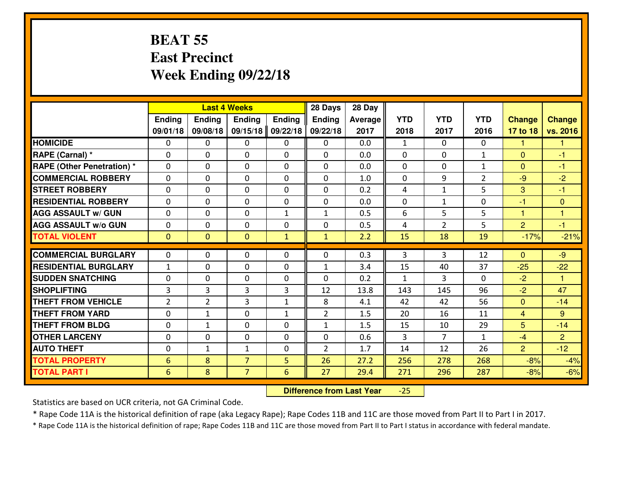## **BEAT 55 East PrecinctWeek Ending 09/22/18**

|                                  |                |                | <b>Last 4 Weeks</b> |               | 28 Days        | 28 Day  |              |                |                |                |                |
|----------------------------------|----------------|----------------|---------------------|---------------|----------------|---------|--------------|----------------|----------------|----------------|----------------|
|                                  | <b>Ending</b>  | <b>Ending</b>  | <b>Endina</b>       | <b>Ending</b> | <b>Ending</b>  | Average | <b>YTD</b>   | <b>YTD</b>     | <b>YTD</b>     | <b>Change</b>  | <b>Change</b>  |
|                                  | 09/01/18       | 09/08/18       | 09/15/18            | 09/22/18      | 09/22/18       | 2017    | 2018         | 2017           | 2016           | 17 to 18       | vs. 2016       |
| <b>HOMICIDE</b>                  | $\Omega$       | 0              | 0                   | 0             | 0              | 0.0     | 1            | $\Omega$       | 0              | 1              | 1              |
| RAPE (Carnal) *                  | $\Omega$       | 0              | $\mathbf{0}$        | 0             | $\Omega$       | 0.0     | $\Omega$     | $\Omega$       | $\mathbf{1}$   | $\Omega$       | -1             |
| <b>RAPE (Other Penetration)*</b> | $\Omega$       | $\Omega$       | $\mathbf 0$         | $\Omega$      | $\Omega$       | 0.0     | $\Omega$     | 0              | $\mathbf{1}$   | $\Omega$       | $-1$           |
| <b>COMMERCIAL ROBBERY</b>        | $\Omega$       | 0              | $\mathbf 0$         | $\Omega$      | 0              | 1.0     | 0            | 9              | $\overline{2}$ | $-9$           | $-2$           |
| <b>STREET ROBBERY</b>            | $\Omega$       | $\Omega$       | $\mathbf 0$         | $\Omega$      | 0              | 0.2     | 4            | $\mathbf{1}$   | 5              | 3              | $-1$           |
| <b>RESIDENTIAL ROBBERY</b>       | $\Omega$       | $\Omega$       | $\mathbf 0$         | $\Omega$      | 0              | 0.0     | 0            | $\mathbf{1}$   | 0              | $-1$           | $\overline{0}$ |
| <b>AGG ASSAULT w/ GUN</b>        | $\Omega$       | $\Omega$       | $\mathbf 0$         | $\mathbf{1}$  | $\mathbf{1}$   | 0.5     | 6            | 5              | 5              | $\mathbf{1}$   | $\overline{1}$ |
| <b>AGG ASSAULT w/o GUN</b>       | 0              | 0              | $\mathbf 0$         | 0             | 0              | 0.5     | 4            | $\overline{2}$ | 5              | $\overline{2}$ | $-1$           |
| <b>TOTAL VIOLENT</b>             | $\mathbf{0}$   | $\mathbf{0}$   | $\mathbf{0}$        | $\mathbf{1}$  | $\mathbf{1}$   | 2.2     | 15           | 18             | 19             | $-17%$         | $-21%$         |
| <b>COMMERCIAL BURGLARY</b>       | $\Omega$       | 0              | 0                   | $\Omega$      | $\Omega$       | 0.3     | 3            | 3              | 12             | $\Omega$       | $-9$           |
| <b>RESIDENTIAL BURGLARY</b>      | $\mathbf{1}$   | 0              | $\mathbf 0$         | 0             | $\mathbf{1}$   | 3.4     | 15           | 40             | 37             | $-25$          | $-22$          |
| <b>SUDDEN SNATCHING</b>          | 0              | 0              | $\mathbf 0$         | 0             | 0              | 0.2     | $\mathbf{1}$ | 3              | 0              | $-2$           | 1              |
| <b>SHOPLIFTING</b>               | $\overline{3}$ | 3              | 3                   | 3             | 12             | 13.8    | 143          | 145            | 96             | $-2$           | 47             |
| <b>THEFT FROM VEHICLE</b>        | $\overline{2}$ | $\overline{2}$ | 3                   | $\mathbf{1}$  | 8              | 4.1     | 42           | 42             | 56             | $\mathbf{0}$   | $-14$          |
| <b>THEFT FROM YARD</b>           | $\mathbf 0$    | 1              | $\mathbf 0$         | $\mathbf{1}$  | $\overline{2}$ | 1.5     | 20           | 16             | 11             | $\overline{4}$ | 9              |
| <b>THEFT FROM BLDG</b>           | 0              | 1              | $\mathbf 0$         | 0             | $\mathbf{1}$   | 1.5     | 15           | 10             | 29             | 5              | $-14$          |
| <b>OTHER LARCENY</b>             | 0              | 0              | $\mathbf 0$         | $\mathbf 0$   | 0              | 0.6     | 3            | $\overline{7}$ | $\mathbf{1}$   | $-4$           | 2              |
| <b>AUTO THEFT</b>                | 0              | $\mathbf{1}$   | $\mathbf{1}$        | 0             | $\overline{2}$ | 1.7     | 14           | 12             | 26             | $\overline{2}$ | $-12$          |
| <b>TOTAL PROPERTY</b>            | 6              | 8              | $\overline{7}$      | 5             | 26             | 27.2    | 256          | 278            | 268            | $-8%$          | $-4%$          |
| <b>TOTAL PART I</b>              | 6              | 8              | $\overline{7}$      | 6             | 27             | 29.4    | 271          | 296            | 287            | $-8%$          | $-6%$          |
|                                  |                |                |                     |               |                |         |              |                |                |                |                |

 **Difference from Last Year** $-25$ 

Statistics are based on UCR criteria, not GA Criminal Code.

\* Rape Code 11A is the historical definition of rape (aka Legacy Rape); Rape Codes 11B and 11C are those moved from Part II to Part I in 2017.